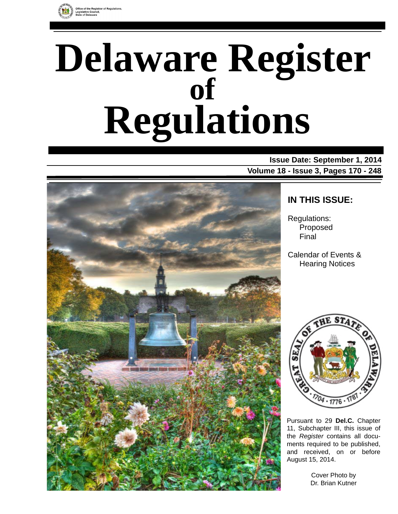

# **Delaware Register Regulations of**

**Issue Date: September 1, 2014 Volume 18 - Issue 3, Pages 170 - 248**



# **IN THIS ISSUE:**

Regulations: Proposed Final

Calendar of Events & Hearing Notices



Pursuant to 29 **Del.C.** Chapter 11, Subchapter III, this issue of the *Register* contains all documents required to be published, and received, on or before August 15, 2014.

> Cover Photo by Dr. Brian Kutner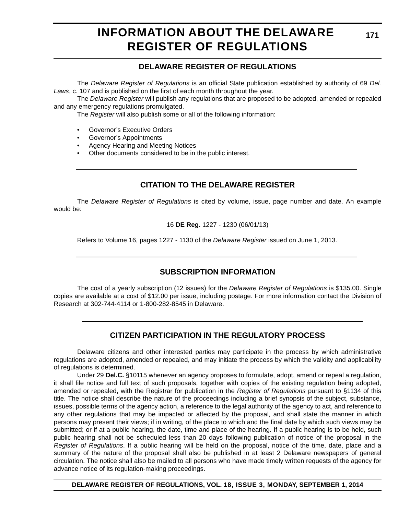# **INFORMATION ABOUT THE DELAWARE REGISTER OF REGULATIONS**

# **DELAWARE REGISTER OF REGULATIONS**

The *Delaware Register of Regulations* is an official State publication established by authority of 69 *Del. Laws*, c. 107 and is published on the first of each month throughout the year.

The *Delaware Register* will publish any regulations that are proposed to be adopted, amended or repealed and any emergency regulations promulgated.

The *Register* will also publish some or all of the following information:

- Governor's Executive Orders
- Governor's Appointments
- Agency Hearing and Meeting Notices
- Other documents considered to be in the public interest.

# **CITATION TO THE DELAWARE REGISTER**

The *Delaware Register of Regulations* is cited by volume, issue, page number and date. An example would be:

16 **DE Reg.** 1227 - 1230 (06/01/13)

Refers to Volume 16, pages 1227 - 1130 of the *Delaware Register* issued on June 1, 2013.

# **SUBSCRIPTION INFORMATION**

The cost of a yearly subscription (12 issues) for the *Delaware Register of Regulations* is \$135.00. Single copies are available at a cost of \$12.00 per issue, including postage. For more information contact the Division of Research at 302-744-4114 or 1-800-282-8545 in Delaware.

### **CITIZEN PARTICIPATION IN THE REGULATORY PROCESS**

Delaware citizens and other interested parties may participate in the process by which administrative regulations are adopted, amended or repealed, and may initiate the process by which the validity and applicability of regulations is determined.

Under 29 **Del.C.** §10115 whenever an agency proposes to formulate, adopt, amend or repeal a regulation, it shall file notice and full text of such proposals, together with copies of the existing regulation being adopted, amended or repealed, with the Registrar for publication in the *Register of Regulations* pursuant to §1134 of this title. The notice shall describe the nature of the proceedings including a brief synopsis of the subject, substance, issues, possible terms of the agency action, a reference to the legal authority of the agency to act, and reference to any other regulations that may be impacted or affected by the proposal, and shall state the manner in which persons may present their views; if in writing, of the place to which and the final date by which such views may be submitted; or if at a public hearing, the date, time and place of the hearing. If a public hearing is to be held, such public hearing shall not be scheduled less than 20 days following publication of notice of the proposal in the *Register of Regulations*. If a public hearing will be held on the proposal, notice of the time, date, place and a summary of the nature of the proposal shall also be published in at least 2 Delaware newspapers of general circulation. The notice shall also be mailed to all persons who have made timely written requests of the agency for advance notice of its regulation-making proceedings.

**DELAWARE REGISTER OF REGULATIONS, VOL. 18, ISSUE 3, MONDAY, SEPTEMBER 1, 2014**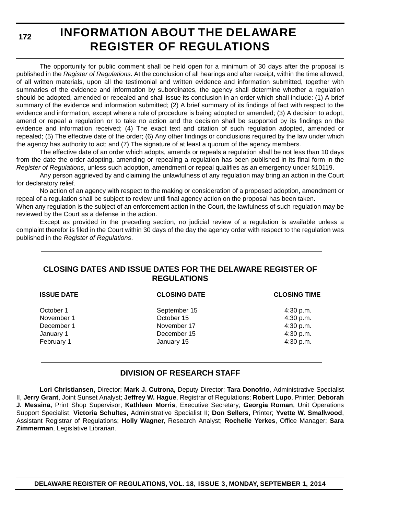**172**

# **INFORMATION ABOUT THE DELAWARE REGISTER OF REGULATIONS**

The opportunity for public comment shall be held open for a minimum of 30 days after the proposal is published in the *Register of Regulations*. At the conclusion of all hearings and after receipt, within the time allowed, of all written materials, upon all the testimonial and written evidence and information submitted, together with summaries of the evidence and information by subordinates, the agency shall determine whether a regulation should be adopted, amended or repealed and shall issue its conclusion in an order which shall include: (1) A brief summary of the evidence and information submitted; (2) A brief summary of its findings of fact with respect to the evidence and information, except where a rule of procedure is being adopted or amended; (3) A decision to adopt, amend or repeal a regulation or to take no action and the decision shall be supported by its findings on the evidence and information received; (4) The exact text and citation of such regulation adopted, amended or repealed; (5) The effective date of the order; (6) Any other findings or conclusions required by the law under which the agency has authority to act; and (7) The signature of at least a quorum of the agency members.

The effective date of an order which adopts, amends or repeals a regulation shall be not less than 10 days from the date the order adopting, amending or repealing a regulation has been published in its final form in the *Register of Regulations*, unless such adoption, amendment or repeal qualifies as an emergency under §10119.

Any person aggrieved by and claiming the unlawfulness of any regulation may bring an action in the Court for declaratory relief.

No action of an agency with respect to the making or consideration of a proposed adoption, amendment or repeal of a regulation shall be subject to review until final agency action on the proposal has been taken.

When any regulation is the subject of an enforcement action in the Court, the lawfulness of such regulation may be reviewed by the Court as a defense in the action.

Except as provided in the preceding section, no judicial review of a regulation is available unless a complaint therefor is filed in the Court within 30 days of the day the agency order with respect to the regulation was published in the *Register of Regulations*.

# **CLOSING DATES AND ISSUE DATES FOR THE DELAWARE REGISTER OF REGULATIONS**

| <b>ISSUE DATE</b> | <b>CLOSING DATE</b> | <b>CLOSING TIME</b> |
|-------------------|---------------------|---------------------|
| October 1         | September 15        | 4:30 p.m.           |
| November 1        | October 15          | 4:30 p.m.           |
| December 1        | November 17         | 4:30 p.m.           |
| January 1         | December 15         | 4:30 p.m.           |
| February 1        | January 15          | 4:30 p.m.           |
|                   |                     |                     |

# **DIVISION OF RESEARCH STAFF**

**Lori Christiansen,** Director; **Mark J. Cutrona,** Deputy Director; **Tara Donofrio**, Administrative Specialist II, **Jerry Grant**, Joint Sunset Analyst; **Jeffrey W. Hague**, Registrar of Regulations; **Robert Lupo**, Printer; **Deborah J. Messina,** Print Shop Supervisor; **Kathleen Morris**, Executive Secretary; **Georgia Roman**, Unit Operations Support Specialist; **Victoria Schultes,** Administrative Specialist II; **Don Sellers,** Printer; **Yvette W. Smallwood**, Assistant Registrar of Regulations; **Holly Wagner**, Research Analyst; **Rochelle Yerkes**, Office Manager; **Sara Zimmerman**, Legislative Librarian.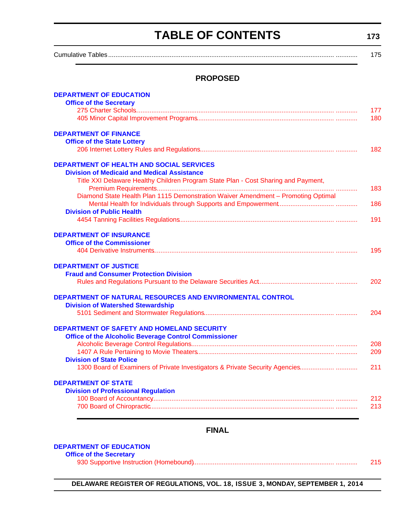# **TABLE OF CONTENTS**

**173**

<span id="page-3-0"></span>Cumulative Tables............................................................................................................................. ............ 175

### **PROPOSED**

| <b>DEPARTMENT OF EDUCATION</b>                                                     |     |
|------------------------------------------------------------------------------------|-----|
| <b>Office of the Secretary</b>                                                     |     |
|                                                                                    | 177 |
|                                                                                    | 180 |
| <b>DEPARTMENT OF FINANCE</b>                                                       |     |
| <b>Office of the State Lottery</b>                                                 |     |
|                                                                                    | 182 |
| <b>DEPARTMENT OF HEALTH AND SOCIAL SERVICES</b>                                    |     |
| <b>Division of Medicaid and Medical Assistance</b>                                 |     |
| Title XXI Delaware Healthy Children Program State Plan - Cost Sharing and Payment, |     |
|                                                                                    | 183 |
| Diamond State Health Plan 1115 Demonstration Waiver Amendment - Promoting Optimal  |     |
|                                                                                    | 186 |
| <b>Division of Public Health</b>                                                   |     |
|                                                                                    | 191 |
| <b>DEPARTMENT OF INSURANCE</b>                                                     |     |
| <b>Office of the Commissioner</b>                                                  |     |
|                                                                                    | 195 |
| <b>DEPARTMENT OF JUSTICE</b>                                                       |     |
| <b>Fraud and Consumer Protection Division</b>                                      |     |
|                                                                                    | 202 |
| DEPARTMENT OF NATURAL RESOURCES AND ENVIRONMENTAL CONTROL                          |     |
| <b>Division of Watershed Stewardship</b>                                           |     |
|                                                                                    | 204 |
| <b>DEPARTMENT OF SAFETY AND HOMELAND SECURITY</b>                                  |     |
| <b>Office of the Alcoholic Beverage Control Commissioner</b>                       |     |
|                                                                                    | 208 |
|                                                                                    | 209 |
| <b>Division of State Police</b>                                                    |     |
| 1300 Board of Examiners of Private Investigators & Private Security Agencies       | 211 |
| <b>DEPARTMENT OF STATE</b>                                                         |     |
| <b>Division of Professional Regulation</b>                                         |     |
|                                                                                    | 212 |
|                                                                                    | 213 |

# **FINAL**

#### **[DEPARTMENT OF EDUCATION](http://www.doe.k12.de.us/)**

| <b>Office of the Secretary</b> |     |
|--------------------------------|-----|
|                                | 215 |

**DELAWARE REGISTER OF REGULATIONS, VOL. 18, ISSUE 3, MONDAY, SEPTEMBER 1, 2014**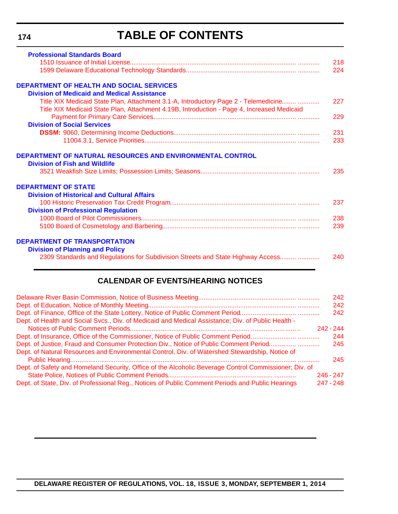#### **174**

# **TABLE OF CONTENTS**

| <b>Professional Standards Board</b>                                                        |     |
|--------------------------------------------------------------------------------------------|-----|
|                                                                                            | 218 |
|                                                                                            | 224 |
| <b>DEPARTMENT OF HEALTH AND SOCIAL SERVICES</b>                                            |     |
| <b>Division of Medicaid and Medical Assistance</b>                                         |     |
| Title XIX Medicaid State Plan, Attachment 3.1-A, Introductory Page 2 - Telemedicine        | 227 |
| Title XIX Medicaid State Plan, Attachment 4.19B, Introduction - Page 4, Increased Medicaid |     |
|                                                                                            | 229 |
| <b>Division of Social Services</b>                                                         |     |
|                                                                                            | 231 |
|                                                                                            | 233 |
| <b>Division of Fish and Wildlife</b>                                                       | 235 |
| <b>DEPARTMENT OF STATE</b>                                                                 |     |
| <b>Division of Historical and Cultural Affairs</b>                                         |     |
|                                                                                            | 237 |
| <b>Division of Professional Regulation</b>                                                 |     |
|                                                                                            | 238 |
|                                                                                            | 239 |
| <b>DEPARTMENT OF TRANSPORTATION</b>                                                        |     |
| <b>Division of Planning and Policy</b>                                                     |     |
| 2309 Standards and Regulations for Subdivision Streets and State Highway Access            | 240 |

# **CALENDAR OF EVENTS/HEARING NOTICES**

|                                                                                                       |             | 242 |
|-------------------------------------------------------------------------------------------------------|-------------|-----|
|                                                                                                       |             | 242 |
|                                                                                                       |             | 242 |
| Dept. of Health and Social Svcs., Div. of Medicaid and Medical Assistance; Div. of Public Health -    |             |     |
|                                                                                                       | 242 - 244   |     |
|                                                                                                       |             | 244 |
| Dept. of Justice, Fraud and Consumer Protection Div., Notice of Public Comment Period                 |             | 245 |
| Dept. of Natural Resources and Environmental Control, Div. of Watershed Stewardship, Notice of        |             |     |
|                                                                                                       |             | 245 |
| Dept. of Safety and Homeland Security, Office of the Alcoholic Beverage Control Commissioner; Div. of |             |     |
|                                                                                                       | $246 - 247$ |     |
| Dept. of State, Div. of Professional Reg., Notices of Public Comment Periods and Public Hearings      | 247 - 248   |     |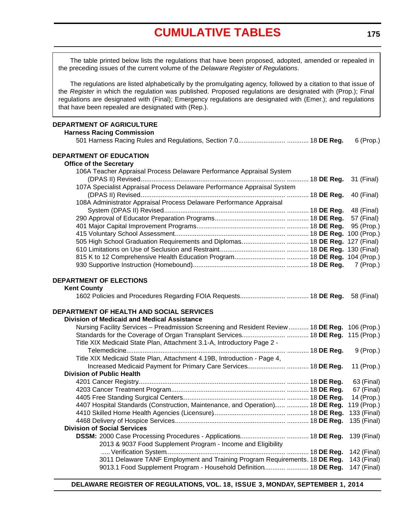# **[CUMULATIVE TABLES](#page-3-0)**

The table printed below lists the regulations that have been proposed, adopted, amended or repealed in the preceding issues of the current volume of the *Delaware Register of Regulations*.

The regulations are listed alphabetically by the promulgating agency, followed by a citation to that issue of the *Register* in which the regulation was published. Proposed regulations are designated with (Prop.); Final regulations are designated with (Final); Emergency regulations are designated with (Emer.); and regulations that have been repealed are designated with (Rep.).

#### **DEPARTMENT OF AGRICULTURE**

| <b>DEPARTMENT OF AGRICULTURE</b>                                                               |             |
|------------------------------------------------------------------------------------------------|-------------|
| <b>Harness Racing Commission</b>                                                               | 6 (Prop.)   |
| <b>DEPARTMENT OF EDUCATION</b>                                                                 |             |
| <b>Office of the Secretary</b>                                                                 |             |
| 106A Teacher Appraisal Process Delaware Performance Appraisal System                           |             |
|                                                                                                | 31 (Final)  |
| 107A Specialist Appraisal Process Delaware Performance Appraisal System                        |             |
|                                                                                                | 40 (Final)  |
| 108A Administrator Appraisal Process Delaware Performance Appraisal                            |             |
|                                                                                                | 48 (Final)  |
|                                                                                                | 57 (Final)  |
|                                                                                                | 95 (Prop.)  |
|                                                                                                |             |
|                                                                                                |             |
|                                                                                                |             |
|                                                                                                |             |
|                                                                                                | 7 (Prop.)   |
| DEPARTMENT OF ELECTIONS                                                                        |             |
| <b>Kent County</b>                                                                             |             |
|                                                                                                |             |
| DEPARTMENT OF HEALTH AND SOCIAL SERVICES                                                       |             |
| <b>Division of Medicaid and Medical Assistance</b>                                             |             |
| Nursing Facility Services - Preadmission Screening and Resident Review  18 DE Reg. 106 (Prop.) |             |
|                                                                                                |             |
| Title XIX Medicaid State Plan, Attachment 3.1-A, Introductory Page 2 -                         |             |
|                                                                                                | 9 (Prop.)   |
| Title XIX Medicaid State Plan, Attachment 4.19B, Introduction - Page 4,                        |             |
| Increased Medicaid Payment for Primary Care Services 18 DE Reg.                                | 11 (Prop.)  |
| <b>Division of Public Health</b>                                                               |             |
|                                                                                                | 63 (Final)  |
|                                                                                                | 67 (Final)  |
|                                                                                                | 14 (Prop.)  |
| 4407 Hospital Standards (Construction, Maintenance, and Operation)  18 DE Reg. 119 (Prop.)     |             |
|                                                                                                | 135 (Final) |
| <b>Division of Social Services</b>                                                             |             |
|                                                                                                | 139 (Final) |
| 2013 & 9037 Food Supplement Program - Income and Eligibility                                   |             |
|                                                                                                | 142 (Final) |
| 3011 Delaware TANF Employment and Training Program Requirements. 18 DE Reg.                    | 143 (Final) |

9013.1 Food Supplement Program - Household Definition............ ............ 18 **DE Reg.** 147 (Final)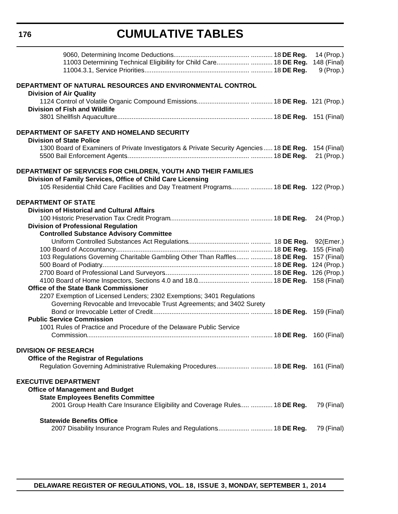# **CUMULATIVE TABLES**

|                                                                                                     | 14 (Prop.)  |
|-----------------------------------------------------------------------------------------------------|-------------|
| 11003 Determining Technical Eligibility for Child Care 18 DE Reg.                                   | 148 (Final) |
|                                                                                                     | $9$ (Prop.) |
|                                                                                                     |             |
| DEPARTMENT OF NATURAL RESOURCES AND ENVIRONMENTAL CONTROL<br><b>Division of Air Quality</b>         |             |
|                                                                                                     |             |
| <b>Division of Fish and Wildlife</b>                                                                |             |
|                                                                                                     |             |
|                                                                                                     |             |
| DEPARTMENT OF SAFETY AND HOMELAND SECURITY                                                          |             |
| <b>Division of State Police</b>                                                                     |             |
| 1300 Board of Examiners of Private Investigators & Private Security Agencies 18 DE Reg. 154 (Final) |             |
|                                                                                                     | 21 (Prop.)  |
|                                                                                                     |             |
| DEPARTMENT OF SERVICES FOR CHILDREN, YOUTH AND THEIR FAMILIES                                       |             |
| Division of Family Services, Office of Child Care Licensing                                         |             |
| 105 Residential Child Care Facilities and Day Treatment Programs  18 DE Reg. 122 (Prop.)            |             |
|                                                                                                     |             |
| <b>DEPARTMENT OF STATE</b>                                                                          |             |
| <b>Division of Historical and Cultural Affairs</b>                                                  |             |
|                                                                                                     | 24 (Prop.)  |
| <b>Division of Professional Regulation</b>                                                          |             |
| <b>Controlled Substance Advisory Committee</b>                                                      |             |
|                                                                                                     | 92(Emer.)   |
|                                                                                                     | 155 (Final) |
| 103 Regulations Governing Charitable Gambling Other Than Raffles  18 DE Reg.                        | 157 (Final) |
|                                                                                                     | 124 (Prop.) |
|                                                                                                     | 126 (Prop.) |
|                                                                                                     | 158 (Final) |
| <b>Office of the State Bank Commissioner</b>                                                        |             |
| 2207 Exemption of Licensed Lenders; 2302 Exemptions; 3401 Regulations                               |             |
| Governing Revocable and Irrevocable Trust Agreements; and 3402 Surety                               |             |
|                                                                                                     |             |
| <b>Public Service Commission</b>                                                                    |             |
| 1001 Rules of Practice and Procedure of the Delaware Public Service                                 |             |
|                                                                                                     |             |
|                                                                                                     |             |
| <b>DIVISION OF RESEARCH</b>                                                                         |             |
| <b>Office of the Registrar of Regulations</b>                                                       |             |
| Regulation Governing Administrative Rulemaking Procedures 18 DE Reg. 161 (Final)                    |             |
| <b>EXECUTIVE DEPARTMENT</b>                                                                         |             |
| <b>Office of Management and Budget</b>                                                              |             |
| <b>State Employees Benefits Committee</b>                                                           |             |
| 2001 Group Health Care Insurance Eligibility and Coverage Rules  18 DE Reg.                         | 79 (Final)  |
|                                                                                                     |             |
| <b>Statewide Benefits Office</b>                                                                    |             |
| 2007 Disability Insurance Program Rules and Regulations 18 DE Reg.                                  | 79 (Final)  |
|                                                                                                     |             |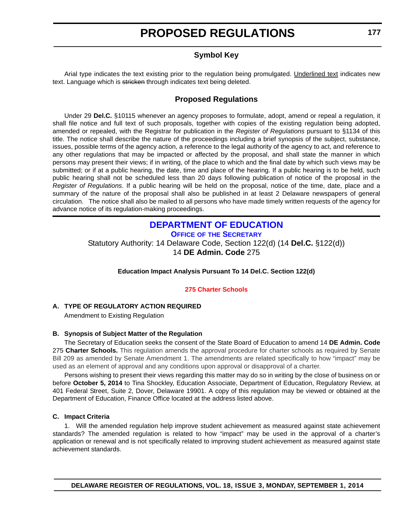# **Symbol Key**

<span id="page-7-0"></span>Arial type indicates the text existing prior to the regulation being promulgated. Underlined text indicates new text. Language which is stricken through indicates text being deleted.

### **Proposed Regulations**

Under 29 **Del.C.** §10115 whenever an agency proposes to formulate, adopt, amend or repeal a regulation, it shall file notice and full text of such proposals, together with copies of the existing regulation being adopted, amended or repealed, with the Registrar for publication in the *Register of Regulations* pursuant to §1134 of this title. The notice shall describe the nature of the proceedings including a brief synopsis of the subject, substance, issues, possible terms of the agency action, a reference to the legal authority of the agency to act, and reference to any other regulations that may be impacted or affected by the proposal, and shall state the manner in which persons may present their views; if in writing, of the place to which and the final date by which such views may be submitted; or if at a public hearing, the date, time and place of the hearing. If a public hearing is to be held, such public hearing shall not be scheduled less than 20 days following publication of notice of the proposal in the *Register of Regulations*. If a public hearing will be held on the proposal, notice of the time, date, place and a summary of the nature of the proposal shall also be published in at least 2 Delaware newspapers of general circulation. The notice shall also be mailed to all persons who have made timely written requests of the agency for advance notice of its regulation-making proceedings.

# **[DEPARTMENT OF EDUCATION](http://www.doe.k12.de.us/)**

**OFFICE OF THE SECRETARY**

Statutory Authority: 14 Delaware Code, Section 122(d) (14 **Del.C.** §122(d)) 14 **DE Admin. Code** 275

#### **Education Impact Analysis Pursuant To 14 Del.C. Section 122(d)**

#### **[275 Charter Schools](#page-3-0)**

#### **A. TYPE OF REGULATORY ACTION REQUIRED**

Amendment to Existing Regulation

#### **B. Synopsis of Subject Matter of the Regulation**

The Secretary of Education seeks the consent of the State Board of Education to amend 14 **DE Admin. Code** 275 **Charter Schools.** This regulation amends the approval procedure for charter schools as required by Senate Bill 209 as amended by Senate Amendment 1. The amendments are related specifically to how "impact" may be used as an element of approval and any conditions upon approval or disapproval of a charter.

Persons wishing to present their views regarding this matter may do so in writing by the close of business on or before **October 5, 2014** to Tina Shockley, Education Associate, Department of Education, Regulatory Review, at 401 Federal Street, Suite 2, Dover, Delaware 19901. A copy of this regulation may be viewed or obtained at the Department of Education, Finance Office located at the address listed above.

#### **C. Impact Criteria**

1. Will the amended regulation help improve student achievement as measured against state achievement standards? The amended regulation is related to how "impact" may be used in the approval of a charter's application or renewal and is not specifically related to improving student achievement as measured against state achievement standards.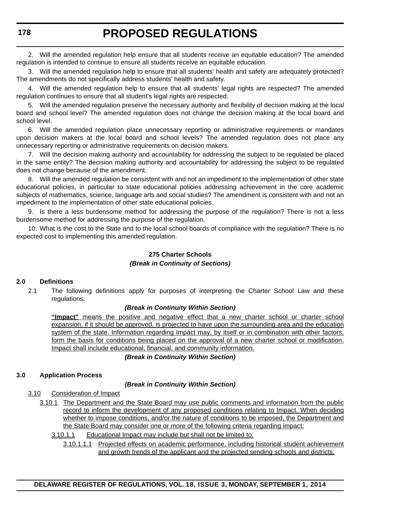2. Will the amended regulation help ensure that all students receive an equitable education? The amended regulation is intended to continue to ensure all students receive an equitable education.

3. Will the amended regulation help to ensure that all students' health and safety are adequately protected? The amendments do not specifically address students' health and safety.

4. Will the amended regulation help to ensure that all students' legal rights are respected? The amended regulation continues to ensure that all student's legal rights are respected.

5. Will the amended regulation preserve the necessary authority and flexibility of decision making at the local board and school level? The amended regulation does not change the decision making at the local board and school level.

6. Will the amended regulation place unnecessary reporting or administrative requirements or mandates upon decision makers at the local board and school levels? The amended regulation does not place any unnecessary reporting or administrative requirements on decision makers.

7. Will the decision making authority and accountability for addressing the subject to be regulated be placed in the same entity? The decision making authority and accountability for addressing the subject to be regulated does not change because of the amendment.

8. Will the amended regulation be consistent with and not an impediment to the implementation of other state educational policies, in particular to state educational policies addressing achievement in the core academic subjects of mathematics, science, language arts and social studies? The amendment is consistent with and not an impediment to the implementation of other state educational policies.

9. Is there a less burdensome method for addressing the purpose of the regulation? There is not a less burdensome method for addressing the purpose of the regulation.

10. What is the cost to the State and to the local school boards of compliance with the regulation? There is no expected cost to implementing this amended regulation.

#### **275 Charter Schools** *(Break in Continuity of Sections)*

#### **2.0 Definitions**

2.1 The following definitions apply for purposes of interpreting the Charter School Law and these regulations:

#### *(Break in Continuity Within Section)*

**"Impact"** means the positive and negative effect that a new charter school or charter school expansion, if it should be approved, is projected to have upon the surrounding area and the education system of the state. Information regarding Impact may, by itself or in combination with other factors, form the basis for conditions being placed on the approval of a new charter school or modification. Impact shall include educational, financial, and community information.

*(Break in Continuity Within Section)*

#### **3.0 Application Process**

#### *(Break in Continuity Within Section)*

- 3.10 Consideration of Impact
	- 3.10.1 The Department and the State Board may use public comments and information from the public record to inform the development of any proposed conditions relating to Impact. When deciding whether to impose conditions, and/or the nature of conditions to be imposed, the Department and the State Board may consider one or more of the following criteria regarding impact:

```
3.10.1.1 Educational Impact may include but shall not be limited to:
```
3.10.1.1.1 Projected effects on academic performance, including historical student achievement and growth trends of the applicant and the projected sending schools and districts;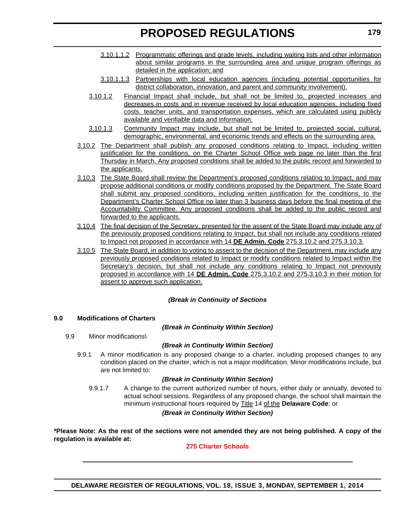- 3.10.1.1.2 Programmatic offerings and grade levels, including waiting lists and other information about similar programs in the surrounding area and unique program offerings as detailed in the application; and
- 3.10.1.1.3 Partnerships with local education agencies (including potential opportunities for district collaboration, innovation, and parent and community involvement).
- 3.10.1.2 Financial Impact shall include, but shall not be limited to, projected increases and decreases in costs and in revenue received by local education agencies, including fixed costs, teacher units, and transportation expenses, which are calculated using publicly available and verifiable data and information.
- 3.10.1.3 Community Impact may include, but shall not be limited to, projected social, cultural, demographic, environmental, and economic trends and effects on the surrounding area.
- 3.10.2 The Department shall publish any proposed conditions relating to Impact, including written justification for the conditions, on the Charter School Office web page no later than the first Thursday in March. Any proposed conditions shall be added to the public record and forwarded to the applicants.
- 3.10.3 The State Board shall review the Department's proposed conditions relating to Impact, and may propose additional conditions or modify conditions proposed by the Department. The State Board shall submit any proposed conditions, including written justification for the conditions, to the Department's Charter School Office no later than 3 business days before the final meeting of the Accountability Committee. Any proposed conditions shall be added to the public record and forwarded to the applicants.
- 3.10.4 The final decision of the Secretary, presented for the assent of the State Board may include any of the previously proposed conditions relating to Impact, but shall not include any conditions related to Impact not proposed in accordance with 14 **DE Admin. Code** 275.3.10.2 and 275.3.10.3.
- 3.10.5 The State Board, in addition to voting to assent to the decision of the Department, may include any previously proposed conditions related to Impact or modify conditions related to Impact within the Secretary's decision, but shall not include any conditions relating to Impact not previously proposed in accordance with 14 **DE Admin. Code** 275.3.10.2 and 275.3.10.3 in their motion for assent to approve such application.

### *(Break in Continuity of Sections*

#### **9.0 Modifications of Charters**

*(Break in Continuity Within Section)*

9.9 Minor modifications\

### *(Break in Continuity Within Section)*

9.9.1 A minor modification is any proposed change to a charter, including proposed changes to any condition placed on the charter, which is not a major modification. Minor modifications include, but are not limited to:

#### *(Break in Continuity Within Section)*

9.9.1.7 A change to the current authorized number of hours, either daily or annually, devoted to actual school sessions. Regardless of any proposed change, the school shall maintain the minimum instructional hours required by Title 14 of the **Delaware Code**; or

#### *(Break in Continuity Within Section)*

**\*Please Note: As the rest of the sections were not amended they are not being published. A copy of the regulation is available at:**

### **[275 Charter Schools](http://regulations.delaware.gov/register/september2014/proposed/18 DE Reg 177 09-01-14.htm)**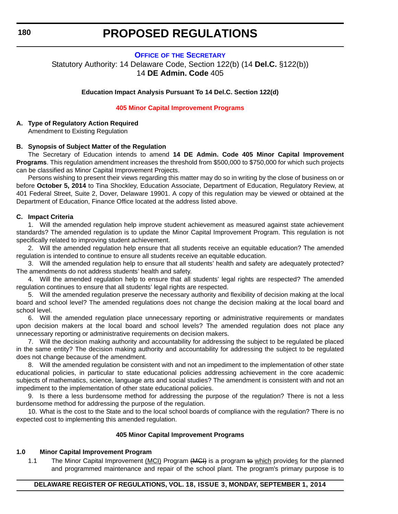#### **OFFICE OF [THE SECRETARY](http://www.doe.k12.de.us/)**

<span id="page-10-0"></span>Statutory Authority: 14 Delaware Code, Section 122(b) (14 **Del.C.** §122(b)) 14 **DE Admin. Code** 405

**Education Impact Analysis Pursuant To 14 Del.C. Section 122(d)**

#### **[405 Minor Capital Improvement Programs](#page-3-0)**

### **A. Type of Regulatory Action Required**

Amendment to Existing Regulation

#### **B. Synopsis of Subject Matter of the Regulation**

The Secretary of Education intends to amend **14 DE Admin. Code 405 Minor Capital Improvement Programs**. This regulation amendment increases the threshold from \$500,000 to \$750,000 for which such projects can be classified as Minor Capital Improvement Projects.

Persons wishing to present their views regarding this matter may do so in writing by the close of business on or before **October 5, 2014** to Tina Shockley, Education Associate, Department of Education, Regulatory Review, at 401 Federal Street, Suite 2, Dover, Delaware 19901. A copy of this regulation may be viewed or obtained at the Department of Education, Finance Office located at the address listed above.

#### **C. Impact Criteria**

1. Will the amended regulation help improve student achievement as measured against state achievement standards? The amended regulation is to update the Minor Capital Improvement Program. This regulation is not specifically related to improving student achievement.

2. Will the amended regulation help ensure that all students receive an equitable education? The amended regulation is intended to continue to ensure all students receive an equitable education.

3. Will the amended regulation help to ensure that all students' health and safety are adequately protected? The amendments do not address students' health and safety.

4. Will the amended regulation help to ensure that all students' legal rights are respected? The amended regulation continues to ensure that all students' legal rights are respected.

5. Will the amended regulation preserve the necessary authority and flexibility of decision making at the local board and school level? The amended regulations does not change the decision making at the local board and school level.

6. Will the amended regulation place unnecessary reporting or administrative requirements or mandates upon decision makers at the local board and school levels? The amended regulation does not place any unnecessary reporting or administrative requirements on decision makers.

7. Will the decision making authority and accountability for addressing the subject to be regulated be placed in the same entity? The decision making authority and accountability for addressing the subject to be regulated does not change because of the amendment.

8. Will the amended regulation be consistent with and not an impediment to the implementation of other state educational policies, in particular to state educational policies addressing achievement in the core academic subjects of mathematics, science, language arts and social studies? The amendment is consistent with and not an impediment to the implementation of other state educational policies.

9. Is there a less burdensome method for addressing the purpose of the regulation? There is not a less burdensome method for addressing the purpose of the regulation.

10. What is the cost to the State and to the local school boards of compliance with the regulation? There is no expected cost to implementing this amended regulation.

#### **405 Minor Capital Improvement Programs**

#### **1.0 Minor Capital Improvement Program**

1.1 The Minor Capital Improvement (MCI) Program (MGI) is a program to which provides for the planned and programmed maintenance and repair of the school plant. The program's primary purpose is to

#### **DELAWARE REGISTER OF REGULATIONS, VOL. 18, ISSUE 3, MONDAY, SEPTEMBER 1, 2014**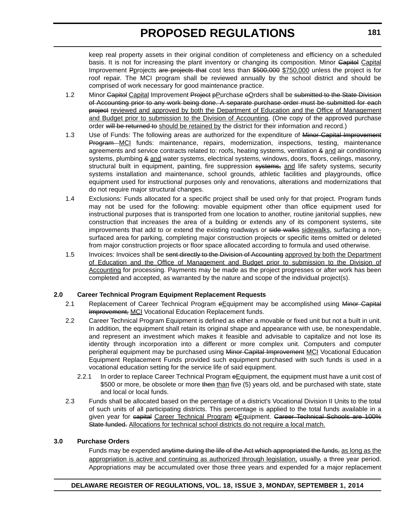keep real property assets in their original condition of completeness and efficiency on a scheduled basis. It is not for increasing the plant inventory or changing its composition. Minor Gapitol Capital Improvement Pprojects are projects that cost less than \$500,000 \$750,000 unless the project is for roof repair. The MCI program shall be reviewed annually by the school district and should be comprised of work necessary for good maintenance practice.

- 1.2 Minor Capitol Capital Improvement Project pPurchase oOrders shall be submitted to the State Division of Accounting prior to any work being done. A separate purchase order must be submitted for each project reviewed and approved by both the Department of Education and the Office of Management and Budget prior to submission to the Division of Accounting. (One copy of the approved purchase order will be returned to should be retained by the district for their information and record.)
- 1.3 Use of Funds: The following areas are authorized for the expenditure of Minor Capital Improvement Program MCI funds: maintenance, repairs, modernization, inspections, testing, maintenance agreements and service contracts related to: roofs, heating systems, ventilation & and air conditioning systems, plumbing & and water systems, electrical systems, windows, doors, floors, ceilings, masonry, structural built in equipment, painting, fire suppression systems, and life safety systems, security systems installation and maintenance, school grounds, athletic facilities and playgrounds, office equipment used for instructional purposes only and renovations, alterations and modernizations that do not require major structural changes.
- 1.4 Exclusions: Funds allocated for a specific project shall be used only for that project. Program funds may not be used for the following: movable equipment other than office equipment used for instructional purposes that is transported from one location to another, routine janitorial supplies, new construction that increases the area of a building or extends any of its component systems, site improvements that add to or extend the existing roadways or side walks sidewalks, surfacing a nonsurfaced area for parking, completing major construction projects or specific items omitted or deleted from major construction projects or floor space allocated according to formula and used otherwise.
- 1.5 Invoices: Invoices shall be sent directly to the Division of Accounting approved by both the Department of Education and the Office of Management and Budget prior to submission to the Division of Accounting for processing. Payments may be made as the project progresses or after work has been completed and accepted, as warranted by the nature and scope of the individual project(s).

#### **2.0 Career Technical Program Equipment Replacement Requests**

- 2.1 Replacement of Career Technical Program eEquipment may be accomplished using Minor Capital Improvement, MCI Vocational Education Replacement funds.
- 2.2 Career Technical Program Equipment is defined as either a movable or fixed unit but not a built in unit. In addition, the equipment shall retain its original shape and appearance with use, be nonexpendable, and represent an investment which makes it feasible and advisable to capitalize and not lose its identity through incorporation into a different or more complex unit. Computers and computer peripheral equipment may be purchased using Minor Capital Improvement MCI Vocational Education Equipment Replacement Funds provided such equipment purchased with such funds is used in a vocational education setting for the service life of said equipment.
	- 2.2.1 In order to replace Career Technical Program eEquipment, the equipment must have a unit cost of \$500 or more, be obsolete or more then than five (5) years old, and be purchased with state, state and local or local funds.
- 2.3 Funds shall be allocated based on the percentage of a district's Vocational Division II Units to the total of such units of all participating districts. This percentage is applied to the total funds available in a given year for eapital Career Technical Program eEquipment. Career Technical Schools are 100% State funded. Allocations for technical school districts do not require a local match.

#### **3.0 Purchase Orders**

Funds may be expended anytime during the life of the Act which appropriated the funds, as long as the appropriation is active and continuing as authorized through legislation, usually, a three year period. Appropriations may be accumulated over those three years and expended for a major replacement

#### **DELAWARE REGISTER OF REGULATIONS, VOL. 18, ISSUE 3, MONDAY, SEPTEMBER 1, 2014**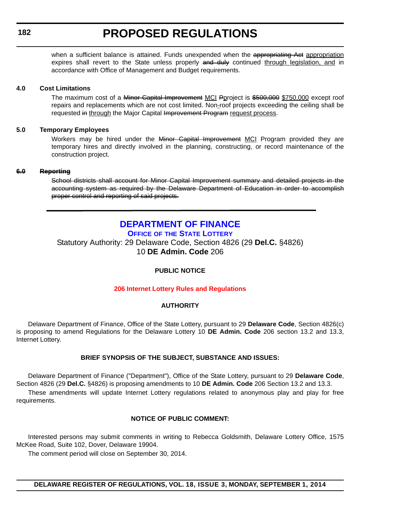#### <span id="page-12-0"></span>**182**

# **PROPOSED REGULATIONS**

when a sufficient balance is attained. Funds unexpended when the appropriating Act appropriation expires shall revert to the State unless properly and duly continued through legislation, and in accordance with Office of Management and Budget requirements.

#### **4.0 Cost Limitations**

The maximum cost of a Minor Capital Improvement MCI Pproject is \$500,000 \$750,000 except roof repairs and replacements which are not cost limited. Non-roof projects exceeding the ceiling shall be requested in through the Major Capital Improvement Program request process.

#### **5.0 Temporary Employees**

Workers may be hired under the Minor Capital Improvement MCI Program provided they are temporary hires and directly involved in the planning, constructing, or record maintenance of the construction project.

#### **6.0 Reporting**

School districts shall account for Minor Capital Improvement summary and detailed projects in the accounting system as required by the Delaware Department of Education in order to accomplish proper control and reporting of said projects.

# **[DEPARTMENT OF FINANCE](http://www.delottery.com/index.asp)**

**OFFICE OF THE STATE LOTTERY**

Statutory Authority: 29 Delaware Code, Section 4826 (29 **Del.C.** §4826) 10 **DE Admin. Code** 206

#### **PUBLIC NOTICE**

#### **[206 Internet Lottery Rules and Regulations](#page-3-0)**

#### **AUTHORITY**

Delaware Department of Finance, Office of the State Lottery, pursuant to 29 **Delaware Code**, Section 4826(c) is proposing to amend Regulations for the Delaware Lottery 10 **DE Admin. Code** 206 section 13.2 and 13.3, Internet Lottery.

#### **BRIEF SYNOPSIS OF THE SUBJECT, SUBSTANCE AND ISSUES:**

Delaware Department of Finance ("Department"), Office of the State Lottery, pursuant to 29 **Delaware Code**, Section 4826 (29 **Del.C.** §4826) is proposing amendments to 10 **DE Admin. Code** 206 Section 13.2 and 13.3.

These amendments will update Internet Lottery regulations related to anonymous play and play for free requirements.

#### **NOTICE OF PUBLIC COMMENT:**

Interested persons may submit comments in writing to Rebecca Goldsmith, Delaware Lottery Office, 1575 McKee Road, Suite 102, Dover, Delaware 19904.

The comment period will close on September 30, 2014.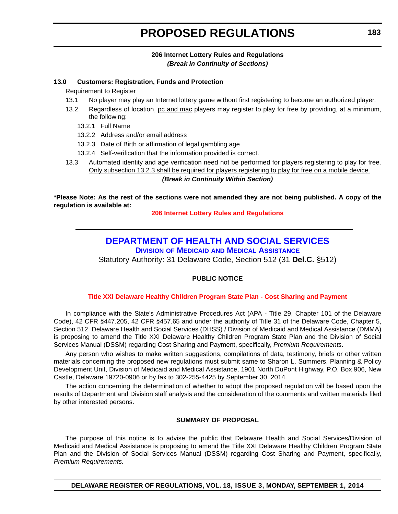### **206 Internet Lottery Rules and Regulations** *(Break in Continuity of Sections)*

#### <span id="page-13-0"></span>**13.0 Customers: Registration, Funds and Protection**

Requirement to Register

- 13.1 No player may play an Internet lottery game without first registering to become an authorized player.
- 13.2 Regardless of location, pc and mac players may register to play for free by providing, at a minimum, the following:
	- 13.2.1 Full Name
	- 13.2.2 Address and/or email address
	- 13.2.3 Date of Birth or affirmation of legal gambling age
	- 13.2.4 Self-verification that the information provided is correct.
- 13.3 Automated identity and age verification need not be performed for players registering to play for free. Only subsection 13.2.3 shall be required for players registering to play for free on a mobile device.

#### *(Break in Continuity Within Section)*

**\*Please Note: As the rest of the sections were not amended they are not being published. A copy of the regulation is available at:**

#### **[206 Internet Lottery Rules and Regulations](http://regulations.delaware.gov/register/september2014/proposed/18 DE Reg 182 09-01-14.htm)**

# **[DEPARTMENT OF HEALTH AND SOCIAL SERVICES](http://www.dhss.delaware.gov/dhss/dmma/)**

**DIVISION OF MEDICAID AND MEDICAL ASSISTANCE**

Statutory Authority: 31 Delaware Code, Section 512 (31 **Del.C.** §512)

### **PUBLIC NOTICE**

#### **[Title XXI Delaware Healthy Children Program State Plan - Cost Sharing and Payment](#page-3-0)**

In compliance with the State's Administrative Procedures Act (APA - Title 29, Chapter 101 of the Delaware Code), 42 CFR §447.205, 42 CFR §457.65 and under the authority of Title 31 of the Delaware Code, Chapter 5, Section 512, Delaware Health and Social Services (DHSS) / Division of Medicaid and Medical Assistance (DMMA) is proposing to amend the Title XXI Delaware Healthy Children Program State Plan and the Division of Social Services Manual (DSSM) regarding Cost Sharing and Payment, specifically, *Premium Requirements*.

Any person who wishes to make written suggestions, compilations of data, testimony, briefs or other written materials concerning the proposed new regulations must submit same to Sharon L. Summers, Planning & Policy Development Unit, Division of Medicaid and Medical Assistance, 1901 North DuPont Highway, P.O. Box 906, New Castle, Delaware 19720-0906 or by fax to 302-255-4425 by September 30, 2014.

The action concerning the determination of whether to adopt the proposed regulation will be based upon the results of Department and Division staff analysis and the consideration of the comments and written materials filed by other interested persons.

#### **SUMMARY OF PROPOSAL**

The purpose of this notice is to advise the public that Delaware Health and Social Services/Division of Medicaid and Medical Assistance is proposing to amend the Title XXI Delaware Healthy Children Program State Plan and the Division of Social Services Manual (DSSM) regarding Cost Sharing and Payment, specifically, *Premium Requirements.*

**DELAWARE REGISTER OF REGULATIONS, VOL. 18, ISSUE 3, MONDAY, SEPTEMBER 1, 2014**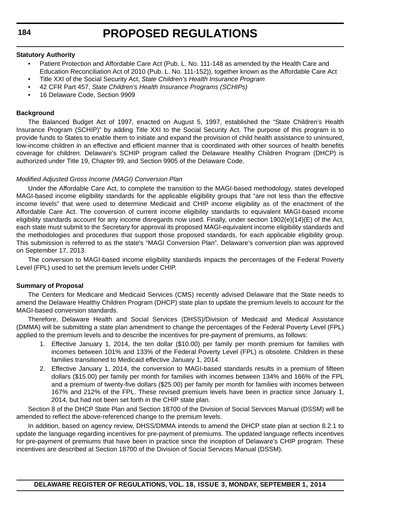#### **Statutory Authority**

- Patient Protection and Affordable Care Act (Pub. L. No. 111-148 as amended by the Health Care and Education Reconciliation Act of 2010 (Pub. L. No. 111-152)), together known as the Affordable Care Act
- Title XXI of the Social Security Act, *State Children's Health Insurance Program*
- 42 CFR Part 457, *State Children's Health Insurance Programs (SCHIPs)*
- 16 Delaware Code, Section 9909

#### **Background**

The Balanced Budget Act of 1997, enacted on August 5, 1997, established the "State Children's Health Insurance Program (SCHIP)" by adding Title XXI to the Social Security Act. The purpose of this program is to provide funds to States to enable them to initiate and expand the provision of child health assistance to uninsured, low-income children in an effective and efficient manner that is coordinated with other sources of health benefits coverage for children. Delaware's SCHIP program called the Delaware Healthy Children Program (DHCP) is authorized under Title 19, Chapter 99, and Section 9905 of the Delaware Code.

#### *Modified Adjusted Gross Income (MAGI) Conversion Plan*

Under the Affordable Care Act, to complete the transition to the MAGI-based methodology, states developed MAGI-based income eligibility standards for the applicable eligibility groups that "are not less than the effective income levels" that were used to determine Medicaid and CHIP income eligibility as of the enactment of the Affordable Care Act. The conversion of current income eligibility standards to equivalent MAGI-based income eligibility standards account for any income disregards now used. Finally, under section 1902(e)(14)(E) of the Act, each state must submit to the Secretary for approval its proposed MAGI-equivalent income eligibility standards and the methodologies and procedures that support those proposed standards, for each applicable eligibility group. This submission is referred to as the state's "MAGI Conversion Plan". Delaware's conversion plan was approved on September 17, 2013.

The conversion to MAGI-based income eligibility standards impacts the percentages of the Federal Poverty Level (FPL) used to set the premium levels under CHIP.

#### **Summary of Proposal**

The Centers for Medicare and Medicaid Services (CMS) recently advised Delaware that the State needs to amend the Delaware Healthy Children Program (DHCP) state plan to update the premium levels to account for the MAGI-based conversion standards.

Therefore, Delaware Health and Social Services (DHSS)/Division of Medicaid and Medical Assistance (DMMA) will be submitting a state plan amendment to change the percentages of the Federal Poverty Level (FPL) applied to the premium levels and to describe the incentives for pre-payment of premiums, as follows:

- 1. Effective January 1, 2014, the ten dollar (\$10.00) per family per month premium for families with incomes between 101% and 133% of the Federal Poverty Level (FPL) is obsolete. Children in these families transitioned to Medicaid effective January 1, 2014.
- 2. Effective January 1, 2014, the conversion to MAGI-based standards results in a premium of fifteen dollars (\$15.00) per family per month for families with incomes between 134% and 166% of the FPL and a premium of twenty-five dollars (\$25.00) per family per month for families with incomes between 167% and 212% of the FPL. These revised premium levels have been in practice since January 1, 2014, but had not been set forth in the CHIP state plan.

Section 8 of the DHCP State Plan and Section 18700 of the Division of Social Services Manual (DSSM) will be amended to reflect the above-referenced change to the premium levels.

In addition, based on agency review, DHSS/DMMA intends to amend the DHCP state plan at section 8.2.1 to update the language regarding incentives for pre-payment of premiums. The updated language reflects incentives for pre-payment of premiums that have been in practice since the inception of Delaware's CHIP program. These incentives are described at Section 18700 of the Division of Social Services Manual (DSSM).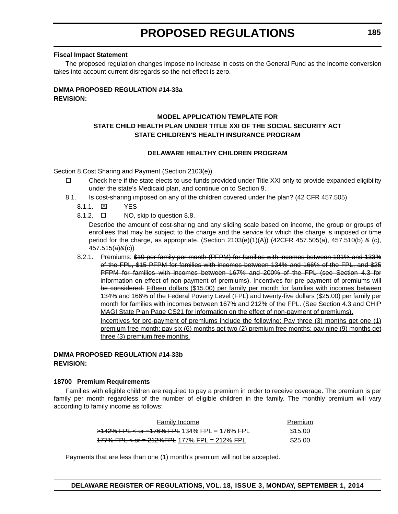#### **Fiscal Impact Statement**

The proposed regulation changes impose no increase in costs on the General Fund as the income conversion takes into account current disregards so the net effect is zero.

#### **DMMA PROPOSED REGULATION #14-33a REVISION:**

### **MODEL APPLICATION TEMPLATE FOR STATE CHILD HEALTH PLAN UNDER TITLE XXI OF THE SOCIAL SECURITY ACT STATE CHILDREN'S HEALTH INSURANCE PROGRAM**

#### **DELAWARE HEALTHY CHILDREN PROGRAM**

Section 8.Cost Sharing and Payment (Section 2103(e))

- $\Box$  Check here if the state elects to use funds provided under Title XXI only to provide expanded eligibility under the state's Medicaid plan, and continue on to Section 9.
- 8.1. Is cost-sharing imposed on any of the children covered under the plan? (42 CFR 457.505)
	- 8.1.1. YES
	- 8.1.2.  $\Box$  NO, skip to question 8.8.

Describe the amount of cost-sharing and any sliding scale based on income, the group or groups of enrollees that may be subject to the charge and the service for which the charge is imposed or time period for the charge, as appropriate. (Section 2103(e)(1)(A)) (42CFR 457.505(a), 457.510(b) & (c), 457.515(a)&(c))

8.2.1. Premiums: \$10 per family per month (PFPM) for families with incomes between 101% and 133% of the FPL, \$15 PFPM for families with incomes between 134% and 166% of the FPL, and \$25 PFPM for families with incomes between 167% and 200% of the FPL (see Section 4.3 for information on effect of non-payment of premiums). Incentives for pre-payment of premiums will be considered. Fifteen dollars (\$15.00) per family per month for families with incomes between 134% and 166% of the Federal Poverty Level (FPL) and twenty-five dollars (\$25.00) per family per month for families with incomes between 167% and 212% of the FPL. (See Section 4.3 and CHIP MAGI State Plan Page CS21 for information on the effect of non-payment of premiums). Incentives for pre-payment of premiums include the following: Pay three (3) months get one (1) premium free month; pay six (6) months get two (2) premium free months; pay nine (9) months get

#### **DMMA PROPOSED REGULATION #14-33b REVISION:**

three (3) premium free months.

#### **18700 Premium Requirements**

Families with eligible children are required to pay a premium in order to receive coverage. The premium is per family per month regardless of the number of eligible children in the family. The monthly premium will vary according to family income as follows:

| <b>Family Income</b>                                 | Premium |
|------------------------------------------------------|---------|
| $>142\%$ FPL < or =176% FPL 134% FPL = 176% FPL      | \$15.00 |
| $177\%$ FPL $\leq$ or = 212% FPL 177% FPL = 212% FPL | \$25.00 |

Payments that are less than one  $(1)$  month's premium will not be accepted.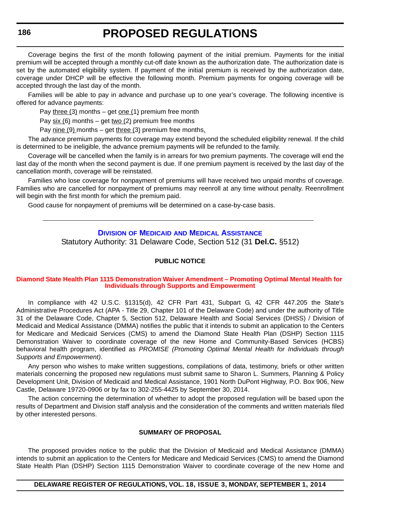<span id="page-16-0"></span>Coverage begins the first of the month following payment of the initial premium. Payments for the initial premium will be accepted through a monthly cut-off date known as the authorization date. The authorization date is set by the automated eligibility system. If payment of the initial premium is received by the authorization date, coverage under DHCP will be effective the following month. Premium payments for ongoing coverage will be accepted through the last day of the month.

Families will be able to pay in advance and purchase up to one year's coverage. The following incentive is offered for advance payments:

Pay three  $(3)$  months – get one  $(1)$  premium free month

Pay  $six(6)$  months – get two (2) premium free months

Pay nine (9) months – get three (3) premium free months.

The advance premium payments for coverage may extend beyond the scheduled eligibility renewal. If the child is determined to be ineligible, the advance premium payments will be refunded to the family.

Coverage will be cancelled when the family is in arrears for two premium payments. The coverage will end the last day of the month when the second payment is due. If one premium payment is received by the last day of the cancellation month, coverage will be reinstated.

Families who lose coverage for nonpayment of premiums will have received two unpaid months of coverage. Families who are cancelled for nonpayment of premiums may reenroll at any time without penalty. Reenrollment will begin with the first month for which the premium paid.

Good cause for nonpayment of premiums will be determined on a case-by-case basis.

#### **DIVISION OF MEDICAID [AND MEDICAL ASSISTANCE](http://www.dhss.delaware.gov/dhss/dmma/)**

Statutory Authority: 31 Delaware Code, Section 512 (31 **Del.C.** §512)

#### **PUBLIC NOTICE**

#### **[Diamond State Health Plan 1115 Demonstration Waiver Amendment – Promoting Optimal Mental Health for](#page-3-0)  Individuals through Supports and Empowerment**

In compliance with 42 U.S.C. §1315(d), 42 CFR Part 431, Subpart G, 42 CFR 447.205 the State's Administrative Procedures Act (APA - Title 29, Chapter 101 of the Delaware Code) and under the authority of Title 31 of the Delaware Code, Chapter 5, Section 512, Delaware Health and Social Services (DHSS) / Division of Medicaid and Medical Assistance (DMMA) notifies the public that it intends to submit an application to the Centers for Medicare and Medicaid Services (CMS) to amend the Diamond State Health Plan (DSHP) Section 1115 Demonstration Waiver to coordinate coverage of the new Home and Community-Based Services (HCBS) behavioral health program, identified as *PROMISE (Promoting Optimal Mental Health for Individuals through Supports and Empowerment)*.

Any person who wishes to make written suggestions, compilations of data, testimony, briefs or other written materials concerning the proposed new regulations must submit same to Sharon L. Summers, Planning & Policy Development Unit, Division of Medicaid and Medical Assistance, 1901 North DuPont Highway, P.O. Box 906, New Castle, Delaware 19720-0906 or by fax to 302-255-4425 by September 30, 2014.

The action concerning the determination of whether to adopt the proposed regulation will be based upon the results of Department and Division staff analysis and the consideration of the comments and written materials filed by other interested persons.

#### **SUMMARY OF PROPOSAL**

The proposed provides notice to the public that the Division of Medicaid and Medical Assistance (DMMA) intends to submit an application to the Centers for Medicare and Medicaid Services (CMS) to amend the Diamond State Health Plan (DSHP) Section 1115 Demonstration Waiver to coordinate coverage of the new Home and

#### **DELAWARE REGISTER OF REGULATIONS, VOL. 18, ISSUE 3, MONDAY, SEPTEMBER 1, 2014**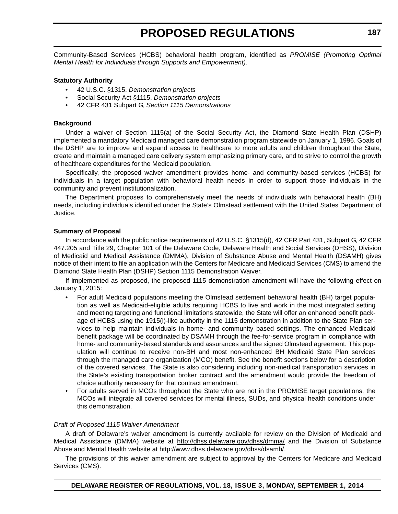Community-Based Services (HCBS) behavioral health program, identified as *PROMISE (Promoting Optimal Mental Health for Individuals through Supports and Empowerment)*.

#### **Statutory Authority**

- 42 U.S.C. §1315, *Demonstration projects*
- Social Security Act §1115, *Demonstration projects*
- 42 CFR 431 Subpart G, *Section 1115 Demonstrations*

#### **Background**

Under a waiver of Section 1115(a) of the Social Security Act, the Diamond State Health Plan (DSHP) implemented a mandatory Medicaid managed care demonstration program statewide on January 1, 1996. Goals of the DSHP are to improve and expand access to healthcare to more adults and children throughout the State, create and maintain a managed care delivery system emphasizing primary care, and to strive to control the growth of healthcare expenditures for the Medicaid population.

Specifically, the proposed waiver amendment provides home- and community-based services (HCBS) for individuals in a target population with behavioral health needs in order to support those individuals in the community and prevent institutionalization.

The Department proposes to comprehensively meet the needs of individuals with behavioral health (BH) needs, including individuals identified under the State's Olmstead settlement with the United States Department of Justice.

#### **Summary of Proposal**

In accordance with the public notice requirements of 42 U.S.C. §1315(d), 42 CFR Part 431, Subpart G, 42 CFR 447.205 and Title 29, Chapter 101 of the Delaware Code, Delaware Health and Social Services (DHSS), Division of Medicaid and Medical Assistance (DMMA), Division of Substance Abuse and Mental Health (DSAMH) gives notice of their intent to file an application with the Centers for Medicare and Medicaid Services (CMS) to amend the Diamond State Health Plan (DSHP) Section 1115 Demonstration Waiver.

If implemented as proposed, the proposed 1115 demonstration amendment will have the following effect on January 1, 2015:

- For adult Medicaid populations meeting the Olmstead settlement behavioral health (BH) target population as well as Medicaid-eligible adults requiring HCBS to live and work in the most integrated setting and meeting targeting and functional limitations statewide, the State will offer an enhanced benefit package of HCBS using the 1915(i)-like authority in the 1115 demonstration in addition to the State Plan services to help maintain individuals in home- and community based settings. The enhanced Medicaid benefit package will be coordinated by DSAMH through the fee-for-service program in compliance with home- and community-based standards and assurances and the signed Olmstead agreement. This population will continue to receive non-BH and most non-enhanced BH Medicaid State Plan services through the managed care organization (MCO) benefit. See the benefit sections below for a description of the covered services. The State is also considering including non-medical transportation services in the State's existing transportation broker contract and the amendment would provide the freedom of choice authority necessary for that contract amendment.
- For adults served in MCOs throughout the State who are not in the PROMISE target populations, the MCOs will integrate all covered services for mental illness, SUDs, and physical health conditions under this demonstration.

#### *Draft of Proposed 1115 Waiver Amendment*

A draft of Delaware's waiver amendment is currently available for review on the Division of Medicaid and Medical Assistance (DMMA) website at http://dhss.delaware.gov/dhss/dmma/ and the Division of Substance Abuse and Mental Health website at http://www.dhss.delaware.gov/dhss/dsamh/.

The provisions of this waiver amendment are subject to approval by the Centers for Medicare and Medicaid Services (CMS).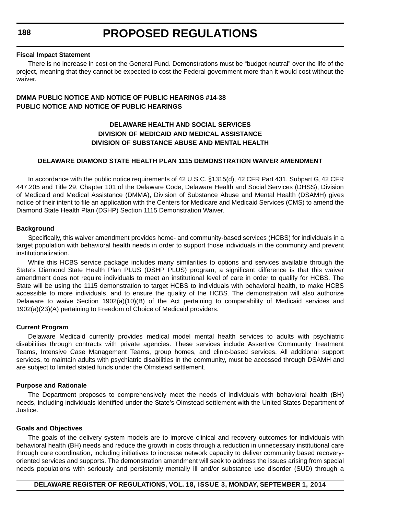#### **Fiscal Impact Statement**

There is no increase in cost on the General Fund. Demonstrations must be "budget neutral" over the life of the project, meaning that they cannot be expected to cost the Federal government more than it would cost without the waiver.

### **DMMA PUBLIC NOTICE AND NOTICE OF PUBLIC HEARINGS #14-38 PUBLIC NOTICE AND NOTICE OF PUBLIC HEARINGS**

### **DELAWARE HEALTH AND SOCIAL SERVICES DIVISION OF MEDICAID AND MEDICAL ASSISTANCE DIVISION OF SUBSTANCE ABUSE AND MENTAL HEALTH**

#### **DELAWARE DIAMOND STATE HEALTH PLAN 1115 DEMONSTRATION WAIVER AMENDMENT**

In accordance with the public notice requirements of 42 U.S.C. §1315(d), 42 CFR Part 431, Subpart G, 42 CFR 447.205 and Title 29, Chapter 101 of the Delaware Code, Delaware Health and Social Services (DHSS), Division of Medicaid and Medical Assistance (DMMA), Division of Substance Abuse and Mental Health (DSAMH) gives notice of their intent to file an application with the Centers for Medicare and Medicaid Services (CMS) to amend the Diamond State Health Plan (DSHP) Section 1115 Demonstration Waiver.

#### **Background**

Specifically, this waiver amendment provides home- and community-based services (HCBS) for individuals in a target population with behavioral health needs in order to support those individuals in the community and prevent institutionalization.

While this HCBS service package includes many similarities to options and services available through the State's Diamond State Health Plan PLUS (DSHP PLUS) program, a significant difference is that this waiver amendment does not require individuals to meet an institutional level of care in order to qualify for HCBS. The State will be using the 1115 demonstration to target HCBS to individuals with behavioral health, to make HCBS accessible to more individuals, and to ensure the quality of the HCBS. The demonstration will also authorize Delaware to waive Section 1902(a)(10)(B) of the Act pertaining to comparability of Medicaid services and 1902(a)(23)(A) pertaining to Freedom of Choice of Medicaid providers.

#### **Current Program**

Delaware Medicaid currently provides medical model mental health services to adults with psychiatric disabilities through contracts with private agencies. These services include Assertive Community Treatment Teams, Intensive Case Management Teams, group homes, and clinic-based services. All additional support services, to maintain adults with psychiatric disabilities in the community, must be accessed through DSAMH and are subject to limited stated funds under the Olmstead settlement.

#### **Purpose and Rationale**

The Department proposes to comprehensively meet the needs of individuals with behavioral health (BH) needs, including individuals identified under the State's Olmstead settlement with the United States Department of Justice.

#### **Goals and Objectives**

The goals of the delivery system models are to improve clinical and recovery outcomes for individuals with behavioral health (BH) needs and reduce the growth in costs through a reduction in unnecessary institutional care through care coordination, including initiatives to increase network capacity to deliver community based recoveryoriented services and supports. The demonstration amendment will seek to address the issues arising from special needs populations with seriously and persistently mentally ill and/or substance use disorder (SUD) through a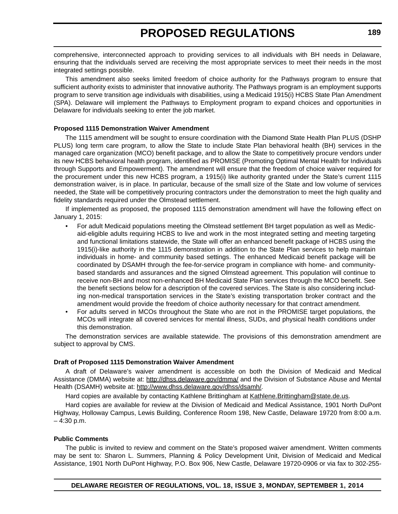comprehensive, interconnected approach to providing services to all individuals with BH needs in Delaware, ensuring that the individuals served are receiving the most appropriate services to meet their needs in the most integrated settings possible.

This amendment also seeks limited freedom of choice authority for the Pathways program to ensure that sufficient authority exists to administer that innovative authority. The Pathways program is an employment supports program to serve transition age individuals with disabilities, using a Medicaid 1915(i) HCBS State Plan Amendment (SPA). Delaware will implement the Pathways to Employment program to expand choices and opportunities in Delaware for individuals seeking to enter the job market.

#### **Proposed 1115 Demonstration Waiver Amendment**

The 1115 amendment will be sought to ensure coordination with the Diamond State Health Plan PLUS (DSHP PLUS) long term care program, to allow the State to include State Plan behavioral health (BH) services in the managed care organization (MCO) benefit package, and to allow the State to competitively procure vendors under its new HCBS behavioral health program, identified as PROMISE (Promoting Optimal Mental Health for Individuals through Supports and Empowerment). The amendment will ensure that the freedom of choice waiver required for the procurement under this new HCBS program, a 1915(i) like authority granted under the State's current 1115 demonstration waiver, is in place. In particular, because of the small size of the State and low volume of services needed, the State will be competitively procuring contractors under the demonstration to meet the high quality and fidelity standards required under the Olmstead settlement.

If implemented as proposed, the proposed 1115 demonstration amendment will have the following effect on January 1, 2015:

- For adult Medicaid populations meeting the Olmstead settlement BH target population as well as Medicaid-eligible adults requiring HCBS to live and work in the most integrated setting and meeting targeting and functional limitations statewide, the State will offer an enhanced benefit package of HCBS using the 1915(i)-like authority in the 1115 demonstration in addition to the State Plan services to help maintain individuals in home- and community based settings. The enhanced Medicaid benefit package will be coordinated by DSAMH through the fee-for-service program in compliance with home- and communitybased standards and assurances and the signed Olmstead agreement. This population will continue to receive non-BH and most non-enhanced BH Medicaid State Plan services through the MCO benefit. See the benefit sections below for a description of the covered services. The State is also considering including non-medical transportation services in the State's existing transportation broker contract and the amendment would provide the freedom of choice authority necessary for that contract amendment.
- For adults served in MCOs throughout the State who are not in the PROMISE target populations, the MCOs will integrate all covered services for mental illness, SUDs, and physical health conditions under this demonstration.

The demonstration services are available statewide. The provisions of this demonstration amendment are subject to approval by CMS.

#### **Draft of Proposed 1115 Demonstration Waiver Amendment**

A draft of Delaware's waiver amendment is accessible on both the Division of Medicaid and Medical Assistance (DMMA) website at: <http://dhss.delaware.gov/dmma/>and the Division of Substance Abuse and Mental Health (DSAMH) website at: <http://www.dhss.delaware.gov/dhss/dsamh/>.

Hard copies are available by contacting Kathlene Brittingham at Kathlene. Brittingham@state.de.us.

Hard copies are available for review at the Division of Medicaid and Medical Assistance, 1901 North DuPont Highway, Holloway Campus, Lewis Building, Conference Room 198, New Castle, Delaware 19720 from 8:00 a.m. – 4:30 p.m.

#### **Public Comments**

The public is invited to review and comment on the State's proposed waiver amendment. Written comments may be sent to: Sharon L. Summers, Planning & Policy Development Unit, Division of Medicaid and Medical Assistance, 1901 North DuPont Highway, P.O. Box 906, New Castle, Delaware 19720-0906 or via fax to 302-255-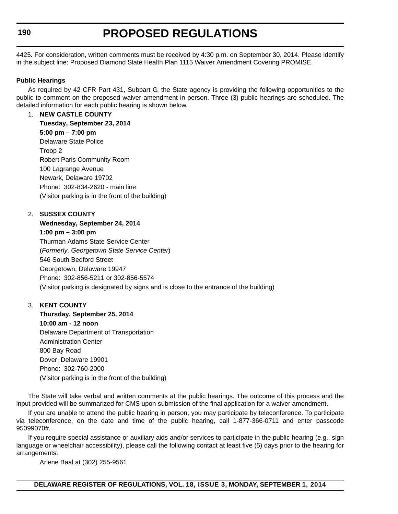4425. For consideration, written comments must be received by 4:30 p.m. on September 30, 2014. Please identify in the subject line: Proposed Diamond State Health Plan 1115 Waiver Amendment Covering PROMISE.

#### **Public Hearings**

As required by 42 CFR Part 431, Subpart G, the State agency is providing the following opportunities to the public to comment on the proposed waiver amendment in person. Three (3) public hearings are scheduled. The detailed information for each public hearing is shown below.

1. **NEW CASTLE COUNTY Tuesday, September 23, 2014 5:00 pm – 7:00 pm** Delaware State Police Troop 2 Robert Paris Community Room 100 Lagrange Avenue Newark, Delaware 19702 Phone: 302-834-2620 - main line (Visitor parking is in the front of the building)

#### 2. **SUSSEX COUNTY**

**Wednesday, September 24, 2014 1:00 pm – 3:00 pm** Thurman Adams State Service Center (*Formerly, Georgetown State Service Center*) 546 South Bedford Street Georgetown, Delaware 19947 Phone: 302-856-5211 or 302-856-5574 (Visitor parking is designated by signs and is close to the entrance of the building)

#### 3. **KENT COUNTY**

**Thursday, September 25, 2014 10:00 am - 12 noon** Delaware Department of Transportation Administration Center 800 Bay Road Dover, Delaware 19901 Phone: 302-760-2000 (Visitor parking is in the front of the building)

The State will take verbal and written comments at the public hearings. The outcome of this process and the input provided will be summarized for CMS upon submission of the final application for a waiver amendment.

If you are unable to attend the public hearing in person, you may participate by teleconference. To participate via teleconference, on the date and time of the public hearing, call 1-877-366-0711 and enter passcode 95099070#.

If you require special assistance or auxiliary aids and/or services to participate in the public hearing (e.g., sign language or wheelchair accessibility), please call the following contact at least five (5) days prior to the hearing for arrangements:

Arlene Baal at (302) 255-9561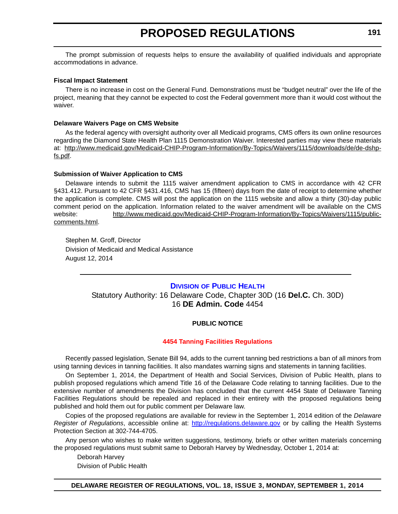<span id="page-21-0"></span>The prompt submission of requests helps to ensure the availability of qualified individuals and appropriate accommodations in advance.

#### **Fiscal Impact Statement**

There is no increase in cost on the General Fund. Demonstrations must be "budget neutral" over the life of the project, meaning that they cannot be expected to cost the Federal government more than it would cost without the waiver.

#### **Delaware Waivers Page on CMS Website**

As the federal agency with oversight authority over all Medicaid programs, CMS offers its own online resources regarding the Diamond State Health Plan 1115 Demonstration Waiver. Interested parties may view these materials at: http://www.medicaid.gov/Medicaid-CHIP-Program-Information/By-Topics/Waivers/1115/downloads/de/de-dshpfs.pdf.

#### **Submission of Waiver Application to CMS**

Delaware intends to submit the 1115 waiver amendment application to CMS in accordance with 42 CFR §431.412. Pursuant to 42 CFR §431.416, CMS has 15 (fifteen) days from the date of receipt to determine whether the application is complete. CMS will post the application on the 1115 website and allow a thirty (30)-day public comment period on the application. Information related to the waiver amendment will be available on the CMS website: http://www.medicaid.gov/Medicaid-CHIP-Program-Information/By-Topics/Waivers/1115/publiccomments.html.

Stephen M. Groff, Director Division of Medicaid and Medical Assistance August 12, 2014

#### **DIVISION [OF PUBLIC HEALTH](http://www.dhss.delaware.gov/dhss/dph/index.html)**

Statutory Authority: 16 Delaware Code, Chapter 30D (16 **Del.C.** Ch. 30D) 16 **DE Admin. Code** 4454

#### **PUBLIC NOTICE**

#### **[4454 Tanning Facilities Regulations](#page-3-0)**

Recently passed legislation, Senate Bill 94, adds to the current tanning bed restrictions a ban of all minors from using tanning devices in tanning facilities. It also mandates warning signs and statements in tanning facilities.

On September 1, 2014, the Department of Health and Social Services, Division of Public Health, plans to publish proposed regulations which amend Title 16 of the Delaware Code relating to tanning facilities. Due to the extensive number of amendments the Division has concluded that the current 4454 State of Delaware Tanning Facilities Regulations should be repealed and replaced in their entirety with the proposed regulations being published and hold them out for public comment per Delaware law.

Copies of the proposed regulations are available for review in the September 1, 2014 edition of the *Delaware Register of Regulations*, accessible online at: <http://regulations.delaware.gov> or by calling the Health Systems Protection Section at 302-744-4705.

Any person who wishes to make written suggestions, testimony, briefs or other written materials concerning the proposed regulations must submit same to Deborah Harvey by Wednesday, October 1, 2014 at:

Deborah Harvey Division of Public Health

**DELAWARE REGISTER OF REGULATIONS, VOL. 18, ISSUE 3, MONDAY, SEPTEMBER 1, 2014**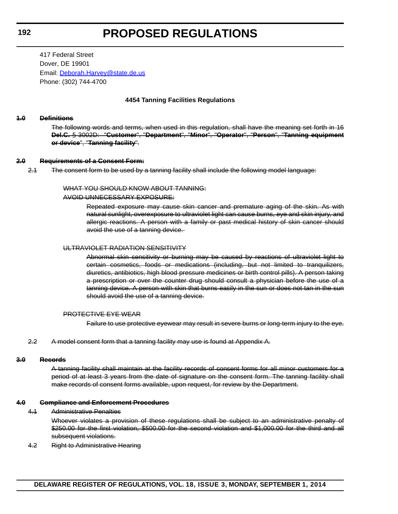417 Federal Street Dover, DE 19901 Email: [Deborah.Harvey@state.de.us](mailto:Deborah.Harvey@state.de.us) Phone: (302) 744-4700

#### **4454 Tanning Facilities Regulations**

#### **1.0 Definitions**

The following words and terms, when used in this regulation, shall have the meaning set forth in 16 **Del.C.** § 3002D: "**Customer**", "**Department**", "**Minor**", "**Operator**", "**Person**", "**Tanning equipment or device**", "**Tanning facility**".

#### **2.0 Requirements of a Consent Form:**

2.1 The consent form to be used by a tanning facility shall include the following model language:

#### WHAT YOU SHOULD KNOW ABOUT TANNING:

#### AVOID UNNECESSARY EXPOSURE:

Repeated exposure may cause skin cancer and premature aging of the skin. As with natural sunlight, overexposure to ultraviolet light can cause burns, eye and skin injury, and allergic reactions. A person with a family or past medical history of skin cancer should avoid the use of a tanning device.

#### ULTRAVIOLET RADIATION SENSITIVITY

Abnormal skin sensitivity or burning may be caused by reactions of ultraviolet light to certain cosmetics, foods or medications (including, but not limited to tranquilizers, diuretics, antibiotics, high blood pressure medicines or birth control pills). A person taking a prescription or over the counter drug should consult a physician before the use of a tanning device. A person with skin that burns easily in the sun or does not tan in the sun should avoid the use of a tanning device.

#### PROTECTIVE EYE WEAR

Failure to use protective eyewear may result in severe burns or long-term injury to the eye.

2.2 A model consent form that a tanning facility may use is found at Appendix A.

#### **3.0 Records**

A tanning facility shall maintain at the facility records of consent forms for all minor customers for a period of at least 3 years from the date of signature on the consent form. The tanning facility shall make records of consent forms available, upon request, for review by the Department.

#### **4.0 Compliance and Enforcement Procedures**

4.1 Administrative Penalties

Whoever violates a provision of these regulations shall be subject to an administrative penalty of \$250.00 for the first violation, \$500.00 for the second violation and \$1,000.00 for the third and all subsequent violations.

4.2 Right to Administrative Hearing

**DELAWARE REGISTER OF REGULATIONS, VOL. 18, ISSUE 3, MONDAY, SEPTEMBER 1, 2014**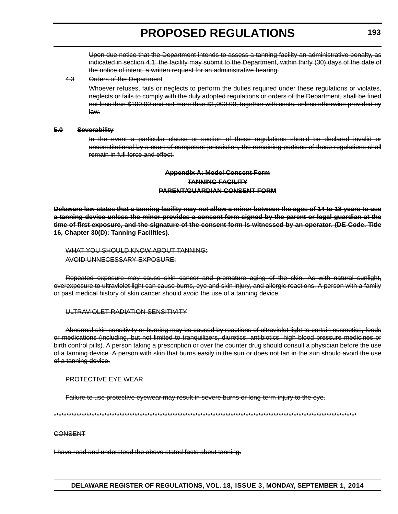Upon due notice that the Department intends to assess a tanning facility an administrative penalty, as indicated in section 4.1, the facility may submit to the Department, within thirty (30) days of the date of the notice of intent, a written request for an administrative hearing.

#### 4.3 Orders of the Department

Whoever refuses, fails or neglects to perform the duties required under these requlations or violates, neglects or fails to comply with the duly adopted regulations or orders of the Department, shall be fined not less than \$100.00 and not more than \$1,000.00, together with costs, unless otherwise provided by law.

#### **5.0 Severability**

In the event a particular clause or section of these regulations should be declared invalid or unconstitutional by a court of competent jurisdiction, the remaining portions of these regulations shall remain in full force and effect.

### **Appendix A: Model Consent Form TANNING FACILITY PARENT/GUARDIAN CONSENT FORM**

**Delaware law states that a tanning facility may not allow a minor between the ages of 14 to 18 years to use a tanning device unless the minor provides a consent form signed by the parent or legal guardian at the time of first exposure, and the signature of the consent form is witnessed by an operator. (DE Code. Title 16, Chapter 30(D): Tanning Facilities).**

WHAT YOU SHOULD KNOW ABOUT TANNING: AVOID UNNECESSARY EXPOSURE:

Repeated exposure may cause skin cancer and premature aging of the skin. As with natural sunlight, overexposure to ultraviolet light can cause burns, eye and skin injury, and allergic reactions. A person with a family or past medical history of skin cancer should avoid the use of a tanning device.

#### ULTRAVIOLET RADIATION SENSITIVITY

Abnormal skin sensitivity or burning may be caused by reactions of ultraviolet light to certain cosmetics, foods or medications (including, but not limited to tranquilizers, diuretics, antibiotics, high blood pressure medicines or birth control pills). A person taking a prescription or over the counter drug should consult a physician before the use of a tanning device. A person with skin that burns easily in the sun or does not tan in the sun should avoid the use of a tanning device.

#### PROTECTIVE EYE WEAR

Failure to use protective eyewear may result in severe burns or long-term injury to the eye.

\*\*\*\*\*\*\*\*\*\*\*\*\*\*\*\*\*\*\*\*\*\*\*\*\*\*\*\*\*\*\*\*\*\*\*\*\*\*\*\*\*\*\*\*\*\*\*\*\*\*\*\*\*\*\*\*\*\*\*\*\*\*\*\*\*\*\*\*\*\*\*\*\*\*\*\*\*\*\*\*\*\*\*\*\*\*\*\*\*\*\*\*\*\*\*\*\*\*\*\*\*\*\*\*\*\*\*\*\*\*\*\*\*\*\*\*\*\*\*\*

#### **CONSENT**

I have read and understood the above stated facts about tanning.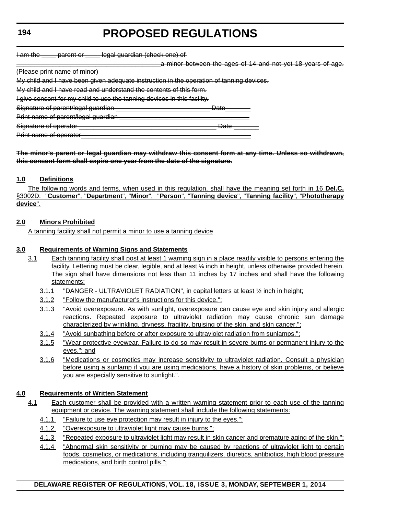| $l$ am tha         | norant or           | logal quardian (chook ano) of |  |
|--------------------|---------------------|-------------------------------|--|
| <del>ram uro</del> | <del>parom or</del> |                               |  |

a minor between the ages of 14 and not yet 18 years of age.

(Please print name of minor)

My child and I have been given adequate instruction in the operation of tanning devices.

My child and I have read and understand the contents of this form.

I give consent for my child to use the tanning devices in this facility.

Signature of parent/legal guardian \_\_\_\_\_\_\_\_\_\_\_\_\_\_\_\_\_\_\_\_\_\_\_\_\_\_\_\_\_\_\_\_\_\_ Date\_\_\_\_

Print name of parent/legal guardian

Signature of operator \_\_\_\_\_\_\_\_\_\_\_\_\_\_\_\_\_\_\_\_\_\_\_\_\_\_\_\_\_\_\_\_\_\_\_\_\_\_ Date \_\_\_\_\_\_\_

Print name of operator\_\_\_\_\_\_\_\_\_\_\_\_\_\_\_\_\_\_\_\_\_\_\_\_\_\_\_\_\_\_\_\_\_\_\_\_\_\_\_\_\_\_\_\_\_\_\_

#### **The minor's parent or legal guardian may withdraw this consent form at any time. Unless so withdrawn, this consent form shall expire one year from the date of the signature.**

### **1.0 Definitions**

The following words and terms, when used in this regulation, shall have the meaning set forth in 16 **Del.C.** §3002D: "**Customer**", "**Department**", "**Minor**", "**Person**", "**Tanning device**", "**Tanning facility**", "**Phototherapy device**".

### **2.0 Minors Prohibited**

A tanning facility shall not permit a minor to use a tanning device

### **3.0 Requirements of Warning Signs and Statements**

- 3.1 Each tanning facility shall post at least 1 warning sign in a place readily visible to persons entering the facility. Lettering must be clear, legible, and at least ¼ inch in height, unless otherwise provided herein. The sign shall have dimensions not less than 11 inches by 17 inches and shall have the following statements:
	- 3.1.1 "DANGER ULTRAVIOLET RADIATION", in capital letters at least ½ inch in height;
	- 3.1.2 "Follow the manufacturer's instructions for this device.";
	- 3.1.3 "Avoid overexposure. As with sunlight, overexposure can cause eye and skin injury and allergic reactions. Repeated exposure to ultraviolet radiation may cause chronic sun damage characterized by wrinkling, dryness, fragility, bruising of the skin, and skin cancer.";
	- 3.1.4 "Avoid sunbathing before or after exposure to ultraviolet radiation from sunlamps.";
	- 3.1.5 "Wear protective eyewear. Failure to do so may result in severe burns or permanent injury to the eyes."; and
	- 3.1.6 "Medications or cosmetics may increase sensitivity to ultraviolet radiation. Consult a physician before using a sunlamp if you are using medications, have a history of skin problems, or believe you are especially sensitive to sunlight.".

### **4.0 Requirements of Written Statement**

- 4.1 Each customer shall be provided with a written warning statement prior to each use of the tanning equipment or device. The warning statement shall include the following statements:
	- 4.1.1 "Failure to use eye protection may result in injury to the eyes.";
	- 4.1.2 "Overexposure to ultraviolet light may cause burns.";
	- 4.1.3 "Repeated exposure to ultraviolet light may result in skin cancer and premature aging of the skin.";
	- 4.1.4 "Abnormal skin sensitivity or burning may be caused by reactions of ultraviolet light to certain foods, cosmetics, or medications, including tranquilizers, diuretics, antibiotics, high blood pressure medications, and birth control pills.";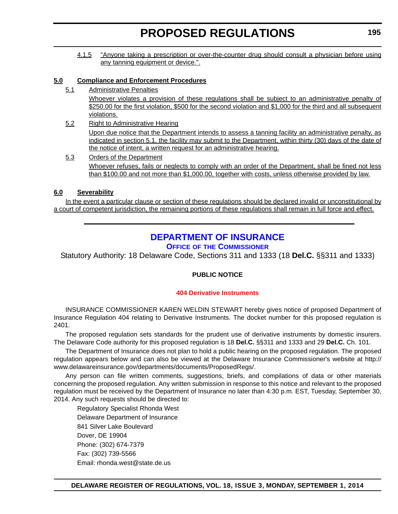<span id="page-25-0"></span>4.1.5 "Anyone taking a prescription or over-the-counter drug should consult a physician before using any tanning equipment or device.".

#### **5.0 Compliance and Enforcement Procedures**

5.1 Administrative Penalties

Whoever violates a provision of these regulations shall be subject to an administrative penalty of \$250.00 for the first violation, \$500 for the second violation and \$1,000 for the third and all subsequent violations.

- 5.2 Right to Administrative Hearing Upon due notice that the Department intends to assess a tanning facility an administrative penalty, as indicated in section 5.1, the facility may submit to the Department, within thirty (30) days of the date of the notice of intent, a written request for an administrative hearing.
- 5.3 Orders of the Department Whoever refuses, fails or neglects to comply with an order of the Department, shall be fined not less than \$100.00 and not more than \$1,000.00, together with costs, unless otherwise provided by law.

#### **6.0 Severability**

In the event a particular clause or section of these regulations should be declared invalid or unconstitutional by a court of competent jurisdiction, the remaining portions of these regulations shall remain in full force and effect.

# **[DEPARTMENT OF INSURANCE](http://www.delawareinsurance.gov/)**

#### **OFFICE OF THE COMMISSIONER**

Statutory Authority: 18 Delaware Code, Sections 311 and 1333 (18 **Del.C.** §§311 and 1333)

#### **PUBLIC NOTICE**

#### **[404 Derivative Instruments](#page-3-0)**

INSURANCE COMMISSIONER KAREN WELDIN STEWART hereby gives notice of proposed Department of Insurance Regulation 404 relating to Derivative Instruments. The docket number for this proposed regulation is 2401.

The proposed regulation sets standards for the prudent use of derivative instruments by domestic insurers. The Delaware Code authority for this proposed regulation is 18 **Del.C.** §§311 and 1333 and 29 **Del.C.** Ch. 101.

The Department of Insurance does not plan to hold a public hearing on the proposed regulation. The proposed regulation appears below and can also be viewed at the Delaware Insurance Commissioner's website at http:// www.delawareinsurance.gov/departments/documents/ProposedRegs/.

Any person can file written comments, suggestions, briefs, and compilations of data or other materials concerning the proposed regulation. Any written submission in response to this notice and relevant to the proposed regulation must be received by the Department of Insurance no later than 4:30 p.m. EST, Tuesday, September 30, 2014. Any such requests should be directed to:

Regulatory Specialist Rhonda West Delaware Department of Insurance 841 Silver Lake Boulevard Dover, DE 19904 Phone: (302) 674-7379 Fax: (302) 739-5566 Email: rhonda.west@state.de.us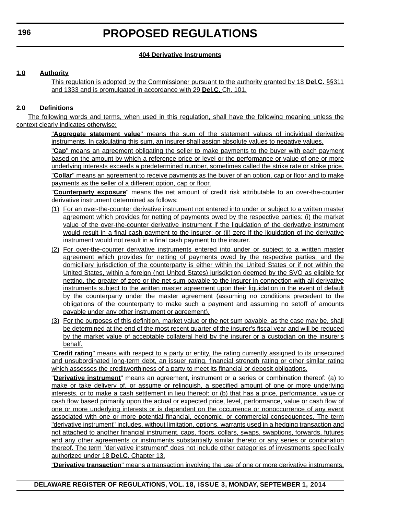#### **404 Derivative Instruments**

### **1.0 Authority**

This regulation is adopted by the Commissioner pursuant to the authority granted by 18 **Del.C.** §§311 and 1333 and is promulgated in accordance with 29 **Del.C.** Ch. 101.

#### **2.0 Definitions**

The following words and terms, when used in this regulation, shall have the following meaning unless the context clearly indicates otherwise:

> "**Aggregate statement value**" means the sum of the statement values of individual derivative instruments. In calculating this sum, an insurer shall assign absolute values to negative values.

> "**Cap**" means an agreement obligating the seller to make payments to the buyer with each payment based on the amount by which a reference price or level or the performance or value of one or more underlying interests exceeds a predetermined number, sometimes called the strike rate or strike price. "**Collar**" means an agreement to receive payments as the buyer of an option, cap or floor and to make

payments as the seller of a different option, cap or floor.

"**Counterparty exposure**" means the net amount of credit risk attributable to an over-the-counter derivative instrument determined as follows:

- (1) For an over-the-counter derivative instrument not entered into under or subject to a written master agreement which provides for netting of payments owed by the respective parties: (i) the market value of the over-the-counter derivative instrument if the liquidation of the derivative instrument would result in a final cash payment to the insurer; or (ii) zero if the liquidation of the derivative instrument would not result in a final cash payment to the insurer.
- (2) For over-the-counter derivative instruments entered into under or subject to a written master agreement which provides for netting of payments owed by the respective parties, and the domiciliary jurisdiction of the counterparty is either within the United States or if not within the United States, within a foreign (not United States) jurisdiction deemed by the SVO as eligible for netting, the greater of zero or the net sum payable to the insurer in connection with all derivative instruments subject to the written master agreement upon their liquidation in the event of default by the counterparty under the master agreement (assuming no conditions precedent to the obligations of the counterparty to make such a payment and assuming no setoff of amounts payable under any other instrument or agreement).
- (3) For the purposes of this definition, market value or the net sum payable, as the case may be, shall be determined at the end of the most recent quarter of the insurer's fiscal year and will be reduced by the market value of acceptable collateral held by the insurer or a custodian on the insurer's behalf.

"**Credit rating**" means with respect to a party or entity, the rating currently assigned to its unsecured and unsubordinated long-term debt, an issuer rating, financial strength rating or other similar rating which assesses the creditworthiness of a party to meet its financial or deposit obligations.

"**Derivative instrument**" means an agreement, instrument or a series or combination thereof: (a) to make or take delivery of, or assume or relinquish, a specified amount of one or more underlying interests, or to make a cash settlement in lieu thereof; or (b) that has a price, performance, value or cash flow based primarily upon the actual or expected price, level, performance, value or cash flow of one or more underlying interests or is dependent on the occurrence or nonoccurrence of any event associated with one or more potential financial, economic, or commercial consequences. The term "derivative instrument" includes, without limitation, options, warrants used in a hedging transaction and not attached to another financial instrument, caps, floors, collars, swaps, swaptions, forwards, futures and any other agreements or instruments substantially similar thereto or any series or combination thereof. The term "derivative instrument" does not include other categories of investments specifically authorized under 18 **Del.C.** Chapter 13.

"**Derivative transaction**" means a transaction involving the use of one or more derivative instruments.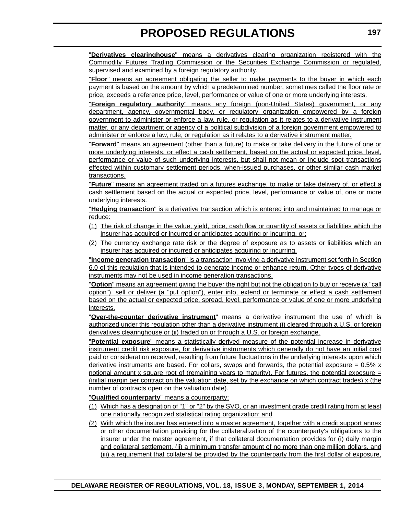"**Derivatives clearinghouse**" means a derivatives clearing organization registered with the Commodity Futures Trading Commission or the Securities Exchange Commission or regulated, supervised and examined by a foreign regulatory authority.

"**Floor**" means an agreement obligating the seller to make payments to the buyer in which each payment is based on the amount by which a predetermined number, sometimes called the floor rate or price, exceeds a reference price, level, performance or value of one or more underlying interests.

"**Foreign regulatory authority**" means any foreign (non-United States) government, or any department, agency, governmental body, or regulatory organization empowered by a foreign government to administer or enforce a law, rule, or regulation as it relates to a derivative instrument matter, or any department or agency of a political subdivision of a foreign government empowered to administer or enforce a law, rule, or regulation as it relates to a derivative instrument matter.

"**Forward**" means an agreement (other than a future) to make or take delivery in the future of one or more underlying interests, or effect a cash settlement, based on the actual or expected price, level, performance or value of such underlying interests, but shall not mean or include spot transactions effected within customary settlement periods, when-issued purchases, or other similar cash market transactions.

"**Future**" means an agreement traded on a futures exchange, to make or take delivery of, or effect a cash settlement based on the actual or expected price, level, performance or value of, one or more underlying interests.

"**Hedging transaction**" is a derivative transaction which is entered into and maintained to manage or reduce:

- (1) The risk of change in the value, yield, price, cash flow or quantity of assets or liabilities which the insurer has acquired or incurred or anticipates acquiring or incurring, or;
- (2) The currency exchange rate risk or the degree of exposure as to assets or liabilities which an insurer has acquired or incurred or anticipates acquiring or incurring.

"**Income generation transaction**" is a transaction involving a derivative instrument set forth in Section 6.0 of this regulation that is intended to generate income or enhance return. Other types of derivative instruments may not be used in income generation transactions.

"**Option**" means an agreement giving the buyer the right but not the obligation to buy or receive (a "call option"), sell or deliver (a "put option"), enter into, extend or terminate or effect a cash settlement based on the actual or expected price, spread, level, performance or value of one or more underlying interests.

"**Over-the-counter derivative instrument**" means a derivative instrument the use of which is authorized under this regulation other than a derivative instrument (i) cleared through a U.S. or foreign derivatives clearinghouse or (ii) traded on or through a U.S. or foreign exchange.

"**Potential exposure**" means a statistically derived measure of the potential increase in derivative instrument credit risk exposure, for derivative instruments which generally do not have an initial cost paid or consideration received, resulting from future fluctuations in the underlying interests upon which derivative instruments are based. For collars, swaps and forwards, the potential exposure  $= 0.5\%$  x notional amount x square root of (remaining years to maturity). For futures, the potential exposure  $=$ (initial margin per contract on the valuation date, set by the exchange on which contract trades) x (the number of contracts open on the valuation date).

"**Qualified counterparty**" means a counterparty:

- (1) Which has a designation of "1" or "2" by the SVO, or an investment grade credit rating from at least one nationally recognized statistical rating organization; and
- (2) With which the insurer has entered into a master agreement, together with a credit support annex or other documentation providing for the collateralization of the counterparty's obligations to the insurer under the master agreement, if that collateral documentation provides for (i) daily margin and collateral settlement, (ii) a minimum transfer amount of no more than one million dollars, and (iii) a requirement that collateral be provided by the counterparty from the first dollar of exposure,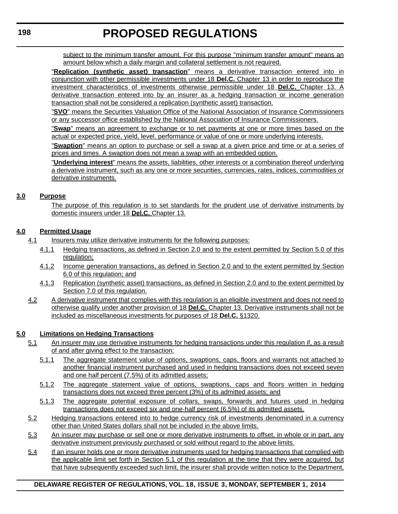subject to the minimum transfer amount. For this purpose "minimum transfer amount" means an amount below which a daily margin and collateral settlement is not required.

"**Replication (synthetic asset) transaction**" means a derivative transaction entered into in conjunction with other permissible investments under 18 **Del.C.** Chapter 13 in order to reproduce the investment characteristics of investments otherwise permissible under 18 **Del.C.** Chapter 13. A derivative transaction entered into by an insurer as a hedging transaction or income generation transaction shall not be considered a replication (synthetic asset) transaction.

"**SVO**" means the Securities Valuation Office of the National Association of Insurance Commissioners or any successor office established by the National Association of Insurance Commissioners.

"**Swap**" means an agreement to exchange or to net payments at one or more times based on the actual or expected price, yield, level, performance or value of one or more underlying interests.

"**Swaption**" means an option to purchase or sell a swap at a given price and time or at a series of prices and times. A swaption does not mean a swap with an embedded option.

"**Underlying interest**" means the assets, liabilities, other interests or a combination thereof underlying a derivative instrument, such as any one or more securities, currencies, rates, indices, commodities or derivative instruments.

#### **3.0 Purpose**

The purpose of this regulation is to set standards for the prudent use of derivative instruments by domestic insurers under 18 **Del.C.** Chapter 13.

#### **4.0 Permitted Usage**

- 4.1 Insurers may utilize derivative instruments for the following purposes:
	- 4.1.1 Hedging transactions, as defined in Section 2.0 and to the extent permitted by Section 5.0 of this regulation;
	- 4.1.2 Income generation transactions, as defined in Section 2.0 and to the extent permitted by Section 6.0 of this regulation; and
	- 4.1.3 Replication (synthetic asset) transactions, as defined in Section 2.0 and to the extent permitted by Section 7.0 of this regulation.
- 4.2 A derivative instrument that complies with this regulation is an eligible investment and does not need to otherwise qualify under another provision of 18 **Del.C.** Chapter 13. Derivative instruments shall not be included as miscellaneous investments for purposes of 18 **Del.C.** §1320.

### **5.0 Limitations on Hedging Transactions**

- 5.1 An insurer may use derivative instruments for hedging transactions under this regulation if, as a result of and after giving effect to the transaction:
	- 5.1.1 The aggregate statement value of options, swaptions, caps, floors and warrants not attached to another financial instrument purchased and used in hedging transactions does not exceed seven and one half percent (7.5%) of its admitted assets;
	- 5.1.2 The aggregate statement value of options, swaptions, caps and floors written in hedging transactions does not exceed three percent (3%) of its admitted assets; and
	- 5.1.3 The aggregate potential exposure of collars, swaps, forwards and futures used in hedging transactions does not exceed six and one-half percent (6.5%) of its admitted assets.
- 5.2 Hedging transactions entered into to hedge currency risk of investments denominated in a currency other than United States dollars shall not be included in the above limits.
- 5.3 An insurer may purchase or sell one or more derivative instruments to offset, in whole or in part, any derivative instrument previously purchased or sold without regard to the above limits.
- 5.4 If an insurer holds one or more derivative instruments used for hedging transactions that complied with the applicable limit set forth in Section 5.1 of this regulation at the time that they were acquired, but that have subsequently exceeded such limit, the insurer shall provide written notice to the Department,

### **DELAWARE REGISTER OF REGULATIONS, VOL. 18, ISSUE 3, MONDAY, SEPTEMBER 1, 2014**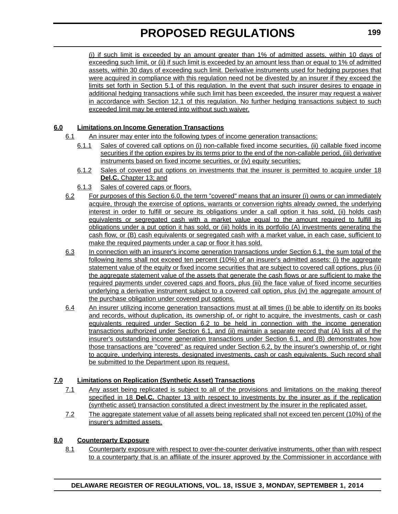(i) if such limit is exceeded by an amount greater than 1% of admitted assets, within 10 days of exceeding such limit, or (ii) if such limit is exceeded by an amount less than or equal to 1% of admitted assets, within 30 days of exceeding such limit. Derivative instruments used for hedging purposes that were acquired in compliance with this regulation need not be divested by an insurer if they exceed the limits set forth in Section 5.1 of this regulation. In the event that such insurer desires to engage in additional hedging transactions while such limit has been exceeded, the insurer may request a waiver in accordance with Section 12.1 of this regulation. No further hedging transactions subject to such exceeded limit may be entered into without such waiver.

### **6.0 Limitations on Income Generation Transactions**

- 6.1 An insurer may enter into the following types of income generation transactions:
	- 6.1.1 Sales of covered call options on (i) non-callable fixed income securities, (ii) callable fixed income securities if the option expires by its terms prior to the end of the non-callable period, (iii) derivative instruments based on fixed income securities, or (iv) equity securities;
	- 6.1.2 Sales of covered put options on investments that the insurer is permitted to acquire under 18 **Del.C.** Chapter 13; and
	- 6.1.3 Sales of covered caps or floors.
- 6.2 For purposes of this Section 6.0, the term "covered" means that an insurer (i) owns or can immediately acquire, through the exercise of options, warrants or conversion rights already owned, the underlying interest in order to fulfill or secure its obligations under a call option it has sold, (ii) holds cash equivalents or segregated cash with a market value equal to the amount required to fulfill its obligations under a put option it has sold, or (iii) holds in its portfolio (A) investments generating the cash flow, or (B) cash equivalents or segregated cash with a market value, in each case, sufficient to make the required payments under a cap or floor it has sold.
- 6.3 In connection with an insurer's income generation transactions under Section 6.1, the sum total of the following items shall not exceed ten percent (10%) of an insurer's admitted assets: (i) the aggregate statement value of the equity or fixed income securities that are subject to covered call options, plus (ii) the aggregate statement value of the assets that generate the cash flows or are sufficient to make the required payments under covered caps and floors, plus (iii) the face value of fixed income securities underlying a derivative instrument subject to a covered call option, plus (iv) the aggregate amount of the purchase obligation under covered put options.
- 6.4 An insurer utilizing income generation transactions must at all times (i) be able to identify on its books and records, without duplication, its ownership of, or right to acquire, the investments, cash or cash equivalents required under Section 6.2 to be held in connection with the income generation transactions authorized under Section 6.1, and (ii) maintain a separate record that (A) lists all of the insurer's outstanding income generation transactions under Section 6.1, and (B) demonstrates how those transactions are "covered" as required under Section 6.2, by the insurer's ownership of, or right to acquire, underlying interests, designated investments, cash or cash equivalents. Such record shall be submitted to the Department upon its request.

### **7.0 Limitations on Replication (Synthetic Asset) Transactions**

- 7.1 Any asset being replicated is subject to all of the provisions and limitations on the making thereof specified in 18 **Del.C.** Chapter 13 with respect to investments by the insurer as if the replication (synthetic asset) transaction constituted a direct investment by the insurer in the replicated asset.
- 7.2 The aggregate statement value of all assets being replicated shall not exceed ten percent (10%) of the insurer's admitted assets.

#### **8.0 Counterparty Exposure**

8.1 Counterparty exposure with respect to over-the-counter derivative instruments, other than with respect to a counterparty that is an affiliate of the insurer approved by the Commissioner in accordance with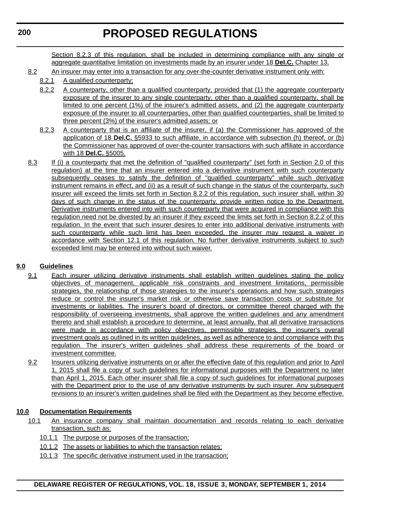Section 8.2.3 of this regulation, shall be included in determining compliance with any single or aggregate quantitative limitation on investments made by an insurer under 18 **Del.C.** Chapter 13.

- 8.2 An insurer may enter into a transaction for any over-the-counter derivative instrument only with:
	- 8.2.1 A qualified counterparty;
		- 8.2.2 A counterparty, other than a qualified counterparty, provided that (1) the aggregate counterparty exposure of the insurer to any single counterparty, other than a qualified counterparty, shall be limited to one percent (1%) of the insurer's admitted assets, and (2) the aggregate counterparty exposure of the insurer to all counterparties, other than qualified counterparties, shall be limited to three percent (3%) of the insurer's admitted assets; or
		- 8.2.3 A counterparty that is an affiliate of the insurer, if (a) the Commissioner has approved of the application of 18 **Del.C.** §5933 to such affiliate, in accordance with subsection (h) thereof, or (b) the Commissioner has approved of over-the-counter transactions with such affiliate in accordance with 18 **Del.C.** §5005.
- 8.3 If (i) a counterparty that met the definition of "qualified counterparty" (set forth in Section 2.0 of this regulation) at the time that an insurer entered into a derivative instrument with such counterparty subsequently ceases to satisfy the definition of "qualified counterparty" while such derivative instrument remains in effect, and (ii) as a result of such change in the status of the counterparty, such insurer will exceed the limits set forth in Section 8.2.2 of this regulation, such insurer shall, within 30 days of such change in the status of the counterparty, provide written notice to the Department. Derivative instruments entered into with such counterparty that were acquired in compliance with this regulation need not be divested by an insurer if they exceed the limits set forth in Section 8.2.2 of this regulation. In the event that such insurer desires to enter into additional derivative instruments with such counterparty while such limit has been exceeded, the insurer may request a waiver in accordance with Section 12.1 of this regulation. No further derivative instruments subject to such exceeded limit may be entered into without such waiver.

#### **9.0 Guidelines**

- 9.1 Each insurer utilizing derivative instruments shall establish written guidelines stating the policy objectives of management, applicable risk constraints and investment limitations, permissible strategies, the relationship of those strategies to the insurer's operations and how such strategies reduce or control the insurer's market risk or otherwise save transaction costs or substitute for investments or liabilities. The insurer's board of directors, or committee thereof charged with the responsibility of overseeing investments, shall approve the written guidelines and any amendment thereto and shall establish a procedure to determine, at least annually, that all derivative transactions were made in accordance with policy objectives, permissible strategies, the insurer's overall investment goals as outlined in its written guidelines, as well as adherence to and compliance with this regulation. The insurer's written guidelines shall address these requirements of the board or investment committee.
	- 9.2 Insurers utilizing derivative instruments on or after the effective date of this regulation and prior to April 1, 2015 shall file a copy of such guidelines for informational purposes with the Department no later than April 1, 2015. Each other insurer shall file a copy of such guidelines for informational purposes with the Department prior to the use of any derivative instruments by such insurer. Any subsequent revisions to an insurer's written guidelines shall be filed with the Department as they become effective.

#### **10.0 Documentation Requirements**

- 10.1 An insurance company shall maintain documentation and records relating to each derivative transaction, such as:
	- 10.1.1 The purpose or purposes of the transaction;
	- 10.1.2 The assets or liabilities to which the transaction relates;
	- 10.1.3 The specific derivative instrument used in the transaction;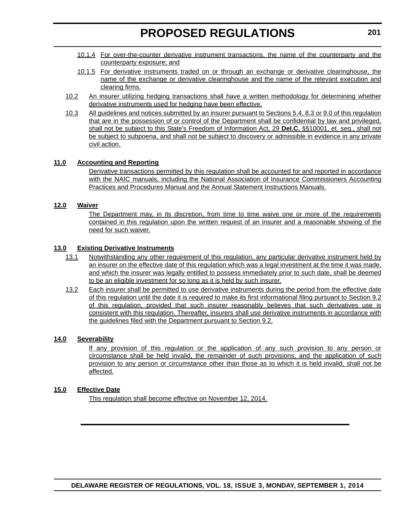- 10.1.4 For over-the-counter derivative instrument transactions, the name of the counterparty and the counterparty exposure; and
- 10.1.5 For derivative instruments traded on or through an exchange or derivative clearinghouse, the name of the exchange or derivative clearinghouse and the name of the relevant execution and clearing firms.
- 10.2 An insurer utilizing hedging transactions shall have a written methodology for determining whether derivative instruments used for hedging have been effective.
- 10.3 All guidelines and notices submitted by an insurer pursuant to Sections 5.4, 8.3 or 9.0 of this regulation that are in the possession of or control of the Department shall be confidential by law and privileged, shall not be subject to this State's Freedom of Information Act, 29 **Del.C.** §§10001, et. seq., shall not be subject to subpoena, and shall not be subject to discovery or admissible in evidence in any private civil action.

#### **11.0 Accounting and Reporting**

Derivative transactions permitted by this regulation shall be accounted for and reported in accordance with the NAIC manuals, including the National Association of Insurance Commissioners Accounting Practices and Procedures Manual and the Annual Statement Instructions Manuals.

#### **12.0 Waiver**

The Department may, in its discretion, from time to time waive one or more of the requirements contained in this regulation upon the written request of an insurer and a reasonable showing of the need for such waiver.

#### **13.0 Existing Derivative Instruments**

- 13.1 Notwithstanding any other requirement of this regulation, any particular derivative instrument held by an insurer on the effective date of this regulation which was a legal investment at the time it was made, and which the insurer was legally entitled to possess immediately prior to such date, shall be deemed to be an eligible investment for so long as it is held by such insurer.
- 13.2 Each insurer shall be permitted to use derivative instruments during the period from the effective date of this regulation until the date it is required to make its first informational filing pursuant to Section 9.2 of this regulation, provided that such insurer reasonably believes that such derivatives use is consistent with this regulation. Thereafter, insurers shall use derivative instruments in accordance with the guidelines filed with the Department pursuant to Section 9.2.

#### **14.0 Severability**

If any provision of this regulation or the application of any such provision to any person or circumstance shall be held invalid, the remainder of such provisions, and the application of such provision to any person or circumstance other than those as to which it is held invalid, shall not be affected.

#### **15.0 Effective Date**

This regulation shall become effective on November 12, 2014.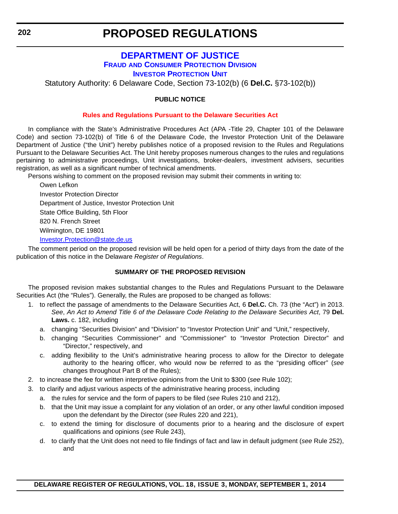### **[DEPARTMENT OF JUSTICE](http://attorneygeneral.delaware.gov/fraud/index.shtml) FRAUD AND CONSUMER PROTECTION DIVISION INVESTOR PROTECTION UNIT**

<span id="page-32-0"></span>Statutory Authority: 6 Delaware Code, Section 73-102(b) (6 **Del.C.** §73-102(b))

#### **PUBLIC NOTICE**

#### **Rules and Regulations Pursuant to the [Delaware Securities Act](#page-3-0)**

In compliance with the State's Administrative Procedures Act (APA -Title 29, Chapter 101 of the Delaware Code) and section 73-102(b) of Title 6 of the Delaware Code, the Investor Protection Unit of the Delaware Department of Justice ("the Unit") hereby publishes notice of a proposed revision to the Rules and Regulations Pursuant to the Delaware Securities Act. The Unit hereby proposes numerous changes to the rules and regulations pertaining to administrative proceedings, Unit investigations, broker-dealers, investment advisers, securities registration, as well as a significant number of technical amendments.

Persons wishing to comment on the proposed revision may submit their comments in writing to:

Owen Lefkon Investor Protection Director Department of Justice, Investor Protection Unit State Office Building, 5th Floor 820 N. French Street Wilmington, DE 19801

### [Investor.Protection@state.de.us](mailto:Investor.Protection@state.de.us)

The comment period on the proposed revision will be held open for a period of thirty days from the date of the publication of this notice in the Delaware *Register of Regulations*.

#### **SUMMARY OF THE PROPOSED REVISION**

The proposed revision makes substantial changes to the Rules and Regulations Pursuant to the Delaware Securities Act (the "Rules"). Generally, the Rules are proposed to be changed as follows:

- 1. to reflect the passage of amendments to the Delaware Securities Act, 6 **Del.C.** Ch. 73 (the "Act") in 2013. *See*, *An Act to Amend Title 6 of the Delaware Code Relating to the Delaware Securities Act*, 79 **Del. Laws.** c. 182, including
	- a. changing "Securities Division" and "Division" to "Investor Protection Unit" and "Unit," respectively,
	- b. changing "Securities Commissioner" and "Commissioner" to "Investor Protection Director" and "Director," respectively, and
	- c. adding flexibility to the Unit's administrative hearing process to allow for the Director to delegate authority to the hearing officer, who would now be referred to as the "presiding officer" (*see* changes throughout Part B of the Rules);
- 2. to increase the fee for written interpretive opinions from the Unit to \$300 (*see* Rule 102);
- 3. to clarify and adjust various aspects of the administrative hearing process, including
	- a. the rules for service and the form of papers to be filed (*see* Rules 210 and 212),
	- b. that the Unit may issue a complaint for any violation of an order, or any other lawful condition imposed upon the defendant by the Director (*see* Rules 220 and 221),
	- c. to extend the timing for disclosure of documents prior to a hearing and the disclosure of expert qualifications and opinions (*see* Rule 243),
	- d. to clarify that the Unit does not need to file findings of fact and law in default judgment (*see* Rule 252), and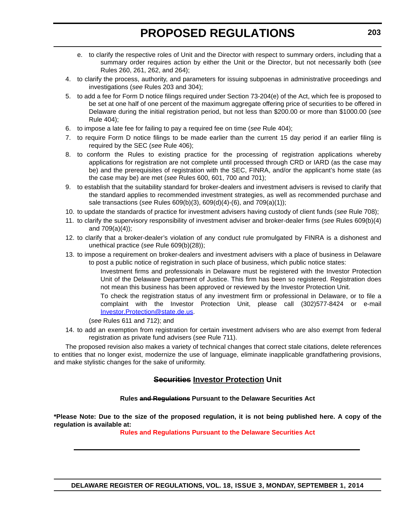- e. to clarify the respective roles of Unit and the Director with respect to summary orders, including that a summary order requires action by either the Unit or the Director, but not necessarily both (*see* Rules 260, 261, 262, and 264);
- 4. to clarify the process, authority, and parameters for issuing subpoenas in administrative proceedings and investigations (*see* Rules 203 and 304);
- 5. to add a fee for Form D notice filings required under Section 73-204(e) of the Act, which fee is proposed to be set at one half of one percent of the maximum aggregate offering price of securities to be offered in Delaware during the initial registration period, but not less than \$200.00 or more than \$1000.00 (*see* Rule 404);
- 6. to impose a late fee for failing to pay a required fee on time (*see* Rule 404);
- 7. to require Form D notice filings to be made earlier than the current 15 day period if an earlier filing is required by the SEC (*see* Rule 406);
- 8. to conform the Rules to existing practice for the processing of registration applications whereby applications for registration are not complete until processed through CRD or IARD (as the case may be) and the prerequisites of registration with the SEC, FINRA, and/or the applicant's home state (as the case may be) are met (*see* Rules 600, 601, 700 and 701);
- 9. to establish that the suitability standard for broker-dealers and investment advisers is revised to clarify that the standard applies to recommended investment strategies, as well as recommended purchase and sale transactions (*see* Rules 609(b)(3), 609(d)(4)-(6), and 709(a)(1));
- 10. to update the standards of practice for investment advisers having custody of client funds (*see* Rule 708);
- 11. to clarify the supervisory responsibility of investment adviser and broker-dealer firms (*see* Rules 609(b)(4) and 709(a)(4));
- 12. to clarify that a broker-dealer's violation of any conduct rule promulgated by FINRA is a dishonest and unethical practice (*see* Rule 609(b)(28));
- 13. to impose a requirement on broker-dealers and investment advisers with a place of business in Delaware to post a public notice of registration in such place of business, which public notice states:

Investment firms and professionals in Delaware must be registered with the Investor Protection Unit of the Delaware Department of Justice. This firm has been so registered. Registration does not mean this business has been approved or reviewed by the Investor Protection Unit.

To check the registration status of any investment firm or professional in Delaware, or to file a complaint with the Investor Protection Unit, please call (302)577-8424 or e-mail Investor.Protection@state.de.us.

(*see* Rules 611 and 712); and

14. to add an exemption from registration for certain investment advisers who are also exempt from federal registration as private fund advisers (*see* Rule 711).

The proposed revision also makes a variety of technical changes that correct stale citations, delete references to entities that no longer exist, modernize the use of language, eliminate inapplicable grandfathering provisions, and make stylistic changes for the sake of uniformity.

### **Securities Investor Protection Unit**

#### **Rules and Regulations Pursuant to the Delaware Securities Act**

**\*Please Note: Due to the size of the proposed regulation, it is not being published here. A copy of the regulation is available at:**

**[Rules and Regulations Pursuant to the Delaware Securities Act](http://regulations.delaware.gov/register/september2014/proposed/18 DE Reg 202 09-01-14.htm)**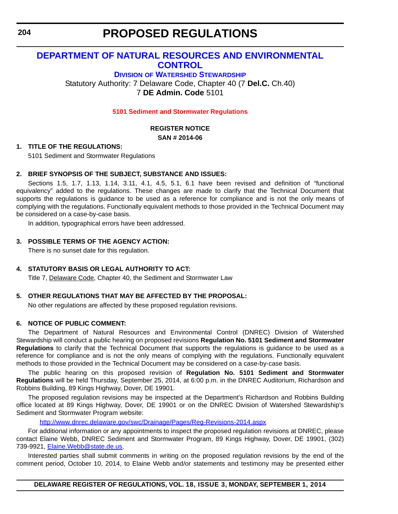# <span id="page-34-0"></span>**[DEPARTMENT OF NATURAL RESOURCES AND ENVIRONMENTAL](http://www.dnrec.delaware.gov/swc/Pages/portal.aspx)  CONTROL**

**DIVISION OF WATERSHED STEWARDSHIP**

Statutory Authority: 7 Delaware Code, Chapter 40 (7 **Del.C.** Ch.40) 7 **DE Admin. Code** 5101

#### **[5101 Sediment and Stormwater Regulations](#page-3-0)**

### **REGISTER NOTICE**

**SAN # 2014-06**

#### **1. TITLE OF THE REGULATIONS:**

5101 Sediment and Stormwater Regulations

#### **2. BRIEF SYNOPSIS OF THE SUBJECT, SUBSTANCE AND ISSUES:**

Sections 1.5, 1.7, 1.13, 1.14, 3.11, 4.1, 4.5, 5.1, 6.1 have been revised and definition of "functional equivalency" added to the regulations. These changes are made to clarify that the Technical Document that supports the regulations is guidance to be used as a reference for compliance and is not the only means of complying with the regulations. Functionally equivalent methods to those provided in the Technical Document may be considered on a case-by-case basis.

In addition, typographical errors have been addressed.

#### **3. POSSIBLE TERMS OF THE AGENCY ACTION:**

There is no sunset date for this regulation.

#### **4. STATUTORY BASIS OR LEGAL AUTHORITY TO ACT:**

Title 7, Delaware Code, Chapter 40, the Sediment and Stormwater Law

### **5. OTHER REGULATIONS THAT MAY BE AFFECTED BY THE PROPOSAL:**

No other regulations are affected by these proposed regulation revisions.

#### **6. NOTICE OF PUBLIC COMMENT:**

The Department of Natural Resources and Environmental Control (DNREC) Division of Watershed Stewardship will conduct a public hearing on proposed revisions **Regulation No. 5101 Sediment and Stormwater Regulations** to clarify that the Technical Document that supports the regulations is guidance to be used as a reference for compliance and is not the only means of complying with the regulations. Functionally equivalent methods to those provided in the Technical Document may be considered on a case-by-case basis.

The public hearing on this proposed revision of **Regulation No. 5101 Sediment and Stormwater Regulations** will be held Thursday, September 25, 2014, at 6:00 p.m. in the DNREC Auditorium, Richardson and Robbins Building, 89 Kings Highway, Dover, DE 19901.

The proposed regulation revisions may be inspected at the Department's Richardson and Robbins Building office located at 89 Kings Highway, Dover, DE 19901 or on the DNREC Division of Watershed Stewardship's Sediment and Stormwater Program website:

<http://www.dnrec.delaware.gov/swc/Drainage/Pages/Reg-Revisions-2014.aspx>

For additional information or any appointments to inspect the proposed regulation revisions at DNREC, please contact Elaine Webb, DNREC Sediment and Stormwater Program, 89 Kings Highway, Dover, DE 19901, (302) 739-9921, [Elaine.Webb@state.de.us](mailto:Elaine.Webb@state.de.us).

Interested parties shall submit comments in writing on the proposed regulation revisions by the end of the comment period, October 10, 2014, to Elaine Webb and/or statements and testimony may be presented either

**DELAWARE REGISTER OF REGULATIONS, VOL. 18, ISSUE 3, MONDAY, SEPTEMBER 1, 2014**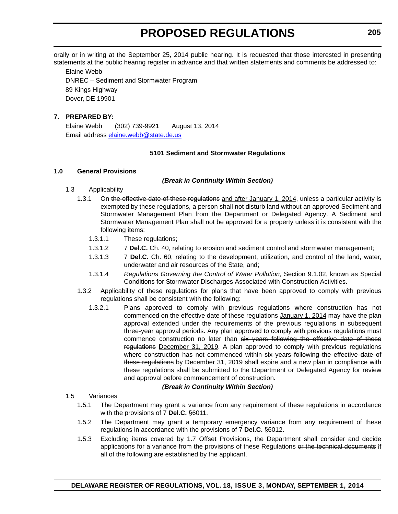orally or in writing at the September 25, 2014 public hearing. It is requested that those interested in presenting statements at the public hearing register in advance and that written statements and comments be addressed to:

Elaine Webb DNREC – Sediment and Stormwater Program 89 Kings Highway Dover, DE 19901

#### **7. PREPARED BY:**

Elaine Webb (302) 739-9921 August 13, 2014 Email address [elaine.webb@state.de.us](mailto:elaine.webb@state.de.us)

#### **5101 Sediment and Stormwater Regulations**

#### **1.0 General Provisions**

#### *(Break in Continuity Within Section)*

- 1.3 Applicability
	- 1.3.1 On the effective date of these regulations and after January 1, 2014, unless a particular activity is exempted by these regulations, a person shall not disturb land without an approved Sediment and Stormwater Management Plan from the Department or Delegated Agency. A Sediment and Stormwater Management Plan shall not be approved for a property unless it is consistent with the following items:
		- 1.3.1.1 These regulations;
		- 1.3.1.2 7 **Del.C.** Ch. 40, relating to erosion and sediment control and stormwater management;
		- 1.3.1.3 7 **Del.C.** Ch. 60, relating to the development, utilization, and control of the land, water, underwater and air resources of the State, and;
		- 1.3.1.4 *Regulations Governing the Control of Water Pollution*, Section 9.1.02, known as Special Conditions for Stormwater Discharges Associated with Construction Activities.
	- 1.3.2 Applicability of these regulations for plans that have been approved to comply with previous regulations shall be consistent with the following:
		- 1.3.2.1 Plans approved to comply with previous regulations where construction has not commenced on the effective date of these regulations January 1, 2014 may have the plan approval extended under the requirements of the previous regulations in subsequent three-year approval periods. Any plan approved to comply with previous regulations must commence construction no later than six years following the effective date of these regulations December 31, 2019. A plan approved to comply with previous regulations where construction has not commenced within six years following the effective date of these regulations by December 31, 2019 shall expire and a new plan in compliance with these regulations shall be submitted to the Department or Delegated Agency for review and approval before commencement of construction.

#### *(Break in Continuity Within Section)*

- 1.5 Variances
	- 1.5.1 The Department may grant a variance from any requirement of these regulations in accordance with the provisions of 7 **Del.C.** §6011.
	- 1.5.2 The Department may grant a temporary emergency variance from any requirement of these regulations in accordance with the provisions of 7 **Del.C.** §6012.
	- 1.5.3 Excluding items covered by 1.7 Offset Provisions, the Department shall consider and decide applications for a variance from the provisions of these Regulations or the technical documents if all of the following are established by the applicant.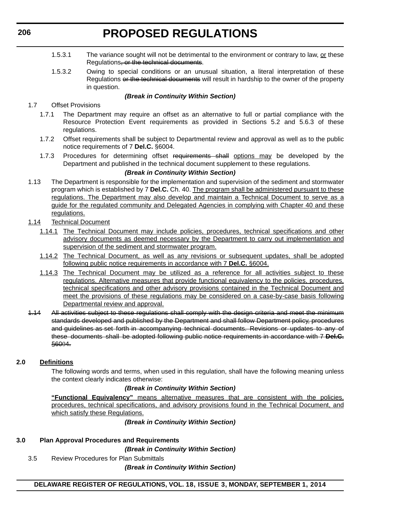- 1.5.3.1 The variance sought will not be detrimental to the environment or contrary to law, or these Regulations, or the technical documents.
- 1.5.3.2 Owing to special conditions or an unusual situation, a literal interpretation of these Regulations or the technical documents will result in hardship to the owner of the property in question.

### *(Break in Continuity Within Section)*

- 1.7 Offset Provisions
	- 1.7.1 The Department may require an offset as an alternative to full or partial compliance with the Resource Protection Event requirements as provided in Sections 5.2 and 5.6.3 of these regulations.
	- 1.7.2 Offset requirements shall be subject to Departmental review and approval as well as to the public notice requirements of 7 **Del.C.** §6004.
	- 1.7.3 Procedures for determining offset requirements shall options may be developed by the Department and published in the technical document supplement to these regulations.

## *(Break in Continuity Within Section)*

- 1.13 The Department is responsible for the implementation and supervision of the sediment and stormwater program which is established by 7 **Del.C.** Ch. 40. The program shall be administered pursuant to these regulations. The Department may also develop and maintain a Technical Document to serve as a guide for the regulated community and Delegated Agencies in complying with Chapter 40 and these regulations.
- 1.14 Technical Document
	- 1.14.1 The Technical Document may include policies, procedures, technical specifications and other advisory documents as deemed necessary by the Department to carry out implementation and supervision of the sediment and stormwater program.
	- 1.14.2 The Technical Document, as well as any revisions or subsequent updates, shall be adopted following public notice requirements in accordance with 7 **Del.C.** §6004.
	- 1.14.3 The Technical Document may be utilized as a reference for all activities subject to these regulations. Alternative measures that provide functional equivalency to the policies, procedures, technical specifications and other advisory provisions contained in the Technical Document and meet the provisions of these regulations may be considered on a case-by-case basis following Departmental review and approval.
- 1.14 All activities subject to these regulations shall comply with the design criteria and meet the minimum standards developed and published by the Department and shall follow Department policy, procedures and guidelines as set forth in accompanying technical documents. Revisions or updates to any of these documents shall be adopted following public notice requirements in accordance with 7 **Del.C.** §6004.

### **2.0 Definitions**

The following words and terms, when used in this regulation, shall have the following meaning unless the context clearly indicates otherwise:

### *(Break in Continuity Within Section)*

**"Functional Equivalency"** means alternative measures that are consistent with the policies, procedures, technical specifications, and advisory provisions found in the Technical Document, and which satisfy these Regulations.

*(Break in Continuity Within Section)*

### **3.0 Plan Approval Procedures and Requirements**

*(Break in Continuity Within Section)*

3.5 Review Procedures for Plan Submittals

*(Break in Continuity Within Section)*

### **DELAWARE REGISTER OF REGULATIONS, VOL. 18, ISSUE 3, MONDAY, SEPTEMBER 1, 2014**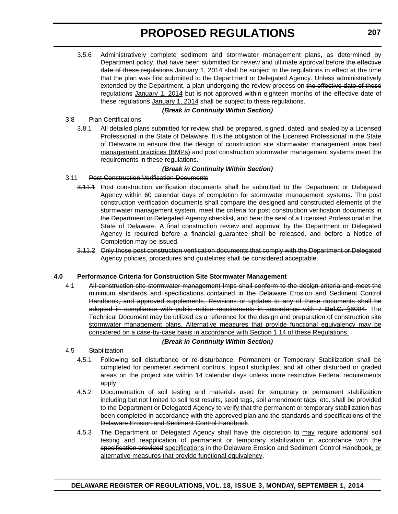3.5.6 Administratively complete sediment and stormwater management plans, as determined by Department policy, that have been submitted for review and ultimate approval before the effective date of these regulations January 1, 2014 shall be subject to the regulations in effect at the time that the plan was first submitted to the Department or Delegated Agency. Unless administratively extended by the Department, a plan undergoing the review process on the effective date of these regulations January 1, 2014 but is not approved within eighteen months of the effective date of these regulations January 1, 2014 shall be subject to these regulations.

#### *(Break in Continuity Within Section)* 3.8 Plan Certifications

3.8.1 All detailed plans submitted for review shall be prepared, signed, dated, and sealed by a Licensed Professional in the State of Delaware. It is the obligation of the Licensed Professional in the State of Delaware to ensure that the design of construction site stormwater management Imps best management practices (BMPs) and post construction stormwater management systems meet the requirements in these regulations.

### *(Break in Continuity Within Section)*

### 3.11 Post Construction Verification Documents

- 3.11.1 Post construction verification documents shall be submitted to the Department or Delegated Agency within 60 calendar days of completion for stormwater management systems. The post construction verification documents shall compare the designed and constructed elements of the stormwater management system, meet the criteria for post construction verification documents in the Department or Delegated Agency checklist, and bear the seal of a Licensed Professional in the State of Delaware. A final construction review and approval by the Department or Delegated Agency is required before a financial guarantee shall be released, and before a Notice of Completion may be issued.
- 3.11.2 Only those post construction verification documents that comply with the Department or Delegated Agency policies, procedures and guidelines shall be considered acceptable.

### **4.0 Performance Criteria for Construction Site Stormwater Management**

4.1 All construction site stormwater management Imps shall conform to the design criteria and meet the minimum standards and specifications contained in the Delaware Erosion and Sediment Control Handbook, and approved supplements. Revisions or updates to any of these documents shall be adopted in compliance with public notice requirements in accordance with 7 **Del.C.** §6004. The Technical Document may be utilized as a reference for the design and preparation of construction site stormwater management plans. Alternative measures that provide functional equivalency may be considered on a case-by-case basis in accordance with Section 1.14 of these Regulations.

### *(Break in Continuity Within Section)*

- 4.5 Stabilization
	- 4.5.1 Following soil disturbance or re-disturbance, Permanent or Temporary Stabilization shall be completed for perimeter sediment controls, topsoil stockpiles, and all other disturbed or graded areas on the project site within 14 calendar days unless more restrictive Federal requirements apply.
	- 4.5.2 Documentation of soil testing and materials used for temporary or permanent stabilization including but not limited to soil test results, seed tags, soil amendment tags, etc. shall be provided to the Department or Delegated Agency to verify that the permanent or temporary stabilization has been completed in accordance with the approved plan and the standards and specifications of the Delaware Erosion and Sediment Control Handbook.
	- 4.5.3 The Department or Delegated Agency shall have the discretion to may require additional soil testing and reapplication of permanent or temporary stabilization in accordance with the specification provided specifications in the Delaware Erosion and Sediment Control Handbook, or alternative measures that provide functional equivalency.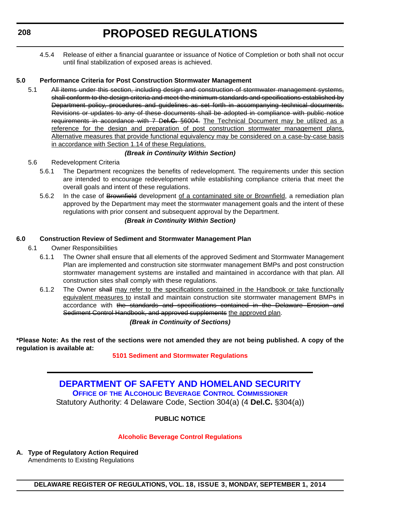4.5.4 Release of either a financial guarantee or issuance of Notice of Completion or both shall not occur until final stabilization of exposed areas is achieved.

## **5.0 Performance Criteria for Post Construction Stormwater Management**

5.1 All items under this section, including design and construction of stormwater management systems, shall conform to the design criteria and meet the minimum standards and specifications established by Department policy, procedures and guidelines as set forth in accompanying technical documents. Revisions or updates to any of these documents shall be adopted in compliance with public notice requirements in accordance with 7 D**el.C.** §6004. The Technical Document may be utilized as a reference for the design and preparation of post construction stormwater management plans. Alternative measures that provide functional equivalency may be considered on a case-by-case basis in accordance with Section 1.14 of these Regulations.

## *(Break in Continuity Within Section)*

- 5.6 Redevelopment Criteria
	- 5.6.1 The Department recognizes the benefits of redevelopment. The requirements under this section are intended to encourage redevelopment while establishing compliance criteria that meet the overall goals and intent of these regulations.
	- 5.6.2 In the case of Brownfield development of a contaminated site or Brownfield, a remediation plan approved by the Department may meet the stormwater management goals and the intent of these regulations with prior consent and subsequent approval by the Department. *(Break in Continuity Within Section)*

### **6.0 Construction Review of Sediment and Stormwater Management Plan**

- 6.1 Owner Responsibilities
	- 6.1.1 The Owner shall ensure that all elements of the approved Sediment and Stormwater Management Plan are implemented and construction site stormwater management BMPs and post construction stormwater management systems are installed and maintained in accordance with that plan. All construction sites shall comply with these regulations.
	- 6.1.2 The Owner shall may refer to the specifications contained in the Handbook or take functionally equivalent measures to install and maintain construction site stormwater management BMPs in accordance with the standards and specifications contained in the Delaware Erosion and Sediment Control Handbook, and approved supplements the approved plan.

### *(Break in Continuity of Sections)*

**\*Please Note: As the rest of the sections were not amended they are not being published. A copy of the regulation is available at:**

### **[5101 Sediment and Stormwater Regulations](http://regulations.delaware.gov/register/september2014/proposed/18 DE Reg 204 09-01-14.htm)**

**[DEPARTMENT OF SAFETY AND HOMELAND SECURITY](http://date.delaware.gov/OABCC/index.shtml) OFFICE OF THE ALCOHOLIC BEVERAGE CONTROL COMMISSIONER** Statutory Authority: 4 Delaware Code, Section 304(a) (4 **Del.C.** §304(a))

## **PUBLIC NOTICE**

### **[Alcoholic Beverage Control Regulations](#page-3-0)**

**A. Type of Regulatory Action Required** Amendments to Existing Regulations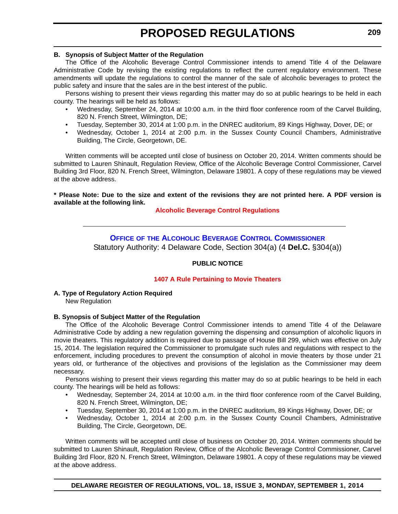### **B. Synopsis of Subject Matter of the Regulation**

The Office of the Alcoholic Beverage Control Commissioner intends to amend Title 4 of the Delaware Administrative Code by revising the existing regulations to reflect the current regulatory environment. These amendments will update the regulations to control the manner of the sale of alcoholic beverages to protect the public safety and insure that the sales are in the best interest of the public.

Persons wishing to present their views regarding this matter may do so at public hearings to be held in each county. The hearings will be held as follows:

- Wednesday, September 24, 2014 at 10:00 a.m. in the third floor conference room of the Carvel Building, 820 N. French Street, Wilmington, DE;
- Tuesday, September 30, 2014 at 1:00 p.m. in the DNREC auditorium, 89 Kings Highway, Dover, DE; or
- Wednesday, October 1, 2014 at 2:00 p.m. in the Sussex County Council Chambers, Administrative Building, The Circle, Georgetown, DE.

Written comments will be accepted until close of business on October 20, 2014. Written comments should be submitted to Lauren Shinault, Regulation Review, Office of the Alcoholic Beverage Control Commissioner, Carvel Building 3rd Floor, 820 N. French Street, Wilmington, Delaware 19801. A copy of these regulations may be viewed at the above address.

### **\* Please Note: Due to the size and extent of the revisions they are not printed here. A PDF version is available at the following link.**

### **[Alcoholic Beverage Control Regulations](http://regulations.delaware.gov/register/september2014/proposed/AlcoholicBeverageRegulations.pdf)**

**OFFICE OF [THE ALCOHOLIC BEVERAGE CONTROL COMMISSIONER](http://date.delaware.gov/OABCC/index.shtml)** Statutory Authority: 4 Delaware Code, Section 304(a) (4 **Del.C.** §304(a))

### **PUBLIC NOTICE**

### **[1407 A Rule Pertaining to Movie Theaters](#page-3-0)**

**A. Type of Regulatory Action Required** New Regulation

### **B. Synopsis of Subject Matter of the Regulation**

The Office of the Alcoholic Beverage Control Commissioner intends to amend Title 4 of the Delaware Administrative Code by adding a new regulation governing the dispensing and consumption of alcoholic liquors in movie theaters. This regulatory addition is required due to passage of House Bill 299, which was effective on July 15, 2014. The legislation required the Commissioner to promulgate such rules and regulations with respect to the enforcement, including procedures to prevent the consumption of alcohol in movie theaters by those under 21 years old, or furtherance of the objectives and provisions of the legislation as the Commissioner may deem necessary.

Persons wishing to present their views regarding this matter may do so at public hearings to be held in each county. The hearings will be held as follows:

- Wednesday, September 24, 2014 at 10:00 a.m. in the third floor conference room of the Carvel Building, 820 N. French Street, Wilmington, DE;
- Tuesday, September 30, 2014 at 1:00 p.m. in the DNREC auditorium, 89 Kings Highway, Dover, DE; or
- Wednesday, October 1, 2014 at 2:00 p.m. in the Sussex County Council Chambers, Administrative Building, The Circle, Georgetown, DE.

Written comments will be accepted until close of business on October 20, 2014. Written comments should be submitted to Lauren Shinault, Regulation Review, Office of the Alcoholic Beverage Control Commissioner, Carvel Building 3rd Floor, 820 N. French Street, Wilmington, Delaware 19801. A copy of these regulations may be viewed at the above address.

**DELAWARE REGISTER OF REGULATIONS, VOL. 18, ISSUE 3, MONDAY, SEPTEMBER 1, 2014**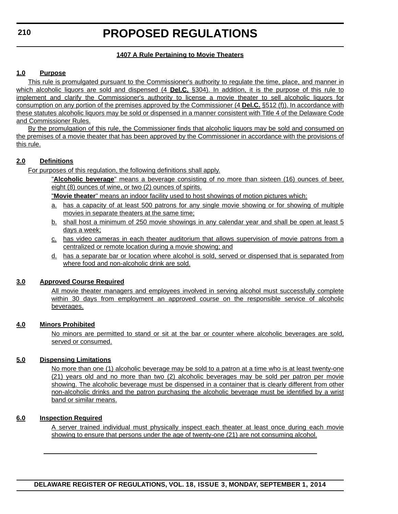## **1407 A Rule Pertaining to Movie Theaters**

## **1.0 Purpose**

This rule is promulgated pursuant to the Commissioner's authority to regulate the time, place, and manner in which alcoholic liquors are sold and dispensed (4 **Del.C.** §304). In addition, it is the purpose of this rule to implement and clarify the Commissioner's authority to license a movie theater to sell alcoholic liquors for consumption on any portion of the premises approved by the Commissioner (4 **Del.C.** §512 (f)). In accordance with these statutes alcoholic liquors may be sold or dispensed in a manner consistent with Title 4 of the Delaware Code and Commissioner Rules.

By the promulgation of this rule, the Commissioner finds that alcoholic liquors may be sold and consumed on the premises of a movie theater that has been approved by the Commissioner in accordance with the provisions of this rule.

### **2.0 Definitions**

For purposes of this regulation, the following definitions shall apply.

"**Alcoholic beverage**" means a beverage consisting of no more than sixteen (16) ounces of beer, eight (8) ounces of wine, or two (2) ounces of spirits.

"**Movie theater**" means an indoor facility used to host showings of motion pictures which:

- a. has a capacity of at least 500 patrons for any single movie showing or for showing of multiple movies in separate theaters at the same time;
- b. shall host a minimum of 250 movie showings in any calendar year and shall be open at least 5 days a week;
- c. has video cameras in each theater auditorium that allows supervision of movie patrons from a centralized or remote location during a movie showing; and
- d. has a separate bar or location where alcohol is sold, served or dispensed that is separated from where food and non-alcoholic drink are sold.

### **3.0 Approved Course Required**

All movie theater managers and employees involved in serving alcohol must successfully complete within 30 days from employment an approved course on the responsible service of alcoholic beverages.

# **4.0 Minors Prohibited**

No minors are permitted to stand or sit at the bar or counter where alcoholic beverages are sold, served or consumed.

### **5.0 Dispensing Limitations**

No more than one (1) alcoholic beverage may be sold to a patron at a time who is at least twenty-one (21) years old and no more than two (2) alcoholic beverages may be sold per patron per movie showing. The alcoholic beverage must be dispensed in a container that is clearly different from other non-alcoholic drinks and the patron purchasing the alcoholic beverage must be identified by a wrist band or similar means.

### **6.0 Inspection Required**

A server trained individual must physically inspect each theater at least once during each movie showing to ensure that persons under the age of twenty-one (21) are not consuming alcohol.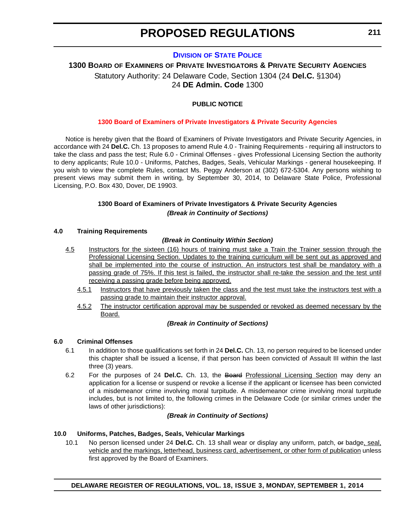### **DIVISION [OF STATE POLICE](http://dsp.delaware.gov/)**

# **1300 BOARD OF EXAMINERS OF PRIVATE INVESTIGATORS & PRIVATE SECURITY AGENCIES** Statutory Authority: 24 Delaware Code, Section 1304 (24 **Del.C.** §1304) 24 **DE Admin. Code** 1300

### **PUBLIC NOTICE**

#### **[1300 Board of Examiners of Private Investigators & Private Security Agencies](#page-3-0)**

Notice is hereby given that the Board of Examiners of Private Investigators and Private Security Agencies, in accordance with 24 **Del.C.** Ch. 13 proposes to amend Rule 4.0 - Training Requirements - requiring all instructors to take the class and pass the test; Rule 6.0 - Criminal Offenses - gives Professional Licensing Section the authority to deny applicants; Rule 10.0 - Uniforms, Patches, Badges, Seals, Vehicular Markings - general housekeeping. If you wish to view the complete Rules, contact Ms. Peggy Anderson at (302) 672-5304. Any persons wishing to present views may submit them in writing, by September 30, 2014, to Delaware State Police, Professional Licensing, P.O. Box 430, Dover, DE 19903.

#### **1300 Board of Examiners of Private Investigators & Private Security Agencies** *(Break in Continuity of Sections)*

#### **4.0 Training Requirements**

#### *(Break in Continuity Within Section)*

- 4.5 Instructors for the sixteen (16) hours of training must take a Train the Trainer session through the Professional Licensing Section. Updates to the training curriculum will be sent out as approved and shall be implemented into the course of instruction. An instructors test shall be mandatory with a passing grade of 75%. If this test is failed, the instructor shall re-take the session and the test until receiving a passing grade before being approved.
	- 4.5.1 Instructors that have previously taken the class and the test must take the instructors test with a passing grade to maintain their instructor approval.
	- 4.5.2 The instructor certification approval may be suspended or revoked as deemed necessary by the Board.

#### *(Break in Continuity of Sections)*

#### **6.0 Criminal Offenses**

- 6.1 In addition to those qualifications set forth in 24 **Del.C.** Ch. 13, no person required to be licensed under this chapter shall be issued a license, if that person has been convicted of Assault III within the last three (3) years.
- 6.2 For the purposes of 24 **Del.C.** Ch. 13, the Board Professional Licensing Section may deny an application for a license or suspend or revoke a license if the applicant or licensee has been convicted of a misdemeanor crime involving moral turpitude. A misdemeanor crime involving moral turpitude includes, but is not limited to, the following crimes in the Delaware Code (or similar crimes under the laws of other jurisdictions):

#### *(Break in Continuity of Sections)*

#### **10.0 Uniforms, Patches, Badges, Seals, Vehicular Markings**

10.1 No person licensed under 24 **Del.C.** Ch. 13 shall wear or display any uniform, patch, or badge, seal, vehicle and the markings, letterhead, business card, advertisement, or other form of publication unless first approved by the Board of Examiners.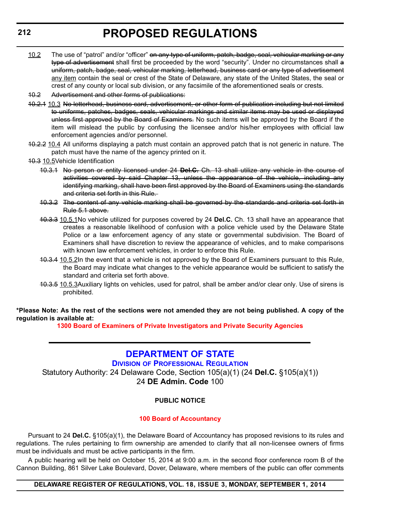- 10.2 The use of "patrol" and/or "officer" on any type of uniform, patch, badge, seal, vehicular marking or any type of advertisement shall first be proceeded by the word "security". Under no circumstances shall a uniform, patch, badge, seal, vehicular marking, letterhead, business card or any type of advertisement any item contain the seal or crest of the State of Delaware, any state of the United States, the seal or crest of any county or local sub division, or any facsimile of the aforementioned seals or crests.
- 10.2 Advertisement and other forms of publications:
- 10.2.1 10.3 No letterhead, business card, advertisement, or other form of publication including but not limited to uniforms, patches, badges, seals, vehicular markings and similar items may be used or displayed unless first approved by the Board of Examiners. No such items will be approved by the Board if the item will mislead the public by confusing the licensee and/or his/her employees with official law enforcement agencies and/or personnel.
- 10.2.2 10.4 All uniforms displaying a patch must contain an approved patch that is not generic in nature. The patch must have the name of the agency printed on it.
- 10.3 10.5Vehicle Identification
	- 10.3.1 No person or entity licensed under 24 **Del.C.** Ch. 13 shall utilize any vehicle in the course of activities covered by said Chapter 13, unless the appearance of the vehicle, including any identifying marking, shall have been first approved by the Board of Examiners using the standards and criteria set forth in this Rule.
	- 10.3.2 The content of any vehicle marking shall be governed by the standards and criteria set forth in Rule 5.1 above.
	- 10.3.3 10.5.1No vehicle utilized for purposes covered by 24 **Del.C.** Ch. 13 shall have an appearance that creates a reasonable likelihood of confusion with a police vehicle used by the Delaware State Police or a law enforcement agency of any state or governmental subdivision. The Board of Examiners shall have discretion to review the appearance of vehicles, and to make comparisons with known law enforcement vehicles, in order to enforce this Rule.
	- 10.3.4 10.5.2In the event that a vehicle is not approved by the Board of Examiners pursuant to this Rule, the Board may indicate what changes to the vehicle appearance would be sufficient to satisfy the standard and criteria set forth above.
	- 10.3.5 10.5.3Auxiliary lights on vehicles, used for patrol, shall be amber and/or clear only. Use of sirens is prohibited.

**\*Please Note: As the rest of the sections were not amended they are not being published. A copy of the regulation is available at:**

**[1300 Board of Examiners of Private Investigators and Private Security Agencies](http://regulations.delaware.gov/register/september2014/proposed/18 DE Reg 211 09-01-14.htm)**

# **[DEPARTMENT OF STATE](http://dpr.delaware.gov/)**

# **DIVISION OF PROFESSIONAL REGULATION**

Statutory Authority: 24 Delaware Code, Section 105(a)(1) (24 **Del.C.** §105(a)(1)) 24 **DE Admin. Code** 100

### **PUBLIC NOTICE**

#### **[100 Board of Accountancy](#page-3-0)**

Pursuant to 24 **Del.C.** §105(a)(1), the Delaware Board of Accountancy has proposed revisions to its rules and regulations. The rules pertaining to firm ownership are amended to clarify that all non-licensee owners of firms must be individuals and must be active participants in the firm.

A public hearing will be held on October 15, 2014 at 9:00 a.m. in the second floor conference room B of the Cannon Building, 861 Silver Lake Boulevard, Dover, Delaware, where members of the public can offer comments

#### **DELAWARE REGISTER OF REGULATIONS, VOL. 18, ISSUE 3, MONDAY, SEPTEMBER 1, 2014**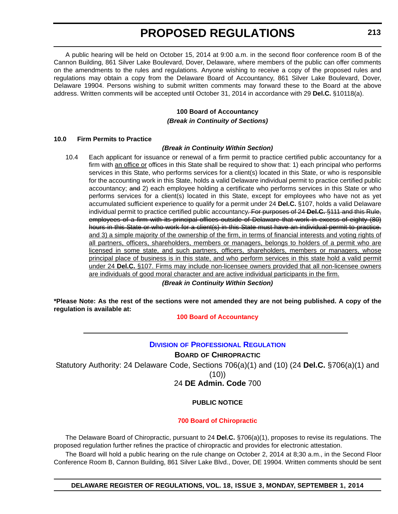A public hearing will be held on October 15, 2014 at 9:00 a.m. in the second floor conference room B of the Cannon Building, 861 Silver Lake Boulevard, Dover, Delaware, where members of the public can offer comments on the amendments to the rules and regulations. Anyone wishing to receive a copy of the proposed rules and regulations may obtain a copy from the Delaware Board of Accountancy, 861 Silver Lake Boulevard, Dover, Delaware 19904. Persons wishing to submit written comments may forward these to the Board at the above address. Written comments will be accepted until October 31, 2014 in accordance with 29 **Del.C.** §10118(a).

# **100 Board of Accountancy** *(Break in Continuity of Sections)*

#### **10.0 Firm Permits to Practice**

### *(Break in Continuity Within Section)*

10.4 Each applicant for issuance or renewal of a firm permit to practice certified public accountancy for a firm with an office or offices in this State shall be required to show that: 1) each principal who performs services in this State, who performs services for a client(s) located in this State, or who is responsible for the accounting work in this State, holds a valid Delaware individual permit to practice certified public accountancy; and 2) each employee holding a certificate who performs services in this State or who performs services for a client(s) located in this State, except for employees who have not as yet accumulated sufficient experience to qualify for a permit under 24 **Del.C.** §107, holds a valid Delaware individual permit to practice certified public accountancy. For purposes of 24 **Del.C.** §111 and this Rule, employees of a firm with its principal offices outside of Delaware that work in excess of eighty (80) hours in this State or who work for a client(s) in this State must have an individual permit to practice. and 3) a simple majority of the ownership of the firm, in terms of financial interests and voting rights of all partners, officers, shareholders, members or managers, belongs to holders of a permit who are licensed in some state, and such partners, officers, shareholders, members or managers, whose principal place of business is in this state, and who perform services in this state hold a valid permit under 24 **Del.C.** §107. Firms may include non-licensee owners provided that all non-licensee owners are individuals of good moral character and are active individual participants in the firm. *(Break in Continuity Within Section)*

**\*Please Note: As the rest of the sections were not amended they are not being published. A copy of the regulation is available at:**

### **[100 Board of Accountancy](http://regulations.delaware.gov/register/september2014/proposed/18 DE Reg 212 09-01-14.htm)**

# **DIVISION [OF PROFESSIONAL REGULATION](http://regulations.delaware.gov/register/september2014/proposed/18 DE Reg 212 09-01-14.htm)**

**BOARD OF CHIROPRACTIC** Statutory Authority: 24 Delaware Code, Sections 706(a)(1) and (10) (24 **Del.C.** §706(a)(1) and (10)) 24 **DE Admin. Code** 700

# **PUBLIC NOTICE**

### **[700 Board of Chiropractic](#page-3-0)**

The Delaware Board of Chiropractic, pursuant to 24 **Del.C.** §706(a)(1), proposes to revise its regulations. The proposed regulation further refines the practice of chiropractic and provides for electronic attestation.

The Board will hold a public hearing on the rule change on October 2, 2014 at 8;30 a.m., in the Second Floor Conference Room B, Cannon Building, 861 Silver Lake Blvd., Dover, DE 19904. Written comments should be sent

**DELAWARE REGISTER OF REGULATIONS, VOL. 18, ISSUE 3, MONDAY, SEPTEMBER 1, 2014**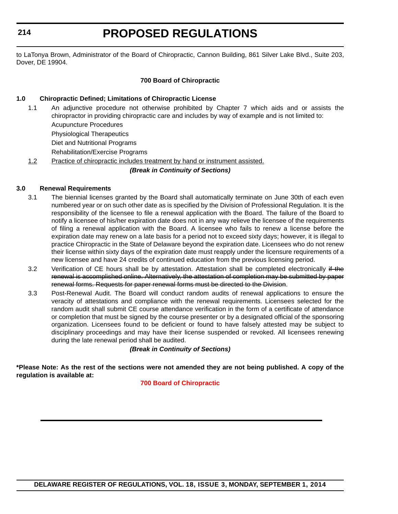**214**

# **PROPOSED REGULATIONS**

to LaTonya Brown, Administrator of the Board of Chiropractic, Cannon Building, 861 Silver Lake Blvd., Suite 203, Dover, DE 19904.

## **700 Board of Chiropractic**

## **1.0 Chiropractic Defined; Limitations of Chiropractic License**

1.1 An adjunctive procedure not otherwise prohibited by Chapter 7 which aids and or assists the chiropractor in providing chiropractic care and includes by way of example and is not limited to:

Acupuncture Procedures

Physiological Therapeutics

Diet and Nutritional Programs

Rehabilitation/Exercise Programs

1.2 Practice of chiropractic includes treatment by hand or instrument assisted.

*(Break in Continuity of Sections)*

### **3.0 Renewal Requirements**

- 3.1 The biennial licenses granted by the Board shall automatically terminate on June 30th of each even numbered year or on such other date as is specified by the Division of Professional Regulation. It is the responsibility of the licensee to file a renewal application with the Board. The failure of the Board to notify a licensee of his/her expiration date does not in any way relieve the licensee of the requirements of filing a renewal application with the Board. A licensee who fails to renew a license before the expiration date may renew on a late basis for a period not to exceed sixty days; however, it is illegal to practice Chiropractic in the State of Delaware beyond the expiration date. Licensees who do not renew their license within sixty days of the expiration date must reapply under the licensure requirements of a new licensee and have 24 credits of continued education from the previous licensing period.
- 3.2 Verification of CE hours shall be by attestation. Attestation shall be completed electronically if the renewal is accomplished online. Alternatively, the attestation of completion may be submitted by paper renewal forms. Requests for paper renewal forms must be directed to the Division.
- 3.3 Post-Renewal Audit. The Board will conduct random audits of renewal applications to ensure the veracity of attestations and compliance with the renewal requirements. Licensees selected for the random audit shall submit CE course attendance verification in the form of a certificate of attendance or completion that must be signed by the course presenter or by a designated official of the sponsoring organization. Licensees found to be deficient or found to have falsely attested may be subject to disciplinary proceedings and may have their license suspended or revoked. All licensees renewing during the late renewal period shall be audited.

# *(Break in Continuity of Sections)*

**\*Please Note: As the rest of the sections were not amended they are not being published. A copy of the regulation is available at:**

**[700 Board of Chiropractic](http://regulations.delaware.gov/register/september2014/proposed/18 DE Reg 213 09-01-14.htm)**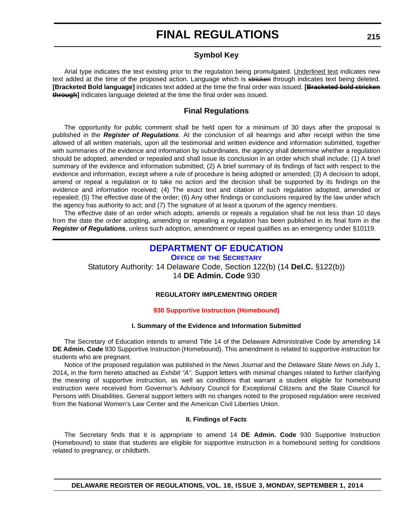# **Symbol Key**

Arial type indicates the text existing prior to the regulation being promulgated. Underlined text indicates new text added at the time of the proposed action. Language which is stricken through indicates text being deleted. **[Bracketed Bold language]** indicates text added at the time the final order was issued. **[Bracketed bold stricken through]** indicates language deleted at the time the final order was issued.

# **Final Regulations**

The opportunity for public comment shall be held open for a minimum of 30 days after the proposal is published in the *Register of Regulations*. At the conclusion of all hearings and after receipt within the time allowed of all written materials, upon all the testimonial and written evidence and information submitted, together with summaries of the evidence and information by subordinates, the agency shall determine whether a regulation should be adopted, amended or repealed and shall issue its conclusion in an order which shall include: (1) A brief summary of the evidence and information submitted; (2) A brief summary of its findings of fact with respect to the evidence and information, except where a rule of procedure is being adopted or amended; (3) A decision to adopt, amend or repeal a regulation or to take no action and the decision shall be supported by its findings on the evidence and information received; (4) The exact text and citation of such regulation adopted, amended or repealed; (5) The effective date of the order; (6) Any other findings or conclusions required by the law under which the agency has authority to act; and (7) The signature of at least a quorum of the agency members.

The effective date of an order which adopts, amends or repeals a regulation shall be not less than 10 days from the date the order adopting, amending or repealing a regulation has been published in its final form in the *Register of Regulations*, unless such adoption, amendment or repeal qualifies as an emergency under §10119.

# **[DEPARTMENT OF EDUCATION](http://www.doe.k12.de.us/)**

**OFFICE OF THE SECRETARY** Statutory Authority: 14 Delaware Code, Section 122(b) (14 **Del.C.** §122(b))

14 **DE Admin. Code** 930

# **REGULATORY IMPLEMENTING ORDER**

### **[930 Supportive Instruction \(Homebound\)](#page-3-0)**

### **I. Summary of the Evidence and Information Submitted**

The Secretary of Education intends to amend Title 14 of the Delaware Administrative Code by amending 14 **DE Admin. Code** 930 Supportive Instruction (Homebound). This amendment is related to supportive instruction for students who are pregnant.

Notice of the proposed regulation was published in the *News Journal* and the *Delaware State News* on July 1, 2014**,** in the form hereto attached as *Exhibit "A"*. Support letters with minimal changes related to further clarifying the meaning of supportive instruction, as well as conditions that warrant a student eligible for homebound instruction were received from Governor's Advisory Council for Exceptional Citizens and the State Council for Persons with Disabilities. General support letters with no changes noted to the proposed regulation were received from the National Women's Law Center and the American Civil Liberties Union.

### **II. Findings of Facts**

The Secretary finds that it is appropriate to amend 14 **DE Admin. Code** 930 Supportive Instruction (Homebound) to state that students are eligible for supportive instruction in a homebound setting for conditions related to pregnancy, or childbirth.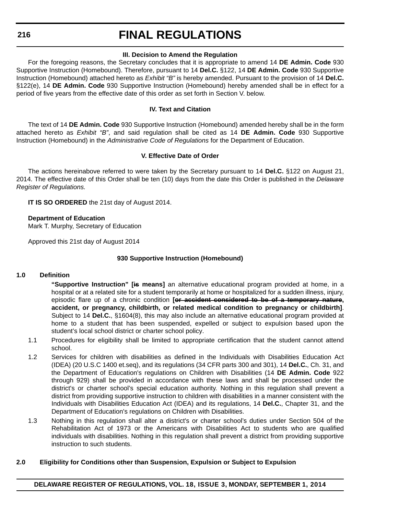**216**

# **FINAL REGULATIONS**

## **III. Decision to Amend the Regulation**

For the foregoing reasons, the Secretary concludes that it is appropriate to amend 14 **DE Admin. Code** 930 Supportive Instruction (Homebound). Therefore, pursuant to 14 **Del.C.** §122, 14 **DE Admin. Code** 930 Supportive Instruction (Homebound) attached hereto as *Exhibit "B"* is hereby amended. Pursuant to the provision of 14 **Del.C.** §122(e), 14 **DE Admin. Code** 930 Supportive Instruction (Homebound) hereby amended shall be in effect for a period of five years from the effective date of this order as set forth in Section V. below.

## **IV. Text and Citation**

The text of 14 **DE Admin. Code** 930 Supportive Instruction (Homebound) amended hereby shall be in the form attached hereto as *Exhibit "B"*, and said regulation shall be cited as 14 **DE Admin. Code** 930 Supportive Instruction (Homebound) in the *Administrative Code of Regulations* for the Department of Education.

## **V. Effective Date of Order**

The actions hereinabove referred to were taken by the Secretary pursuant to 14 **Del.C.** §122 on August 21, 2014. The effective date of this Order shall be ten (10) days from the date this Order is published in the *Delaware Register of Regulations.*

**IT IS SO ORDERED** the 21st day of August 2014.

### **Department of Education**

Mark T. Murphy, Secretary of Education

Approved this 21st day of August 2014

## **930 Supportive Instruction (Homebound)**

### **1.0 Definition**

**"Supportive Instruction" [is means]** an alternative educational program provided at home, in a hospital or at a related site for a student temporarily at home or hospitalized for a sudden illness, injury, episodic flare up of a chronic condition **[or accident considered to be of a temporary nature, accident, or pregnancy, childbirth, or related medical condition to pregnancy or childbirth]**. Subject to 14 **Del.C.**, §1604(8), this may also include an alternative educational program provided at home to a student that has been suspended, expelled or subject to expulsion based upon the student's local school district or charter school policy.

- 1.1 Procedures for eligibility shall be limited to appropriate certification that the student cannot attend school.
- 1.2 Services for children with disabilities as defined in the Individuals with Disabilities Education Act (IDEA) (20 U.S.C 1400 et.seq), and its regulations (34 CFR parts 300 and 301), 14 **Del.C.**, Ch. 31, and the Department of Education's regulations on Children with Disabilities (14 **DE Admin. Code** 922 through 929) shall be provided in accordance with these laws and shall be processed under the district's or charter school's special education authority. Nothing in this regulation shall prevent a district from providing supportive instruction to children with disabilities in a manner consistent with the Individuals with Disabilities Education Act (IDEA) and its regulations, 14 **Del.C.**, Chapter 31, and the Department of Education's regulations on Children with Disabilities.
- 1.3 Nothing in this regulation shall alter a district's or charter school's duties under Section 504 of the Rehabilitation Act of 1973 or the Americans with Disabilities Act to students who are qualified individuals with disabilities. Nothing in this regulation shall prevent a district from providing supportive instruction to such students.

### **2.0 Eligibility for Conditions other than Suspension, Expulsion or Subject to Expulsion**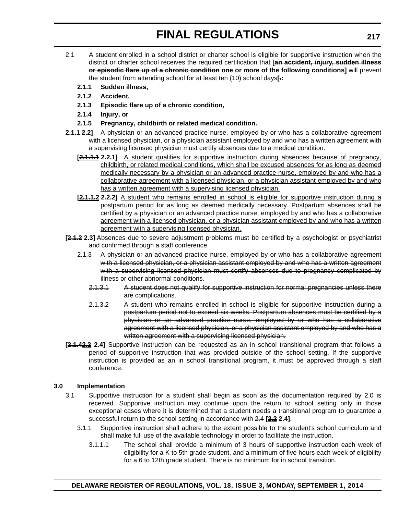- 2.1 A student enrolled in a school district or charter school is eligible for supportive instruction when the district or charter school receives the required certification that **[an accident, injury, sudden illness or episodic flare up of a chronic condition one or more of the following conditions]** will prevent the student from attending school for at least ten (10) school days**[.:**
	- **2.1.1 Sudden illness,**
	- **2.1.2 Accident,**
	- **2.1.3 Episodic flare up of a chronic condition,**
	- **2.1.4 Injury, or**
	- **2.1.5 Pregnancy, childbirth or related medical condition.**
- **2.1.1 2.2]** A physician or an advanced practice nurse, employed by or who has a collaborative agreement with a licensed physician, or a physician assistant employed by and who has a written agreement with a supervising licensed physician must certify absences due to a medical condition.
	- **[2.1.1.1 2.2.1]** A student qualifies for supportive instruction during absences because of pregnancy, childbirth, or related medical conditions, which shall be excused absences for as long as deemed medically necessary by a physician or an advanced practice nurse, employed by and who has a collaborative agreement with a licensed physician, or a physician assistant employed by and who has a written agreement with a supervising licensed physician.
	- **[2.1.1.2 2.2.2]** A student who remains enrolled in school is eligible for supportive instruction during a postpartum period for as long as deemed medically necessary. Postpartum absences shall be certified by a physician or an advanced practice nurse, employed by and who has a collaborative agreement with a licensed physician, or a physician assistant employed by and who has a written agreement with a supervising licensed physician.
- **[2.1.2 2.3]** Absences due to severe adjustment problems must be certified by a psychologist or psychiatrist and confirmed through a staff conference.
	- 2.1.3 A physician or an advanced practice nurse, employed by or who has a collaborative agreement with a licensed physician, or a physician assistant employed by and who has a written agreement with a supervising licensed physician must certify absences due to pregnancy complicated by illness or other abnormal conditions.
		- 2.1.3.1 A student does not qualify for supportive instruction for normal pregnancies unless there are complications.
		- 2.1.3.2 A student who remains enrolled in school is eligible for supportive instruction during a postpartum period not to exceed six weeks. Postpartum absences must be certified by a physician or an advanced practice nurse, employed by or who has a collaborative agreement with a licensed physician, or a physician assistant employed by and who has a written agreement with a supervising licensed physician.
- **[2.1.42.2 2.4]** Supportive instruction can be requested as an in school transitional program that follows a period of supportive instruction that was provided outside of the school setting. If the supportive instruction is provided as an in school transitional program, it must be approved through a staff conference.

### **3.0 Implementation**

- 3.1 Supportive instruction for a student shall begin as soon as the documentation required by 2.0 is received. Supportive instruction may continue upon the return to school setting only in those exceptional cases where it is determined that a student needs a transitional program to guarantee a successful return to the school setting in accordance with 2.4 **[2.2 2.4]**.
	- 3.1.1 Supportive instruction shall adhere to the extent possible to the student's school curriculum and shall make full use of the available technology in order to facilitate the instruction.
		- 3.1.1.1 The school shall provide a minimum of 3 hours of supportive instruction each week of eligibility for a K to 5th grade student, and a minimum of five hours each week of eligibility for a 6 to 12th grade student. There is no minimum for in school transition.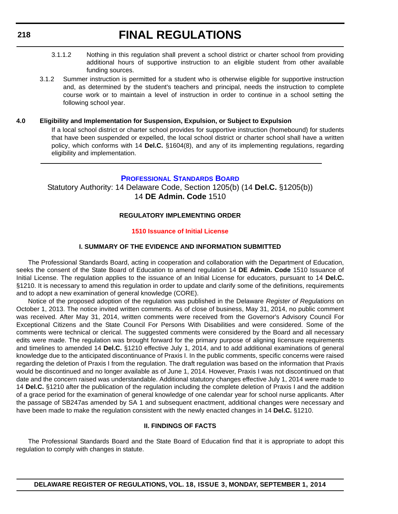- 3.1.1.2 Nothing in this regulation shall prevent a school district or charter school from providing additional hours of supportive instruction to an eligible student from other available funding sources.
- 3.1.2 Summer instruction is permitted for a student who is otherwise eligible for supportive instruction and, as determined by the student's teachers and principal, needs the instruction to complete course work or to maintain a level of instruction in order to continue in a school setting the following school year.

#### **4.0 Eligibility and Implementation for Suspension, Expulsion, or Subject to Expulsion**

If a local school district or charter school provides for supportive instruction (homebound) for students that have been suspended or expelled, the local school district or charter school shall have a written policy, which conforms with 14 **Del.C.** §1604(8), and any of its implementing regulations, regarding eligibility and implementation.

### **[PROFESSIONAL STANDARDS BOARD](http://www.doe.k12.de.us/)**

Statutory Authority: 14 Delaware Code, Section 1205(b) (14 **Del.C.** §1205(b)) 14 **DE Admin. Code** 1510

### **REGULATORY IMPLEMENTING ORDER**

#### **[1510 Issuance of Initial License](#page-4-0)**

#### **I. SUMMARY OF THE EVIDENCE AND INFORMATION SUBMITTED**

The Professional Standards Board, acting in cooperation and collaboration with the Department of Education, seeks the consent of the State Board of Education to amend regulation 14 **DE Admin. Code** 1510 Issuance of Initial License. The regulation applies to the issuance of an Initial License for educators, pursuant to 14 **Del.C.** §1210. It is necessary to amend this regulation in order to update and clarify some of the definitions, requirements and to adopt a new examination of general knowledge (CORE).

Notice of the proposed adoption of the regulation was published in the Delaware *Register of Regulations* on October 1, 2013. The notice invited written comments. As of close of business, May 31, 2014, no public comment was received. After May 31, 2014, written comments were received from the Governor's Advisory Council For Exceptional Citizens and the State Council For Persons With Disabilities and were considered. Some of the comments were technical or clerical. The suggested comments were considered by the Board and all necessary edits were made. The regulation was brought forward for the primary purpose of aligning Iicensure requirements and timelines to amended 14 **Del.C.** §1210 effective July 1, 2014, and to add additional examinations of general knowledge due to the anticipated discontinuance of Praxis I. In the public comments, specific concerns were raised regarding the deletion of Praxis I from the regulation. The draft regulation was based on the information that Praxis would be discontinued and no longer available as of June 1, 2014. However, Praxis I was not discontinued on that date and the concern raised was understandable. Additional statutory changes effective July 1, 2014 were made to 14 **Del.C.** §1210 after the publication of the regulation including the complete deletion of Praxis I and the addition of a grace period for the examination of general knowledge of one calendar year for school nurse applicants. After the passage of SB247as amended by SA 1 and subsequent enactment, additional changes were necessary and have been made to make the regulation consistent with the newly enacted changes in 14 **Del.C.** §1210.

#### **II. FINDINGS OF FACTS**

The Professional Standards Board and the State Board of Education find that it is appropriate to adopt this regulation to comply with changes in statute.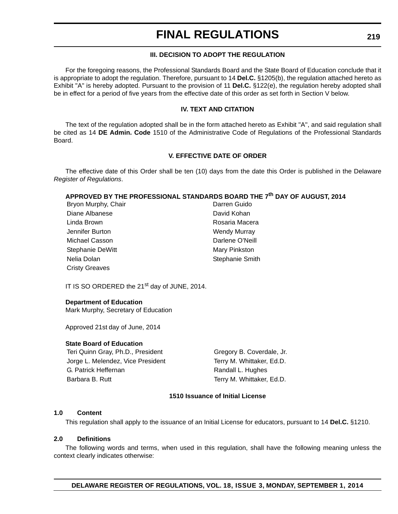## **III. DECISION TO ADOPT THE REGULATION**

For the foregoing reasons, the Professional Standards Board and the State Board of Education conclude that it is appropriate to adopt the regulation. Therefore, pursuant to 14 **Del.C.** §1205(b), the regulation attached hereto as Exhibit "A" is hereby adopted. Pursuant to the provision of 11 **Del.C.** §122(e), the regulation hereby adopted shall be in effect for a period of five years from the effective date of this order as set forth in Section V below.

### **IV. TEXT AND CITATION**

The text of the regulation adopted shall be in the form attached hereto as Exhibit "A'', and said regulation shall be cited as 14 **DE Admin. Code** 1510 of the Administrative Code of Regulations of the Professional Standards Board.

### **V. EFFECTIVE DATE OF ORDER**

The effective date of this Order shall be ten (10) days from the date this Order is published in the Delaware *Register of Regulations*.

#### **APPROVED BY THE PROFESSIONAL STANDARDS BOARD THE 7th DAY OF AUGUST, 2014**

| Bryon Murphy, Chair   | Darren Guido        |
|-----------------------|---------------------|
| Diane Albanese        | David Kohan         |
| Linda Brown           | Rosaria Macera      |
| Jennifer Burton       | <b>Wendy Murray</b> |
| Michael Casson        | Darlene O'Neill     |
| Stephanie DeWitt      | Mary Pinkston       |
| Nelia Dolan           | Stephanie Smith     |
| <b>Cristy Greaves</b> |                     |

IT IS SO ORDERED the 21<sup>st</sup> day of JUNE, 2014.

#### **Department of Education**

Mark Murphy, Secretary of Education

Approved 21st day of June, 2014

#### **State Board of Education**

Teri Quinn Gray, Ph.D., President Gregory B. Coverdale, Jr. Jorge L. Melendez, Vice President Terry M. Whittaker, Ed.D. G. Patrick Heffernan Randall L. Hughes Barbara B. Rutt Terry M. Whittaker, Ed.D.

#### **1510 Issuance of Initial License**

#### **1.0 Content**

This regulation shall apply to the issuance of an Initial License for educators, pursuant to 14 **Del.C.** §1210.

#### **2.0 Definitions**

The following words and terms, when used in this regulation, shall have the following meaning unless the context clearly indicates otherwise: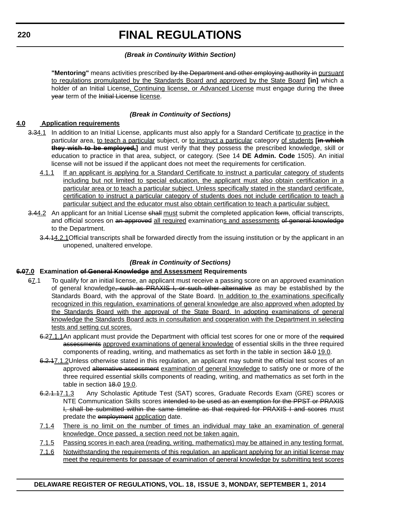## *(Break in Continuity Within Section)*

**"Mentoring"** means activities prescribed by the Department and other employing authority in pursuant to regulations promulgated by the Standards Board and approved by the State Board **[in]** which a holder of an Initial License, Continuing license, or Advanced License must engage during the three year term of the Initial License license.

# *(Break in Continuity of Sections)*

## **4.0 Application requirements**

- 3.34.1 In addition to an Initial License, applicants must also apply for a Standard Certificate to practice in the particular area, to teach a particular subject, or to instruct a particular category of students **[in which they wish to be employed,]** and must verify that they possess the prescribed knowledge, skill or education to practice in that area, subject, or category. (See 14 **DE Admin. Code** 1505). An initial license will not be issued if the applicant does not meet the requirements for certification.
	- 4.1.1 If an applicant is applying for a Standard Certificate to instruct a particular category of students including but not limited to special education, the applicant must also obtain certification in a particular area or to teach a particular subject. Unless specifically stated in the standard certificate, certification to instruct a particular category of students does not include certification to teach a particular subject and the educator must also obtain certification to teach a particular subject.
- 3.44.2 An applicant for an Initial License shall must submit the completed application form, official transcripts, and official scores on an approved all required examinations and assessments of general knowledge to the Department.
	- 3.4.14.2.1Official transcripts shall be forwarded directly from the issuing institution or by the applicant in an unopened, unaltered envelope.

# *(Break in Continuity of Sections)*

# **6.07.0 Examination of General Knowledge and Assessment Requirements**

- 67.1 To qualify for an initial license, an applicant must receive a passing score on an approved examination of general knowledge<del>, such as PRAXIS I, or such other alternative</del> as may be established by the Standards Board, with the approval of the State Board. In addition to the examinations specifically recognized in this regulation, examinations of general knowledge are also approved when adopted by the Standards Board with the approval of the State Board. In adopting examinations of general knowledge the Standards Board acts in consultation and cooperation with the Department in selecting tests and setting cut scores.
	- 6.27.1.1An applicant must provide the Department with official test scores for one or more of the required assessments approved examinations of general knowledge of essential skills in the three required components of reading, writing, and mathematics as set forth in the table in section 48.0 19.0.
	- 6.2.17.1.2Unless otherwise stated in this regulation, an applicant may submit the official test scores of an approved alternative assessment examination of general knowledge to satisfy one or more of the three required essential skills components of reading, writing, and mathematics as set forth in the table in section 48.0 19.0.
	- 6.2.1.17.1.3 Any Scholastic Aptitude Test (SAT) scores, Graduate Records Exam (GRE) scores or NTE Communication Skills scores intended to be used as an exemption for the PPST or PRAXIS I, shall be submitted within the same timeline as that required for PRAXIS I and scores must predate the employment application date.
	- 7.1.4 There is no limit on the number of times an individual may take an examination of general knowledge. Once passed, a section need not be taken again.
	- 7.1.5 Passing scores in each area (reading, writing, mathematics) may be attained in any testing format.
	- 7.1.6 Notwithstanding the requirements of this regulation, an applicant applying for an initial license may meet the requirements for passage of examination of general knowledge by submitting test scores

### **DELAWARE REGISTER OF REGULATIONS, VOL. 18, ISSUE 3, MONDAY, SEPTEMBER 1, 2014**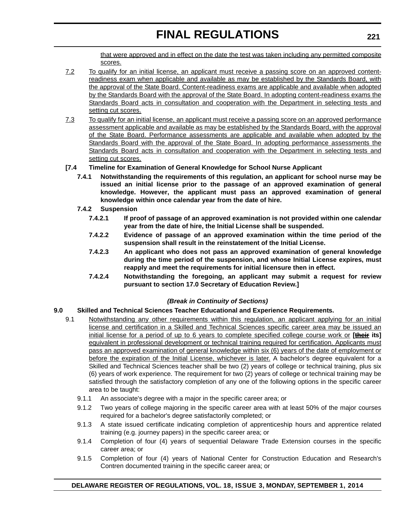that were approved and in effect on the date the test was taken including any permitted composite scores.

- 7.2 To qualify for an initial license, an applicant must receive a passing score on an approved contentreadiness exam when applicable and available as may be established by the Standards Board, with the approval of the State Board. Content-readiness exams are applicable and available when adopted by the Standards Board with the approval of the State Board. In adopting content-readiness exams the Standards Board acts in consultation and cooperation with the Department in selecting tests and setting cut scores.
- 7.3 To qualify for an initial license, an applicant must receive a passing score on an approved performance assessment applicable and available as may be established by the Standards Board, with the approval of the State Board. Performance assessments are applicable and available when adopted by the Standards Board with the approval of the State Board. In adopting performance assessments the Standards Board acts in consultation and cooperation with the Department in selecting tests and setting cut scores.

## **[7.4 Timeline for Examination of General Knowledge for School Nurse Applicant**

- **7.4.1 Notwithstanding the requirements of this regulation, an applicant for school nurse may be issued an initial license prior to the passage of an approved examination of general knowledge. However, the applicant must pass an approved examination of general knowledge within once calendar year from the date of hire.**
- **7.4.2 Suspension**
	- **7.4.2.1 If proof of passage of an approved examination is not provided within one calendar year from the date of hire, the Initial License shall be suspended.**
	- **7.4.2.2 Evidence of passage of an approved examination within the time period of the suspension shall result in the reinstatement of the Initial License.**
	- **7.4.2.3 An applicant who does not pass an approved examination of general knowledge during the time period of the suspension, and whose Initial License expires, must reapply and meet the requirements for initial licensure then in effect.**
	- **7.4.2.4 Notwithstanding the foregoing, an applicant may submit a request for review pursuant to section 17.0 Secretary of Education Review.]**

### *(Break in Continuity of Sections)*

### **9.0 Skilled and Technical Sciences Teacher Educational and Experience Requirements.**

- 9.1 Notwithstanding any other requirements within this regulation, an applicant applying for an initial license and certification in a Skilled and Technical Sciences specific career area may be issued an initial license for a period of up to 6 years to complete specified college course work or **[their its]** equivalent in professional development or technical training required for certification. Applicants must pass an approved examination of general knowledge within six (6) years of the date of employment or before the expiration of the Initial License, whichever is later. A bachelor's degree equivalent for a Skilled and Technical Sciences teacher shall be two (2) years of college or technical training, plus six (6) years of work experience. The requirement for two (2) years of college or technical training may be satisfied through the satisfactory completion of any one of the following options in the specific career area to be taught:
	- 9.1.1 An associate's degree with a major in the specific career area; or
	- 9.1.2 Two years of college majoring in the specific career area with at least 50% of the major courses required for a bachelor's degree satisfactorily completed; or
	- 9.1.3 A state issued certificate indicating completion of apprenticeship hours and apprentice related training (e.g. journey papers) in the specific career area; or
	- 9.1.4 Completion of four (4) years of sequential Delaware Trade Extension courses in the specific career area; or
	- 9.1.5 Completion of four (4) years of National Center for Construction Education and Research's Contren documented training in the specific career area; or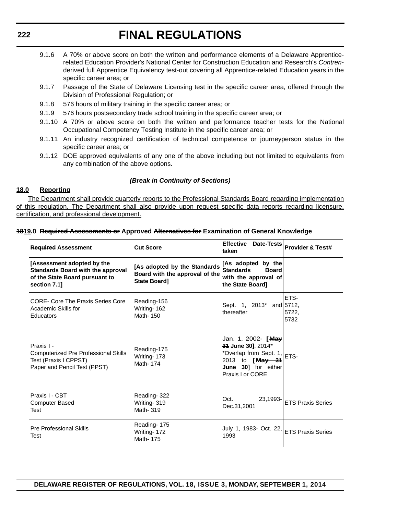- 9.1.6 A 70% or above score on both the written and performance elements of a Delaware Apprenticerelated Education Provider's National Center for Construction Education and Research's *Contren*derived full Apprentice Equivalency test-out covering all Apprentice-related Education years in the specific career area; or
- 9.1.7 Passage of the State of Delaware Licensing test in the specific career area, offered through the Division of Professional Regulation; or
- 9.1.8 576 hours of military training in the specific career area; or
- 9.1.9 576 hours postsecondary trade school training in the specific career area; or
- 9.1.10 A 70% or above score on both the written and performance teacher tests for the National Occupational Competency Testing Institute in the specific career area; or
- 9.1.11 An industry recognized certification of technical competence or journeyperson status in the specific career area; or
- 9.1.12 DOE approved equivalents of any one of the above including but not limited to equivalents from any combination of the above options.

## *(Break in Continuity of Sections)*

### **18.0 Reporting**

The Department shall provide quarterly reports to the Professional Standards Board regarding implementation of this regulation. The Department shall also provide upon request specific data reports regarding licensure, certification, and professional development.

#### **1819.0 Required Assessments or Approved Alternatives for Examination of General Knowledge**

| <b>Required Assessment</b>                                                                                               | <b>Cut Score</b>                                                               | <b>Effective</b><br><b>Date-Tests</b><br>taken                                                                                   | <b>Provider &amp; Test#</b> |
|--------------------------------------------------------------------------------------------------------------------------|--------------------------------------------------------------------------------|----------------------------------------------------------------------------------------------------------------------------------|-----------------------------|
| [Assessment adopted by the<br><b>Standards Board with the approval</b><br>of the State Board pursuant to<br>section 7.1] | [As adopted by the Standards<br>Board with the approval of the<br>State Board] | [As adopted by the<br><b>Standards</b><br><b>Board</b><br>with the approval of<br>the State Board]                               |                             |
| <b>CORE-</b> Core The Praxis Series Core<br>Academic Skills for<br><b>Educators</b>                                      | Reading-156<br>Writing-162<br>Math-150                                         | Sept. 1, 2013 <sup>*</sup> and 5712,<br>thereafter                                                                               | ETS-<br>5722.<br>5732       |
| Praxis I -<br><b>Computerized Pre Professional Skills</b><br>Test (Praxis I CPPST)<br>Paper and Pencil Test (PPST)       | Reading-175<br>Writing-173<br>Math-174                                         | Jan. 1, 2002- [May<br>34 June 30], 2014*<br>*Overlap from Sept. 1,<br>2013 to [May 31<br>June 301 for either<br>Praxis I or CORE | ETS-                        |
| Praxis I - CBT<br><b>Computer Based</b><br>Test                                                                          | Reading-322<br>Writing-319<br>Math- 319                                        | Oct.<br>23.1993-<br>Dec.31,2001                                                                                                  | <b>ETS Praxis Series</b>    |
| <b>Pre Professional Skills</b><br>Test                                                                                   | Reading-175<br>Writing-172<br>Math-175                                         | July 1, 1983- Oct. 22,<br>1993                                                                                                   | <b>ETS Praxis Series</b>    |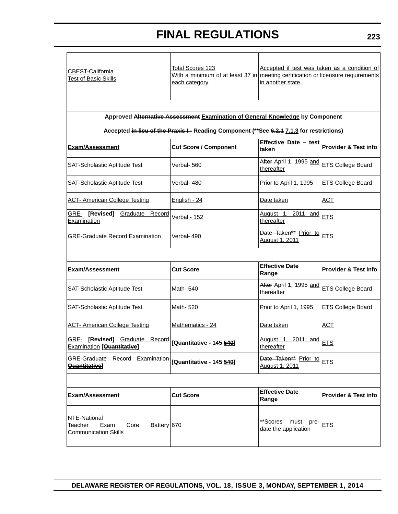| <b>CBEST-California</b><br><b>Test of Basic Skills</b>                                | <b>Total Scores 123</b><br>With a minimum of at least 37 in meeting certification or licensure requirements<br>each category | Accepted if test was taken as a condition of<br>in another state. |                                 |
|---------------------------------------------------------------------------------------|------------------------------------------------------------------------------------------------------------------------------|-------------------------------------------------------------------|---------------------------------|
|                                                                                       | Approved Alternative Assessment Examination of General Knowledge by Component                                                |                                                                   |                                 |
|                                                                                       | Accepted in lieu of the Praxis I - Reading Component (**See 6.2.4 7.1.3 for restrictions)                                    |                                                                   |                                 |
| <b>Exam/Assessment</b>                                                                | <b>Cut Score / Component</b>                                                                                                 | Effective Date - test<br>taken                                    | <b>Provider &amp; Test info</b> |
| SAT-Scholastic Aptitude Test                                                          | Verbal- 560                                                                                                                  | After April 1, 1995 and<br>thereafter                             | <b>ETS College Board</b>        |
| SAT-Scholastic Aptitude Test                                                          | Verbal- 480                                                                                                                  | Prior to April 1, 1995                                            | <b>ETS College Board</b>        |
| <b>ACT- American College Testing</b>                                                  | English - 24                                                                                                                 | Date taken                                                        | <b>ACT</b>                      |
| GRE- [Revised] Graduate Record<br>Examination                                         | <b>Verbal - 152</b>                                                                                                          | August <sub>1</sub> ,<br>2011 and<br>thereafter                   | <b>ETS</b>                      |
| <b>GRE-Graduate Record Examination</b>                                                | Verbal-490                                                                                                                   | Date Taken** Prior to<br>August 1, 2011                           | <b>ETS</b>                      |
|                                                                                       |                                                                                                                              |                                                                   |                                 |
| <b>Exam/Assessment</b>                                                                | <b>Cut Score</b>                                                                                                             | <b>Effective Date</b><br>Range                                    | <b>Provider &amp; Test info</b> |
| SAT-Scholastic Aptitude Test                                                          | Math- 540                                                                                                                    | After April 1, 1995 and<br>thereafter                             | <b>ETS College Board</b>        |
| SAT-Scholastic Aptitude Test                                                          | Math-520                                                                                                                     | Prior to April 1, 1995                                            | <b>ETS College Board</b>        |
| <b>ACT- American College Testing</b>                                                  | Mathematics - 24                                                                                                             | Date taken                                                        | <b>ACT</b>                      |
| GRE-<br>[Revised] Graduate<br><b>Examination</b> [ <b>Quantitative</b> ]              | Record [Quantitative - 145 <b>549</b> ]                                                                                      | 2011<br>August 1,<br>thereafter                                   | $\frac{and}{ETS}$               |
| GRE-Graduate Record Examination<br><b>Quantitativel</b>                               | [Quantitative - 145 <b>540</b> ]                                                                                             | Date Taken** Prior to<br>August 1, 2011                           | <b>ETS</b>                      |
|                                                                                       |                                                                                                                              |                                                                   |                                 |
| <b>Exam/Assessment</b>                                                                | <b>Cut Score</b>                                                                                                             | <b>Effective Date</b><br>Range                                    | <b>Provider &amp; Test info</b> |
| NTE-National<br>Battery 670<br>Teacher<br>Exam<br>Core<br><b>Communication Skills</b> |                                                                                                                              | **Scores must pre-<br>date the application                        | <b>ETS</b>                      |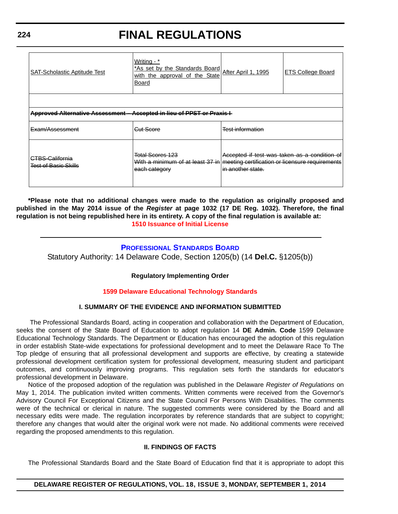|  | <b>FINAL REGULATIONS</b> |
|--|--------------------------|
|  |                          |

| <b>SAT-Scholastic Aptitude Test</b>                                                   | Writing - *<br><sup>1</sup> As set by the Standards Board After April 1, 1995<br>with the approval of the State<br><b>Board</b> |                                                                   | <b>ETS College Board</b> |
|---------------------------------------------------------------------------------------|---------------------------------------------------------------------------------------------------------------------------------|-------------------------------------------------------------------|--------------------------|
|                                                                                       |                                                                                                                                 |                                                                   |                          |
| <b>Approved Alternative Assessment</b><br><b>Accepted in lieu of PPST or Praxis I</b> |                                                                                                                                 |                                                                   |                          |
| E <del>xam/Assessment</del>                                                           | <del>Gut Score</del>                                                                                                            | <del>Test information</del>                                       |                          |
| I <del>CTBS-California</del><br><b>Test of Basic Skills</b>                           | <b>Total Scores 123</b><br>With a minimum of at least 37 in   meeting certification or licensure requirements<br>each category  | Accepted if test was taken as a condition of<br>in another state. |                          |

**\*Please note that no additional changes were made to the regulation as originally proposed and published in the May 2014 issue of the** *Register* **at page 1032 (17 DE Reg. 1032). Therefore, the final regulation is not being republished here in its entirety. A copy of the final regulation is available at: [1510 Issuance of Initial License](http://regulations.delaware.gov/register/september2014/final/18 DE Reg 218 09-01-14.htm)**

# **[PROFESSIONAL STANDARDS BOARD](http://www.doe.k12.de.us/)**

Statutory Authority: 14 Delaware Code, Section 1205(b) (14 **Del.C.** §1205(b))

### **Regulatory Implementing Order**

### **[1599 Delaware Educational Technology Standards](#page-4-0)**

### **I. SUMMARY OF THE EVIDENCE AND INFORMATION SUBMITTED**

 The Professional Standards Board, acting in cooperation and collaboration with the Department of Education, seeks the consent of the State Board of Education to adopt regulation 14 **DE Admin. Code** 1599 Delaware Educational Technology Standards. The Department or Education has encouraged the adoption of this regulation in order establish State-wide expectations for professional development and to meet the Delaware Race To The Top pledge of ensuring that all professional development and supports are effective, by creating a statewide professional development certification system for professional development, measuring student and participant outcomes, and continuously improving programs. This regulation sets forth the standards for educator's professional development in Delaware.

Notice of the proposed adoption of the regulation was published in the Delaware *Register of Regulations* on May 1, 2014. The publication invited written comments. Written comments were received from the Governor's Advisory Council For Exceptional Citizens and the State Council For Persons With Disabilities. The comments were of the technical or clerical in nature. The suggested comments were considered by the Board and all necessary edits were made. The regulation incorporates by reference standards that are subject to copyright; therefore any changes that would alter the original work were not made. No additional comments were received regarding the proposed amendments to this regulation.

#### **II. FINDINGS OF FACTS**

The Professional Standards Board and the State Board of Education find that it is appropriate to adopt this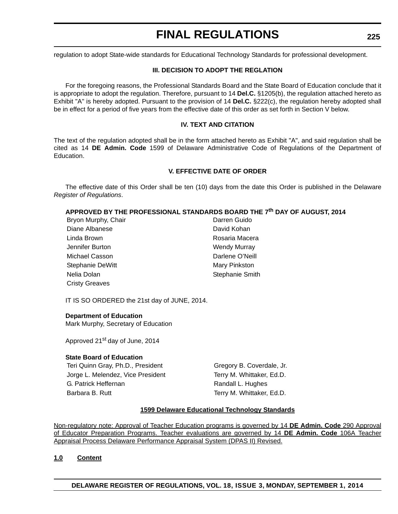regulation to adopt State-wide standards for Educational Technology Standards for professional development.

## **III. DECISION TO ADOPT THE REGLATION**

For the foregoing reasons, the Professional Standards Board and the State Board of Education conclude that it is appropriate to adopt the regulation. Therefore, pursuant to 14 **Del.C.** §1205(b), the regulation attached hereto as Exhibit "A" is hereby adopted. Pursuant to the provision of 14 **Del.C.** §222(c), the regulation hereby adopted shall be in effect for a period of five years from the effective date of this order as set forth in Section V below.

## **IV. TEXT AND CITATION**

The text of the regulation adopted shall be in the form attached hereto as Exhibit "A", and said regulation shall be cited as 14 **DE Admin. Code** 1599 of Delaware Administrative Code of Regulations of the Department of Education.

## **V. EFFECTIVE DATE OF ORDER**

The effective date of this Order shall be ten (10) days from the date this Order is published in the Delaware *Register of Regulations*.

# **APPROVED BY THE PROFESSIONAL STANDARDS BOARD THE 7th DAY OF AUGUST, 2014**

| Bryon Murphy, Chair   | Darren Guido        |
|-----------------------|---------------------|
| Diane Albanese        | David Kohan         |
| Linda Brown           | Rosaria Macera      |
| Jennifer Burton       | <b>Wendy Murray</b> |
| Michael Casson        | Darlene O'Neill     |
| Stephanie DeWitt      | Mary Pinkston       |
| Nelia Dolan           | Stephanie Smith     |
| <b>Cristy Greaves</b> |                     |

IT IS SO ORDERED the 21st day of JUNE, 2014.

### **Department of Education**

Mark Murphy, Secretary of Education

Approved 21<sup>st</sup> day of June, 2014

### **State Board of Education**

Teri Quinn Gray, Ph.D., President Gregory B. Coverdale, Jr. Jorge L. Melendez, Vice President Terry M. Whittaker, Ed.D. G. Patrick Heffernan **Randall L. Hughes** Randall L. Hughes Barbara B. Rutt Terry M. Whittaker, Ed.D.

### **1599 Delaware Educational Technology Standards**

Non-regulatory note: Approval of Teacher Education programs is governed by 14 **DE Admin. Code** 290 Approval of Educator Preparation Programs. Teacher evaluations are governed by 14 **DE Admin. Code** 106A Teacher Appraisal Process Delaware Performance Appraisal System (DPAS II) Revised.

**1.0 Content**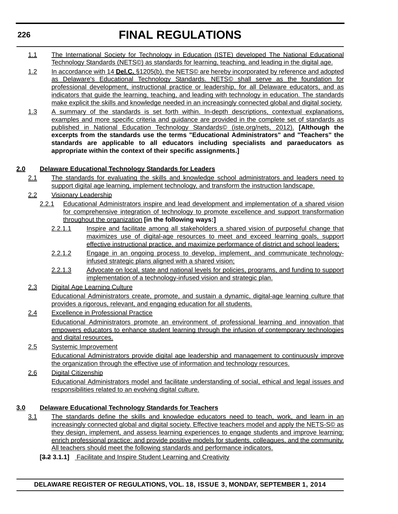- 1.1 The International Society for Technology in Education (ISTE) developed The National Educational Technology Standards (NETS©) as standards for learning, teaching, and leading in the digital age.
- 1.2 In accordance with 14 **Del.C.** §1205(b), the NETS© are hereby incorporated by reference and adopted as Delaware's Educational Technology Standards. NETS© shall serve as the foundation for professional development, instructional practice or leadership, for all Delaware educators, and as indicators that guide the learning, teaching, and leading with technology in education. The standards make explicit the skills and knowledge needed in an increasingly connected global and digital society.
- 1.3 A summary of the standards is set forth within. In-depth descriptions, contextual explanations, examples and more specific criteria and guidance are provided in the complete set of standards as published in National Education Technology Standards© (iste.org/nets, 2012). **[Although the excerpts from the standards use the terms "Educational Administrators" and "Teachers" the standards are applicable to all educators including specialists and paraeducators as appropriate within the context of their specific assignments.]**

# **2.0 Delaware Educational Technology Standards for Leaders**

- 2.1 The standards for evaluating the skills and knowledge school administrators and leaders need to support digital age learning, implement technology, and transform the instruction landscape.
- 2.2 Visionary Leadership
	- 2.2.1 Educational Administrators inspire and lead development and implementation of a shared vision for comprehensive integration of technology to promote excellence and support transformation throughout the organization **[in the following ways:]**
		- 2.2.1.1 Inspire and facilitate among all stakeholders a shared vision of purposeful change that maximizes use of digital-age resources to meet and exceed learning goals, support effective instructional practice, and maximize performance of district and school leaders;
		- 2.2.1.2 Engage in an ongoing process to develop, implement, and communicate technologyinfused strategic plans aligned with a shared vision;
		- 2.2.1.3 Advocate on local, state and national levels for policies, programs, and funding to support implementation of a technology-infused vision and strategic plan.
- 2.3 Digital Age Learning Culture Educational Administrators create, promote, and sustain a dynamic, digital-age learning culture that provides a rigorous, relevant, and engaging education for all students.
- 2.4 Excellence in Professional Practice Educational Administrators promote an environment of professional learning and innovation that empowers educators to enhance student learning through the infusion of contemporary technologies and digital resources.
- 2.5 Systemic Improvement

Educational Administrators provide digital age leadership and management to continuously improve the organization through the effective use of information and technology resources.

2.6 Digital Citizenship Educational Administrators model and facilitate understanding of social, ethical and legal issues and responsibilities related to an evolving digital culture.

# **3.0 Delaware Educational Technology Standards for Teachers**

- 3.1 The standards define the skills and knowledge educators need to teach, work, and learn in an increasingly connected global and digital society. Effective teachers model and apply the NETS-S© as they design, implement, and assess learning experiences to engage students and improve learning; enrich professional practice; and provide positive models for students, colleagues, and the community. All teachers should meet the following standards and performance indicators.
	- [3.2 3.1.1] Facilitate and Inspire Student Learning and Creativity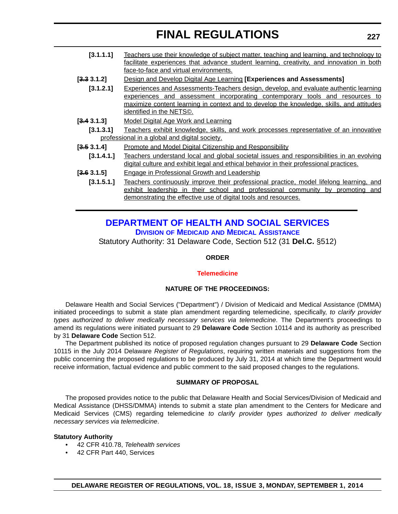| [3.1.1.1]   | Teachers use their knowledge of subject matter, teaching and learning, and technology to<br>facilitate experiences that advance student learning, creativity, and innovation in both<br>face-to-face and virtual environments.                                                                              |
|-------------|-------------------------------------------------------------------------------------------------------------------------------------------------------------------------------------------------------------------------------------------------------------------------------------------------------------|
| [3.3 3.1.2] | Design and Develop Digital Age Learning [Experiences and Assessments]                                                                                                                                                                                                                                       |
|             |                                                                                                                                                                                                                                                                                                             |
| [3.1.2.1]   | <b>Experiences and Assessments-Teachers design, develop, and evaluate authentic learning</b><br>experiences and assessment incorporating contemporary tools and resources to<br><u>maximize content learning in context and to develop the knowledge, skills, and attitudes</u><br>identified in the NETS©. |
| [3.4 3.1.3] | <u>Model Digital Age Work and Learning</u>                                                                                                                                                                                                                                                                  |
| [3.1.3.1]   | <u>Teachers exhibit knowledge, skills, and work processes representative of an innovative</u><br>professional in a global and digital society.                                                                                                                                                              |
| [3.53.1.4]  | <b>Promote and Model Digital Citizenship and Responsibility</b>                                                                                                                                                                                                                                             |
| [3.1.4.1.]  | Teachers understand local and global societal issues and responsibilities in an evolving<br>digital culture and exhibit legal and ethical behavior in their professional practices.                                                                                                                         |
| [3.63.1.5]  | <b>Engage in Professional Growth and Leadership</b>                                                                                                                                                                                                                                                         |
| [3.1.5.1.]  | Teachers continuously improve their professional practice, model lifelong learning, and<br>exhibit leadership in their school and professional community by promoting<br>and<br>demonstrating the effective use of digital tools and resources.                                                             |

# **[DEPARTMENT OF HEALTH AND SOCIAL SERVICES](http://www.dhss.delaware.gov/dhss/dmma/) DIVISION OF MEDICAID AND MEDICAL ASSISTANCE**

Statutory Authority: 31 Delaware Code, Section 512 (31 **Del.C.** §512)

### **ORDER**

#### **[Telemedicine](#page-4-0)**

## **NATURE OF THE PROCEEDINGS:**

Delaware Health and Social Services ("Department") / Division of Medicaid and Medical Assistance (DMMA) initiated proceedings to submit a state plan amendment regarding telemedicine, specifically, *to clarify provider types authorized to deliver medically necessary services via telemedicine*. The Department's proceedings to amend its regulations were initiated pursuant to 29 **Delaware Code** Section 10114 and its authority as prescribed by 31 **Delaware Code** Section 512.

The Department published its notice of proposed regulation changes pursuant to 29 **Delaware Code** Section 10115 in the July 2014 Delaware *Register of Regulations*, requiring written materials and suggestions from the public concerning the proposed regulations to be produced by July 31, 2014 at which time the Department would receive information, factual evidence and public comment to the said proposed changes to the regulations.

### **SUMMARY OF PROPOSAL**

The proposed provides notice to the public that Delaware Health and Social Services/Division of Medicaid and Medical Assistance (DHSS/DMMA) intends to submit a state plan amendment to the Centers for Medicare and Medicaid Services (CMS) regarding telemedicine *to clarify provider types authorized to deliver medically necessary services via telemedicine*.

#### **Statutory Authority**

- 42 CFR 410.78, *Telehealth services*
- 42 CFR Part 440, Services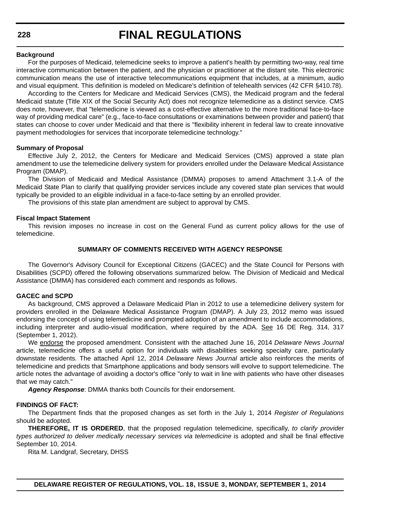#### **Background**

For the purposes of Medicaid, telemedicine seeks to improve a patient's health by permitting two-way, real time interactive communication between the patient, and the physician or practitioner at the distant site. This electronic communication means the use of interactive telecommunications equipment that includes, at a minimum, audio and visual equipment. This definition is modeled on Medicare's definition of telehealth services (42 CFR §410.78).

According to the Centers for Medicare and Medicaid Services (CMS), the Medicaid program and the federal Medicaid statute (Title XIX of the Social Security Act) does not recognize telemedicine as a distinct service. CMS does note, however, that "telemedicine is viewed as a cost-effective alternative to the more traditional face-to-face way of providing medical care" (e.g., face-to-face consultations or examinations between provider and patient) that states can choose to cover under Medicaid and that there is "flexibility inherent in federal law to create innovative payment methodologies for services that incorporate telemedicine technology."

#### **Summary of Proposal**

Effective July 2, 2012, the Centers for Medicare and Medicaid Services (CMS) approved a state plan amendment to use the telemedicine delivery system for providers enrolled under the Delaware Medical Assistance Program (DMAP).

The Division of Medicaid and Medical Assistance (DMMA) proposes to amend Attachment 3.1-A of the Medicaid State Plan to clarify that qualifying provider services include any covered state plan services that would typically be provided to an eligible individual in a face-to-face setting by an enrolled provider.

The provisions of this state plan amendment are subject to approval by CMS.

#### **Fiscal Impact Statement**

This revision imposes no increase in cost on the General Fund as current policy allows for the use of telemedicine.

#### **SUMMARY OF COMMENTS RECEIVED WITH AGENCY RESPONSE**

The Governor's Advisory Council for Exceptional Citizens (GACEC) and the State Council for Persons with Disabilities (SCPD) offered the following observations summarized below. The Division of Medicaid and Medical Assistance (DMMA) has considered each comment and responds as follows.

#### **GACEC and SCPD**

As background, CMS approved a Delaware Medicaid Plan in 2012 to use a telemedicine delivery system for providers enrolled in the Delaware Medical Assistance Program (DMAP). A July 23, 2012 memo was issued endorsing the concept of using telemedicine and prompted adoption of an amendment to include accommodations, including interpreter and audio-visual modification, where required by the ADA. See 16 DE Reg. 314, 317 (September 1, 2012).

We endorse the proposed amendment. Consistent with the attached June 16, 2014 *Delaware News Journal* article, telemedicine offers a useful option for individuals with disabilities seeking specialty care, particularly downstate residents. The attached April 12, 2014 *Delaware News Journal* article also reinforces the merits of telemedicine and predicts that Smartphone applications and body sensors will evolve to support telemedicine. The article notes the advantage of avoiding a doctor's office "only to wait in line with patients who have other diseases that we may catch."

*Agency Response*: DMMA thanks both Councils for their endorsement.

#### **FINDINGS OF FACT:**

The Department finds that the proposed changes as set forth in the July 1, 2014 *Register of Regulations* should be adopted.

**THEREFORE, IT IS ORDERED**, that the proposed regulation telemedicine, specifically, *to clarify provider types authorized to deliver medically necessary services via telemedicine* is adopted and shall be final effective September 10, 2014.

Rita M. Landgraf, Secretary, DHSS

**DELAWARE REGISTER OF REGULATIONS, VOL. 18, ISSUE 3, MONDAY, SEPTEMBER 1, 2014**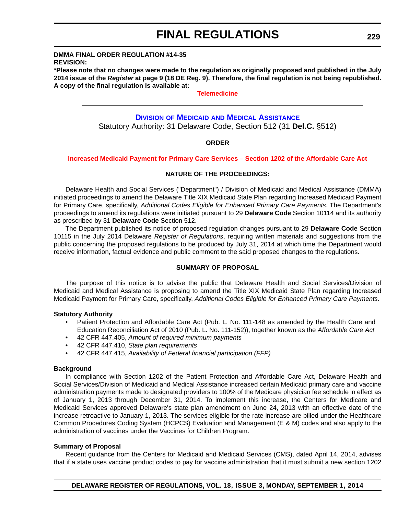# **DMMA FINAL ORDER REGULATION #14-35**

**REVISION:**

**\*Please note that no changes were made to the regulation as originally proposed and published in the July 2014 issue of the** *Register* **at page 9 (18 DE Reg. 9). Therefore, the final regulation is not being republished. A copy of the final regulation is available at:**

**[Telemedicine](http://regulations.delaware.gov/register/september2014/final/18 DE Reg 227 09-01-14.htm)**

# **DIVISION OF MEDICAID [AND MEDICAL ASSISTANCE](http://www.dhss.delaware.gov/dhss/dmma/)**

Statutory Authority: 31 Delaware Code, Section 512 (31 **Del.C.** §512)

### **ORDER**

#### **[Increased Medicaid Payment for Primary Care Services – Section 1202 of the Affordable Care Act](#page-4-0)**

#### **NATURE OF THE PROCEEDINGS:**

Delaware Health and Social Services ("Department") / Division of Medicaid and Medical Assistance (DMMA) initiated proceedings to amend the Delaware Title XIX Medicaid State Plan regarding Increased Medicaid Payment for Primary Care, specifically, *Additional Codes Eligible for Enhanced Primary Care Payments*. The Department's proceedings to amend its regulations were initiated pursuant to 29 **Delaware Code** Section 10114 and its authority as prescribed by 31 **Delaware Code** Section 512.

The Department published its notice of proposed regulation changes pursuant to 29 **Delaware Code** Section 10115 in the July 2014 Delaware *Register of Regulations*, requiring written materials and suggestions from the public concerning the proposed regulations to be produced by July 31, 2014 at which time the Department would receive information, factual evidence and public comment to the said proposed changes to the regulations.

### **SUMMARY OF PROPOSAL**

The purpose of this notice is to advise the public that Delaware Health and Social Services/Division of Medicaid and Medical Assistance is proposing to amend the Title XIX Medicaid State Plan regarding Increased Medicaid Payment for Primary Care, specifically, *Additional Codes Eligible for Enhanced Primary Care Payments*.

#### **Statutory Authority**

- Patient Protection and Affordable Care Act (Pub. L. No. 111-148 as amended by the Health Care and Education Reconciliation Act of 2010 (Pub. L. No. 111-152)), together known as the *Affordable Care Act*
- 42 CFR 447.405, *Amount of required minimum payments*
- 42 CFR 447.410, *State plan requirements*
- 42 CFR 447.415, *Availability of Federal financial participation (FFP)*

#### **Background**

In compliance with Section 1202 of the Patient Protection and Affordable Care Act, Delaware Health and Social Services/Division of Medicaid and Medical Assistance increased certain Medicaid primary care and vaccine administration payments made to designated providers to 100% of the Medicare physician fee schedule in effect as of January 1, 2013 through December 31, 2014. To implement this increase, the Centers for Medicare and Medicaid Services approved Delaware's state plan amendment on June 24, 2013 with an effective date of the increase retroactive to January 1, 2013. The services eligible for the rate increase are billed under the Healthcare Common Procedures Coding System (HCPCS) Evaluation and Management (E & M) codes and also apply to the administration of vaccines under the Vaccines for Children Program.

### **Summary of Proposal**

Recent guidance from the Centers for Medicaid and Medicaid Services (CMS), dated April 14, 2014, advises that if a state uses vaccine product codes to pay for vaccine administration that it must submit a new section 1202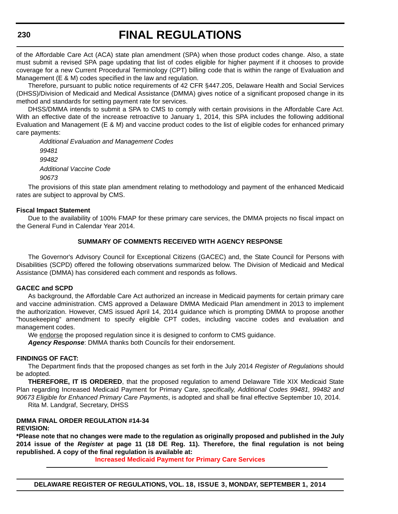of the Affordable Care Act (ACA) state plan amendment (SPA) when those product codes change. Also, a state must submit a revised SPA page updating that list of codes eligible for higher payment if it chooses to provide coverage for a new Current Procedural Terminology (CPT) billing code that is within the range of Evaluation and Management (E & M) codes specified in the law and regulation.

Therefore, pursuant to public notice requirements of 42 CFR §447.205, Delaware Health and Social Services (DHSS)/Division of Medicaid and Medical Assistance (DMMA) gives notice of a significant proposed change in its method and standards for setting payment rate for services.

DHSS/DMMA intends to submit a SPA to CMS to comply with certain provisions in the Affordable Care Act. With an effective date of the increase retroactive to January 1, 2014, this SPA includes the following additional Evaluation and Management (E & M) and vaccine product codes to the list of eligible codes for enhanced primary care payments:

*Additional Evaluation and Management Codes 99481 99482 Additional Vaccine Code 90673*

The provisions of this state plan amendment relating to methodology and payment of the enhanced Medicaid rates are subject to approval by CMS.

#### **Fiscal Impact Statement**

Due to the availability of 100% FMAP for these primary care services, the DMMA projects no fiscal impact on the General Fund in Calendar Year 2014.

#### **SUMMARY OF COMMENTS RECEIVED WITH AGENCY RESPONSE**

The Governor's Advisory Council for Exceptional Citizens (GACEC) and, the State Council for Persons with Disabilities (SCPD) offered the following observations summarized below. The Division of Medicaid and Medical Assistance (DMMA) has considered each comment and responds as follows.

#### **GACEC and SCPD**

As background, the Affordable Care Act authorized an increase in Medicaid payments for certain primary care and vaccine administration. CMS approved a Delaware DMMA Medicaid Plan amendment in 2013 to implement the authorization. However, CMS issued April 14, 2014 guidance which is prompting DMMA to propose another "housekeeping" amendment to specify eligible CPT codes, including vaccine codes and evaluation and management codes.

We endorse the proposed regulation since it is designed to conform to CMS guidance.

*Agency Response*: DMMA thanks both Councils for their endorsement.

#### **FINDINGS OF FACT:**

The Department finds that the proposed changes as set forth in the July 2014 *Register of Regulations* should be adopted.

**THEREFORE, IT IS ORDERED**, that the proposed regulation to amend Delaware Title XIX Medicaid State Plan regarding Increased Medicaid Payment for Primary Care, *specifically, Additional Codes 99481, 99482 and 90673 Eligible for Enhanced Primary Care Payments*, is adopted and shall be final effective September 10, 2014.

Rita M. Landgraf, Secretary, DHSS

## **DMMA FINAL ORDER REGULATION #14-34**

### **REVISION:**

**\*Please note that no changes were made to the regulation as originally proposed and published in the July 2014 issue of the** *Register* **at page 11 (18 DE Reg. 11). Therefore, the final regulation is not being republished. A copy of the final regulation is available at:**

**[Increased Medicaid Payment for Primary Care Services](http://regulations.delaware.gov/register/september2014/final/18 DE Reg 229 09-01-14.htm)**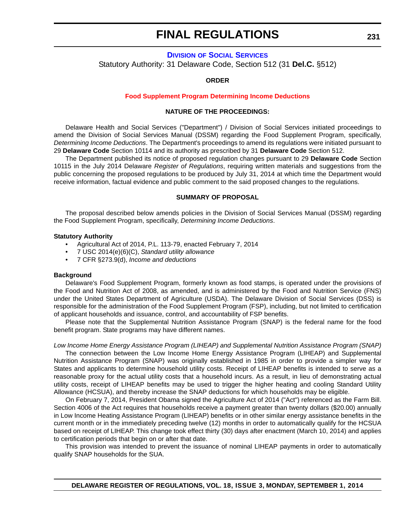# **DIVISION [OF SOCIAL SERVICES](http://www.dhss.delaware.gov/dhss/dss/)** Statutory Authority: 31 Delaware Code, Section 512 (31 **Del.C.** §512)

#### **ORDER**

#### **[Food Supplement Program Determining Income Deductions](#page-4-0)**

#### **NATURE OF THE PROCEEDINGS:**

Delaware Health and Social Services ("Department") / Division of Social Services initiated proceedings to amend the Division of Social Services Manual (DSSM) regarding the Food Supplement Program, specifically, *Determining Income Deductions*. The Department's proceedings to amend its regulations were initiated pursuant to 29 **Delaware Code** Section 10114 and its authority as prescribed by 31 **Delaware Code** Section 512.

The Department published its notice of proposed regulation changes pursuant to 29 **Delaware Code** Section 10115 in the July 2014 Delaware *Register of Regulations*, requiring written materials and suggestions from the public concerning the proposed regulations to be produced by July 31, 2014 at which time the Department would receive information, factual evidence and public comment to the said proposed changes to the regulations.

#### **SUMMARY OF PROPOSAL**

The proposal described below amends policies in the Division of Social Services Manual (DSSM) regarding the Food Supplement Program, specifically, *Determining Income Deductions*.

#### **Statutory Authority**

- Agricultural Act of 2014, P.L. 113-79, enacted February 7, 2014
- 7 USC 2014(e)(6)(C), *Standard utility allowance*
- 7 CFR §273.9(d), *Income and deductions*

#### **Background**

Delaware's Food Supplement Program, formerly known as food stamps, is operated under the provisions of the Food and Nutrition Act of 2008, as amended, and is administered by the Food and Nutrition Service (FNS) under the United States Department of Agriculture (USDA). The Delaware Division of Social Services (DSS) is responsible for the administration of the Food Supplement Program (FSP), including, but not limited to certification of applicant households and issuance, control, and accountability of FSP benefits.

Please note that the Supplemental Nutrition Assistance Program (SNAP) is the federal name for the food benefit program. State programs may have different names.

#### *Low Income Home Energy Assistance Program (LIHEAP) and Supplemental Nutrition Assistance Program (SNAP)*

The connection between the Low Income Home Energy Assistance Program (LIHEAP) and Supplemental Nutrition Assistance Program (SNAP) was originally established in 1985 in order to provide a simpler way for States and applicants to determine household utility costs. Receipt of LIHEAP benefits is intended to serve as a reasonable proxy for the actual utility costs that a household incurs. As a result, in lieu of demonstrating actual utility costs, receipt of LIHEAP benefits may be used to trigger the higher heating and cooling Standard Utility Allowance (HCSUA), and thereby increase the SNAP deductions for which households may be eligible.

On February 7, 2014, President Obama signed the Agriculture Act of 2014 ("Act") referenced as the Farm Bill. Section 4006 of the Act requires that households receive a payment greater than twenty dollars (\$20.00) annually in Low Income Heating Assistance Program (LIHEAP) benefits or in other similar energy assistance benefits in the current month or in the immediately preceding twelve (12) months in order to automatically qualify for the HCSUA based on receipt of LIHEAP. This change took effect thirty (30) days after enactment (March 10, 2014) and applies to certification periods that begin on or after that date.

This provision was intended to prevent the issuance of nominal LIHEAP payments in order to automatically qualify SNAP households for the SUA.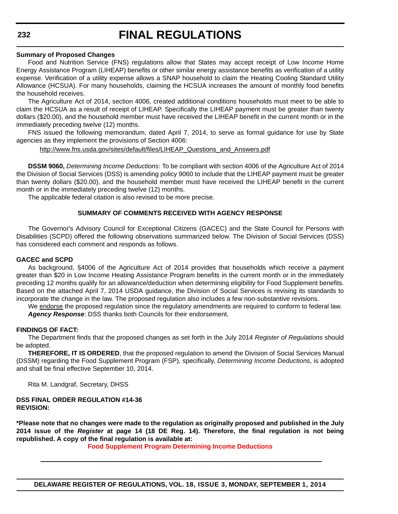#### **Summary of Proposed Changes**

Food and Nutrition Service (FNS) regulations allow that States may accept receipt of Low Income Home Energy Assistance Program (LIHEAP) benefits or other similar energy assistance benefits as verification of a utility expense. Verification of a utility expense allows a SNAP household to claim the Heating Cooling Standard Utility Allowance (HCSUA). For many households, claiming the HCSUA increases the amount of monthly food benefits the household receives.

The Agriculture Act of 2014, section 4006, created additional conditions households must meet to be able to claim the HCSUA as a result of receipt of LIHEAP. Specifically the LIHEAP payment must be greater than twenty dollars (\$20.00), and the household member must have received the LIHEAP benefit in the current month or in the immediately preceding twelve (12) months.

FNS issued the following memorandum, dated April 7, 2014, to serve as formal guidance for use by State agencies as they implement the provisions of Section 4006:

http://www.fns.usda.gov/sites/default/files/LIHEAP\_Questions\_and\_Answers.pdf

**DSSM 9060,** *Determining Income Deductions*: To be compliant with section 4006 of the Agriculture Act of 2014 the Division of Social Services (DSS) is amending policy 9060 to include that the LIHEAP payment must be greater than twenty dollars (\$20.00), and the household member must have received the LIHEAP benefit in the current month or in the immediately preceding twelve (12) months.

The applicable federal citation is also revised to be more precise.

### **SUMMARY OF COMMENTS RECEIVED WITH AGENCY RESPONSE**

The Governor's Advisory Council for Exceptional Citizens (GACEC) and the State Council for Persons with Disabilities (SCPD) offered the following observations summarized below. The Division of Social Services (DSS) has considered each comment and responds as follows.

#### **GACEC and SCPD**

As background, §4006 of the Agriculture Act of 2014 provides that households which receive a payment greater than \$20 in Low Income Heating Assistance Program benefits in the current month or in the immediately preceding 12 months qualify for an allowance/deduction when determining eligibility for Food Supplement benefits. Based on the attached April 7, 2014 USDA guidance, the Division of Social Services is revising its standards to incorporate the change in the law. The proposed regulation also includes a few non-substantive revisions.

We endorse the proposed regulation since the regulatory amendments are required to conform to federal law. *Agency Response*: DSS thanks both Councils for their endorsement.

#### **FINDINGS OF FACT:**

The Department finds that the proposed changes as set forth in the July 2014 *Register of Regulations* should be adopted.

**THEREFORE, IT IS ORDERED**, that the proposed regulation to amend the Division of Social Services Manual (DSSM) regarding the Food Supplement Program (FSP), specifically, *Determining Income Deductions*, is adopted and shall be final effective September 10, 2014.

Rita M. Landgraf, Secretary, DHSS

#### **DSS FINAL ORDER REGULATION #14-36 REVISION:**

**\*Please note that no changes were made to the regulation as originally proposed and published in the July 2014 issue of the** *Register* **at page 14 (18 DE Reg. 14). Therefore, the final regulation is not being republished. A copy of the final regulation is available at:**

**[Food Supplement Program Determining Income Deductions](http://regulations.delaware.gov/register/september2014/final/18 DE Reg 231 09-01-14.htm)**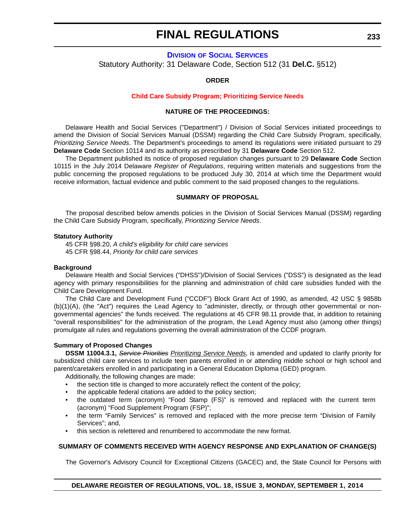# **DIVISION [OF SOCIAL SERVICES](http://www.dhss.delaware.gov/dhss/dss/)** Statutory Authority: 31 Delaware Code, Section 512 (31 **Del.C.** §512)

#### **ORDER**

#### **[Child Care Subsidy Program; Prioritizing Service Needs](#page-4-0)**

#### **NATURE OF THE PROCEEDINGS:**

Delaware Health and Social Services ("Department") / Division of Social Services initiated proceedings to amend the Division of Social Services Manual (DSSM) regarding the Child Care Subsidy Program, specifically, *Prioritizing Service Needs*. The Department's proceedings to amend its regulations were initiated pursuant to 29 **Delaware Code** Section 10114 and its authority as prescribed by 31 **Delaware Code** Section 512.

The Department published its notice of proposed regulation changes pursuant to 29 **Delaware Code** Section 10115 in the July 2014 Delaware *Register of Regulations*, requiring written materials and suggestions from the public concerning the proposed regulations to be produced July 30, 2014 at which time the Department would receive information, factual evidence and public comment to the said proposed changes to the regulations.

#### **SUMMARY OF PROPOSAL**

The proposal described below amends policies in the Division of Social Services Manual (DSSM) regarding the Child Care Subsidy Program, specifically, *Prioritizing Service Needs*.

#### **Statutory Authority**

45 CFR §98.20, *A child's eligibility for child care services* 45 CFR §98.44, *Priority for child care services*

#### **Background**

Delaware Health and Social Services ("DHSS")/Division of Social Services ("DSS") is designated as the lead agency with primary responsibilities for the planning and administration of child care subsidies funded with the Child Care Development Fund.

The Child Care and Development Fund ("CCDF") Block Grant Act of 1990, as amended, 42 USC § 9858b (b)(1)(A), (the "Act") requires the Lead Agency to "administer, directly, or through other governmental or nongovernmental agencies" the funds received. The regulations at 45 CFR 98.11 provide that, in addition to retaining "overall responsibilities" for the administration of the program, the Lead Agency must also (among other things) promulgate all rules and regulations governing the overall administration of the CCDF program.

#### **Summary of Proposed Changes**

**DSSM 11004.3.1,** *Service Priorities Prioritizing Service Needs*, is amended and updated to clarify priority for subsidized child care services to include teen parents enrolled in or attending middle school or high school and parent/caretakers enrolled in and participating in a General Education Diploma (GED) program.

Additionally, the following changes are made:

- the section title is changed to more accurately reflect the content of the policy;
- the applicable federal citations are added to the policy section;
- the outdated term (acronym) "Food Stamp (FS)" is removed and replaced with the current term (acronym) "Food Supplement Program (FSP)";
- the term "Family Services" is removed and replaced with the more precise term "Division of Family Services"; and,
- this section is relettered and renumbered to accommodate the new format.

### **SUMMARY OF COMMENTS RECEIVED WITH AGENCY RESPONSE AND EXPLANATION OF CHANGE(S)**

The Governor's Advisory Council for Exceptional Citizens (GACEC) and, the State Council for Persons with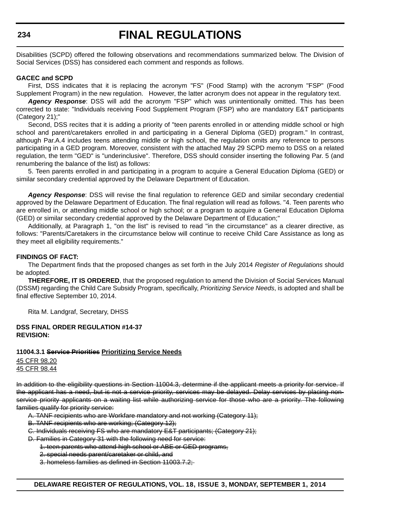Disabilities (SCPD) offered the following observations and recommendations summarized below. The Division of Social Services (DSS) has considered each comment and responds as follows.

#### **GACEC and SCPD**

First, DSS indicates that it is replacing the acronym "FS" (Food Stamp) with the acronym "FSP" (Food Supplement Program) in the new regulation. However, the latter acronym does not appear in the regulatory text.

*Agency Response*: DSS will add the acronym "FSP" which was unintentionally omitted. This has been corrected to state: "Individuals receiving Food Supplement Program (FSP) who are mandatory E&T participants (Category 21);"

Second, DSS recites that it is adding a priority of "teen parents enrolled in or attending middle school or high school and parent/caretakers enrolled in and participating in a General Diploma (GED) program." In contrast, although Par.A.4 includes teens attending middle or high school, the regulation omits any reference to persons participating in a GED program. Moreover, consistent with the attached May 29 SCPD memo to DSS on a related regulation, the term "GED" is "underinclusive". Therefore, DSS should consider inserting the following Par. 5 (and renumbering the balance of the list) as follows:

5. Teen parents enrolled in and participating in a program to acquire a General Education Diploma (GED) or similar secondary credential approved by the Delaware Department of Education.

*Agency Response*: DSS will revise the final regulation to reference GED and similar secondary credential approved by the Delaware Department of Education. The final regulation will read as follows. "4. Teen parents who are enrolled in, or attending middle school or high school; or a program to acquire a General Education Diploma (GED) or similar secondary credential approved by the Delaware Department of Education;"

Additionally, at Paragraph 1, "on the list" is revised to read "in the circumstance" as a clearer directive, as follows: "Parents/Caretakers in the circumstance below will continue to receive Child Care Assistance as long as they meet all eligibility requirements."

#### **FINDINGS OF FACT:**

The Department finds that the proposed changes as set forth in the July 2014 *Register of Regulations* should be adopted.

**THEREFORE, IT IS ORDERED**, that the proposed regulation to amend the Division of Social Services Manual (DSSM) regarding the Child Care Subsidy Program, specifically, *Prioritizing Service Needs*, is adopted and shall be final effective September 10, 2014.

Rita M. Landgraf, Secretary, DHSS

#### **DSS FINAL ORDER REGULATION #14-37 REVISION:**

#### **11004.3.1 Service Priorities Prioritizing Service Needs**

45 CFR 98.20 45 CFR 98.44

In addition to the eligibility questions in Section 11004.3, determine if the applicant meets a priority for service. If the applicant has a need, but is not a service priority, services may be delayed. Delay services by placing nonservice priority applicants on a waiting list while authorizing service for those who are a priority. The following families qualify for priority service:

- A. TANF recipients who are Workfare mandatory and not working (Category 11);
- B. TANF recipients who are working; (Category 12);
- C. Individuals receiving FS who are mandatory E&T participants; (Category 21);
- D. Families in Category 31 with the following need for service:
	- 1. teen parents who attend high school or ABE or GED programs,
		- 2. special needs parent/caretaker or child, and
		- 3. homeless families as defined in Section 11003.7.2;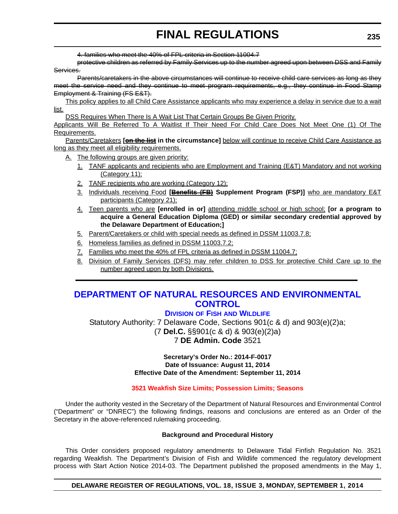4. families who meet the 40% of FPL criteria in Section 11004.7

protective children as referred by Family Services up to the number agreed upon between DSS and Family Services.

Parents/caretakers in the above circumstances will continue to receive child care services as long as they meet the service need and they continue to meet program requirements, e.g., they continue in Food Stamp Employment & Training (FS E&T).

This policy applies to all Child Care Assistance applicants who may experience a delay in service due to a wait list.

DSS Requires When There Is A Wait List That Certain Groups Be Given Priority.

Applicants Will Be Referred To A Waitlist If Their Need For Child Care Does Not Meet One (1) Of The Requirements.

Parents/Caretakers **[on the list in the circumstance]** below will continue to receive Child Care Assistance as long as they meet all eligibility requirements.

- A. The following groups are given priority:
	- 1. TANF applicants and recipients who are Employment and Training (E&T) Mandatory and not working (Category 11);
	- 2. TANF recipients who are working (Category 12);
	- 3. Individuals receiving Food **[Benefits (FB) Supplement Program (FSP)]** who are mandatory E&T participants (Category 21);
	- 4. Teen parents who are **[enrolled in or]** attending middle school or high school; **[or a program to acquire a General Education Diploma (GED) or similar secondary credential approved by the Delaware Department of Education;]**
	- 5. Parent/Caretakers or child with special needs as defined in DSSM 11003.7.8;
	- 6. Homeless families as defined in DSSM 11003.7.2;
	- 7. Families who meet the 40% of FPL criteria as defined in DSSM 11004.7;
	- 8. Division of Family Services (DFS) may refer children to DSS for protective Child Care up to the number agreed upon by both Divisions.

# **[DEPARTMENT OF NATURAL RESOURCES AND ENVIRONMENTAL](http://www.dnrec.delaware.gov/fw/Pages/FWPortal.aspx)  CONTROL**

# **DIVISION OF FISH AND WILDLIFE**

Statutory Authority: 7 Delaware Code, Sections 901(c & d) and 903(e)(2)a; (7 **Del.C.** §§901(c & d) & 903(e)(2)a) 7 **DE Admin. Code** 3521

> **Secretary's Order No.: 2014-F-0017 Date of Issuance: August 11, 2014 Effective Date of the Amendment: September 11, 2014**

# **[3521 Weakfish Size Limits; Possession Limits; Seasons](#page-4-0)**

Under the authority vested in the Secretary of the Department of Natural Resources and Environmental Control ("Department" or "DNREC") the following findings, reasons and conclusions are entered as an Order of the Secretary in the above-referenced rulemaking proceeding.

### **Background and Procedural History**

This Order considers proposed regulatory amendments to Delaware Tidal Finfish Regulation No. 3521 regarding Weakfish. The Department's Division of Fish and Wildlife commenced the regulatory development process with Start Action Notice 2014-03. The Department published the proposed amendments in the May 1,

### **DELAWARE REGISTER OF REGULATIONS, VOL. 18, ISSUE 3, MONDAY, SEPTEMBER 1, 2014**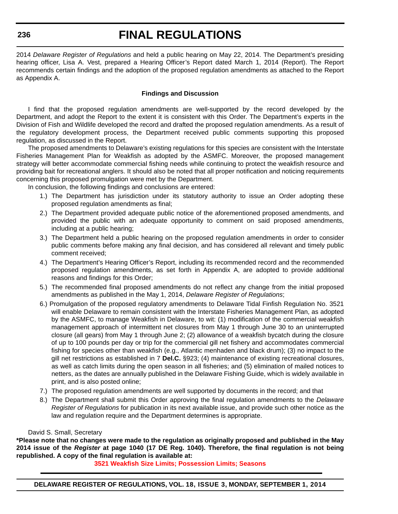**236**

# **FINAL REGULATIONS**

2014 *Delaware Register of Regulations* and held a public hearing on May 22, 2014. The Department's presiding hearing officer, Lisa A. Vest, prepared a Hearing Officer's Report dated March 1, 2014 (Report). The Report recommends certain findings and the adoption of the proposed regulation amendments as attached to the Report as Appendix A.

## **Findings and Discussion**

I find that the proposed regulation amendments are well-supported by the record developed by the Department, and adopt the Report to the extent it is consistent with this Order. The Department's experts in the Division of Fish and Wildlife developed the record and drafted the proposed regulation amendments. As a result of the regulatory development process, the Department received public comments supporting this proposed regulation, as discussed in the Report.

The proposed amendments to Delaware's existing regulations for this species are consistent with the Interstate Fisheries Management Plan for Weakfish as adopted by the ASMFC. Moreover, the proposed management strategy will better accommodate commercial fishing needs while continuing to protect the weakfish resource and providing bait for recreational anglers. It should also be noted that all proper notification and noticing requirements concerning this proposed promulgation were met by the Department.

In conclusion, the following findings and conclusions are entered:

- 1.) The Department has jurisdiction under its statutory authority to issue an Order adopting these proposed regulation amendments as final;
- 2.) The Department provided adequate public notice of the aforementioned proposed amendments, and provided the public with an adequate opportunity to comment on said proposed amendments, including at a public hearing;
- 3.) The Department held a public hearing on the proposed regulation amendments in order to consider public comments before making any final decision, and has considered all relevant and timely public comment received;
- 4.) The Department's Hearing Officer's Report, including its recommended record and the recommended proposed regulation amendments, as set forth in Appendix A, are adopted to provide additional reasons and findings for this Order;
- 5.) The recommended final proposed amendments do not reflect any change from the initial proposed amendments as published in the May 1, 2014, *Delaware Register of Regulations*;
- 6.) Promulgation of the proposed regulatory amendments to Delaware Tidal Finfish Regulation No. 3521 will enable Delaware to remain consistent with the Interstate Fisheries Management Plan, as adopted by the ASMFC, to manage Weakfish in Delaware, to wit: (1) modification of the commercial weakfish management approach of intermittent net closures from May 1 through June 30 to an uninterrupted closure (all gears) from May 1 through June 2; (2) allowance of a weakfish bycatch during the closure of up to 100 pounds per day or trip for the commercial gill net fishery and accommodates commercial fishing for species other than weakfish (e.g., Atlantic menhaden and black drum); (3) no impact to the gill net restrictions as established in 7 **Del.C.** §923; (4) maintenance of existing recreational closures, as well as catch limits during the open season in all fisheries; and (5) elimination of mailed notices to netters, as the dates are annually published in the Delaware Fishing Guide, which is widely available in print, and is also posted online;
- 7.) The proposed regulation amendments are well supported by documents in the record; and that
- 8.) The Department shall submit this Order approving the final regulation amendments to the *Delaware Register of Regulations* for publication in its next available issue, and provide such other notice as the law and regulation require and the Department determines is appropriate.

### David S. Small, Secretary

**\*Please note that no changes were made to the regulation as originally proposed and published in the May 2014 issue of the** *Register* **at page 1040 (17 DE Reg. 1040). Therefore, the final regulation is not being republished. A copy of the final regulation is available at:**

**[3521 Weakfish Size Limits; Possession Limits; Seasons](http://regulations.delaware.gov/register/september2014/final/18 DE Reg 235 09-01-14.htm)**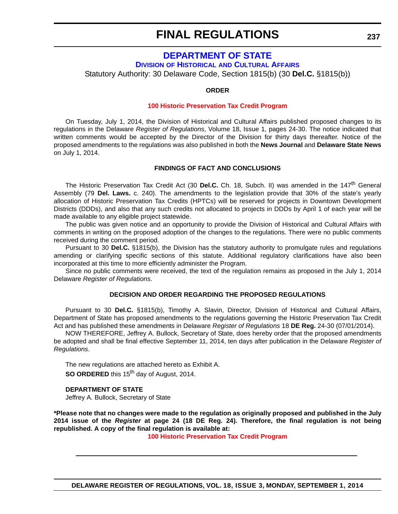# **[DEPARTMENT OF STATE](http://history.delaware.gov/)**

**DIVISION OF HISTORICAL AND CULTURAL AFFAIRS**

Statutory Authority: 30 Delaware Code, Section 1815(b) (30 **Del.C.** §1815(b))

#### **ORDER**

#### **[100 Historic Preservation Tax Credit Program](#page-4-0)**

On Tuesday, July 1, 2014, the Division of Historical and Cultural Affairs published proposed changes to its regulations in the Delaware *Register of Regulations*, Volume 18, Issue 1, pages 24-30. The notice indicated that written comments would be accepted by the Director of the Division for thirty days thereafter. Notice of the proposed amendments to the regulations was also published in both the **News Journal** and **Delaware State News** on July 1, 2014.

#### **FINDINGS OF FACT AND CONCLUSIONS**

The Historic Preservation Tax Credit Act (30 **Del.C.** Ch. 18, Subch. II) was amended in the 147<sup>th</sup> General Assembly (79 **Del. Laws.** c. 240). The amendments to the legislation provide that 30% of the state's yearly allocation of Historic Preservation Tax Credits (HPTCs) will be reserved for projects in Downtown Development Districts (DDDs), and also that any such credits not allocated to projects in DDDs by April 1 of each year will be made available to any eligible project statewide.

The public was given notice and an opportunity to provide the Division of Historical and Cultural Affairs with comments in writing on the proposed adoption of the changes to the regulations. There were no public comments received during the comment period.

Pursuant to 30 **Del.C.** §1815(b), the Division has the statutory authority to promulgate rules and regulations amending or clarifying specific sections of this statute. Additional regulatory clarifications have also been incorporated at this time to more efficiently administer the Program.

Since no public comments were received, the text of the regulation remains as proposed in the July 1, 2014 Delaware *Register of Regulations*.

#### **DECISION AND ORDER REGARDING THE PROPOSED REGULATIONS**

Pursuant to 30 **Del.C.** §1815(b), Timothy A. Slavin, Director, Division of Historical and Cultural Affairs, Department of State has proposed amendments to the regulations governing the Historic Preservation Tax Credit Act and has published these amendments in Delaware *Register of Regulations* 18 **DE Reg.** 24-30 (07/01/2014).

NOW THEREFORE, Jeffrey A. Bullock, Secretary of State, does hereby order that the proposed amendments be adopted and shall be final effective September 11, 2014, ten days after publication in the Delaware *Register of Regulations*.

The new regulations are attached hereto as Exhibit A. **SO ORDERED** this 15<sup>th</sup> day of August, 2014.

#### **DEPARTMENT OF STATE**

Jeffrey A. Bullock, Secretary of State

**\*Please note that no changes were made to the regulation as originally proposed and published in the July 2014 issue of the** *Register* **at page 24 (18 DE Reg. 24). Therefore, the final regulation is not being republished. A copy of the final regulation is available at:**

**[100 Historic Preservation Tax Credit Program](http://regulations.delaware.gov/register/september2014/final/18 DE Reg 237 09-01-14.htm)**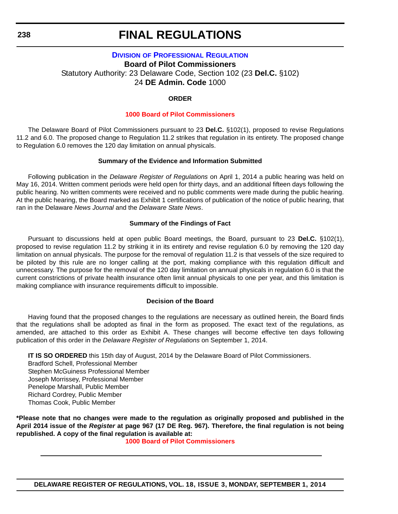# **DIVISION [OF PROFESSIONAL REGULATION](http://dpr.delaware.gov/) Board of Pilot Commissioners** Statutory Authority: 23 Delaware Code, Section 102 (23 **Del.C.** §102) 24 **DE Admin. Code** 1000

#### **ORDER**

#### **[1000 Board of Pilot Commissioners](#page-4-0)**

The Delaware Board of Pilot Commissioners pursuant to 23 **Del.C.** §102(1), proposed to revise Regulations 11.2 and 6.0. The proposed change to Regulation 11.2 strikes that regulation in its entirety. The proposed change to Regulation 6.0 removes the 120 day limitation on annual physicals.

#### **Summary of the Evidence and Information Submitted**

Following publication in the *Delaware Register of Regulations* on April 1, 2014 a public hearing was held on May 16, 2014. Written comment periods were held open for thirty days, and an additional fifteen days following the public hearing. No written comments were received and no public comments were made during the public hearing. At the public hearing, the Board marked as Exhibit 1 certifications of publication of the notice of public hearing, that ran in the Delaware *News Journal* and the *Delaware State News*.

#### **Summary of the Findings of Fact**

Pursuant to discussions held at open public Board meetings, the Board, pursuant to 23 **Del.C.** §102(1), proposed to revise regulation 11.2 by striking it in its entirety and revise regulation 6.0 by removing the 120 day limitation on annual physicals. The purpose for the removal of regulation 11.2 is that vessels of the size required to be piloted by this rule are no longer calling at the port, making compliance with this regulation difficult and unnecessary. The purpose for the removal of the 120 day limitation on annual physicals in regulation 6.0 is that the current constrictions of private health insurance often limit annual physicals to one per year, and this limitation is making compliance with insurance requirements difficult to impossible.

### **Decision of the Board**

Having found that the proposed changes to the regulations are necessary as outlined herein, the Board finds that the regulations shall be adopted as final in the form as proposed. The exact text of the regulations, as amended, are attached to this order as Exhibit A. These changes will become effective ten days following publication of this order in the *Delaware Register of Regulations* on September 1, 2014.

**IT IS SO ORDERED** this 15th day of August, 2014 by the Delaware Board of Pilot Commissioners.

Bradford Schell, Professional Member Stephen McGuiness Professional Member Joseph Morrissey, Professional Member Penelope Marshall, Public Member Richard Cordrey, Public Member Thomas Cook, Public Member

**\*Please note that no changes were made to the regulation as originally proposed and published in the April 2014 issue of the** *Register* **at page 967 (17 DE Reg. 967). Therefore, the final regulation is not being republished. A copy of the final regulation is available at:**

**[1000 Board of Pilot Commissioners](http://regulations.delaware.gov/register/september2014/final/18 DE Reg 238 09-01-14.htm)**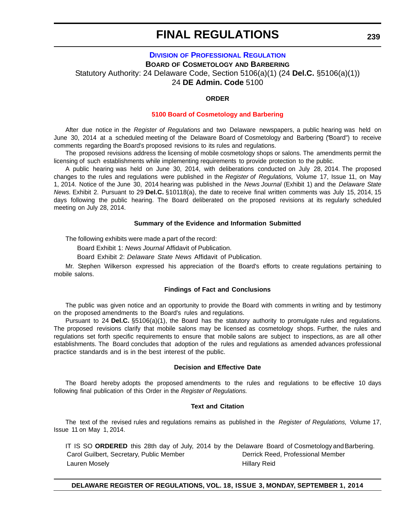# **DIVISION [OF PROFESSIONAL REGULATION](http://dpr.delaware.gov/) BOARD OF COSMETOLOGY AND BARBERING** Statutory Authority: 24 Delaware Code, Section 5106(a)(1) (24 **Del.C.** §5106(a)(1)) 24 **DE Admin. Code** 5100

#### **ORDER**

#### **[5100 Board of Cosmetology and Barbering](#page-4-0)**

After due notice in the *Register of Regulations* and two Delaware newspapers, a public hearing was held on June 30, 2014 at a scheduled meeting of the Delaware Board of Cosmetology and Barbering ("Board") to receive comments regarding the Board's proposed revisions to its rules and regulations.

The proposed revisions address the licensing of mobile cosmetology shops or salons. The amendments permit the licensing of such establishments while implementing requirements to provide protection to the public.

A public hearing was held on June 30, 2014, with deliberations conducted on July 28, 2014. The proposed changes to the rules and regulations were published in the *Register of Regulations,* Volume 17, Issue 11, on May 1, 2014. Notice of the June 30, 2014 hearing was published in the *News Journal* (Exhibit 1) and the *Delaware State News.* Exhibit 2. Pursuant to 29 **Del.C.** §10118(a), the date to receive final written comments was July 15, 2014, 15 days following the public hearing. The Board deliberated on the proposed revisions at its regularly scheduled meeting on July 28, 2014.

#### **Summary of the Evidence and Information Submitted**

The following exhibits were made a part of the record:

Board Exhibit 1: *News Journal* Affidavit of Publication.

Board Exhibit 2: *Delaware State News* Affidavit of Publication.

Mr. Stephen Wilkerson expressed his appreciation of the Board's efforts to create regulations pertaining to mobile salons.

#### **Findings of Fact and Conclusions**

The public was given notice and an opportunity to provide the Board with comments in writing and by testimony on the proposed amendments to the Board's rules and regulations.

Pursuant to 24 **Del.C.** §5106(a)(1), the Board has the statutory authority to promulgate rules and regulations. The proposed revisions clarify that mobile salons may be licensed as cosmetology shops. Further, the rules and regulations set forth specific requirements to ensure that mobile salons are subject to inspections, as are all other establishments. The Board concludes that adoption of the rules and regulations as amended advances professional practice standards and is in the best interest of the public.

#### **Decision and Effective Date**

The Board hereby adopts the proposed amendments to the rules and regulations to be effective 10 days following final publication of this Order in the *Register of Regulations.*

#### **Text and Citation**

The text of the revised rules and regulations remains as published in the *Register of Regulations,* Volume 17, Issue 11 on May 1, 2014.

| IT IS SO ORDERED this 28th day of July, 2014 by the Delaware Board of Cosmetology and Barbering. |                                   |
|--------------------------------------------------------------------------------------------------|-----------------------------------|
| Carol Guilbert, Secretary, Public Member                                                         | Derrick Reed. Professional Member |
| Lauren Mosely                                                                                    | Hillary Reid                      |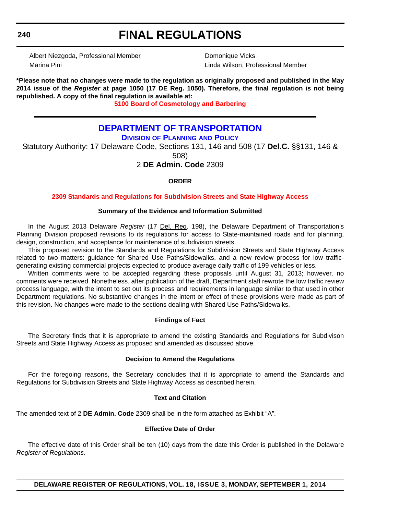#### **240**

# **FINAL REGULATIONS**

Albert Niezgoda, Professional Member Domonique Vicks Marina Pini Linda Wilson, Professional Member

**\*Please note that no changes were made to the regulation as originally proposed and published in the May 2014 issue of the** *Register* **at page 1050 (17 DE Reg. 1050). Therefore, the final regulation is not being republished. A copy of the final regulation is available at:**

**[5100 Board of Cosmetology and Barbering](http://regulations.delaware.gov/register/september2014/final/18 DE Reg 239 09-01-14.htm)**

# **[DEPARTMENT OF TRANSPORTATION](http://www.deldot.gov/home/divisions/)**

**DIVISION OF PLANNING AND POLICY**

Statutory Authority: 17 Delaware Code, Sections 131, 146 and 508 (17 **Del.C.** §§131, 146 & 508)

# 2 **DE Admin. Code** 2309

## **ORDER**

### **[2309 Standards and Regulations for Subdivision Streets and State Highway Access](#page-4-0)**

### **Summary of the Evidence and Information Submitted**

In the August 2013 Delaware *Register* (17 Del. Reg. 198), the Delaware Department of Transportation's Planning Division proposed revisions to its regulations for access to State-maintained roads and for planning, design, construction, and acceptance for maintenance of subdivision streets.

This proposed revision to the Standards and Regulations for Subdivision Streets and State Highway Access related to two matters: guidance for Shared Use Paths/Sidewalks, and a new review process for low trafficgenerating existing commercial projects expected to produce average daily traffic of 199 vehicles or less.

Written comments were to be accepted regarding these proposals until August 31, 2013; however, no comments were received. Nonetheless, after publication of the draft, Department staff rewrote the low traffic review process language, with the intent to set out its process and requirements in language similar to that used in other Department regulations. No substantive changes in the intent or effect of these provisions were made as part of this revision. No changes were made to the sections dealing with Shared Use Paths/Sidewalks.

### **Findings of Fact**

The Secretary finds that it is appropriate to amend the existing Standards and Regulations for Subdivison Streets and State Highway Access as proposed and amended as discussed above.

### **Decision to Amend the Regulations**

For the foregoing reasons, the Secretary concludes that it is appropriate to amend the Standards and Regulations for Subdivision Streets and State Highway Access as described herein.

### **Text and Citation**

The amended text of 2 **DE Admin. Code** 2309 shall be in the form attached as Exhibit "A".

#### **Effective Date of Order**

The effective date of this Order shall be ten (10) days from the date this Order is published in the Delaware *Register of Regulations*.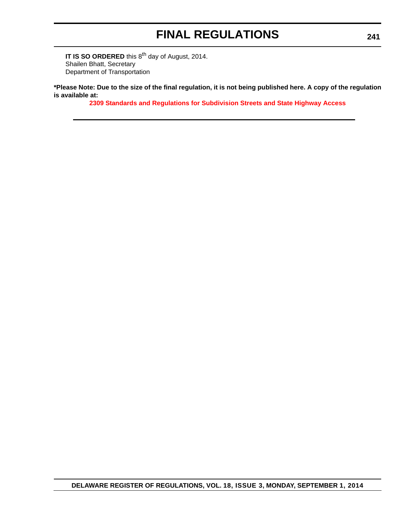**IT IS SO ORDERED** this 8<sup>th</sup> day of August, 2014. Shailen Bhatt, Secretary Department of Transportation

**\*Please Note: Due to the size of the final regulation, it is not being published here. A copy of the regulation is available at:**

**[2309 Standards and Regulations for Subdivision Streets and State Highway Access](http://regulations.delaware.gov/register/september2014/final/18 DE Reg 240 09-01-14.htm)**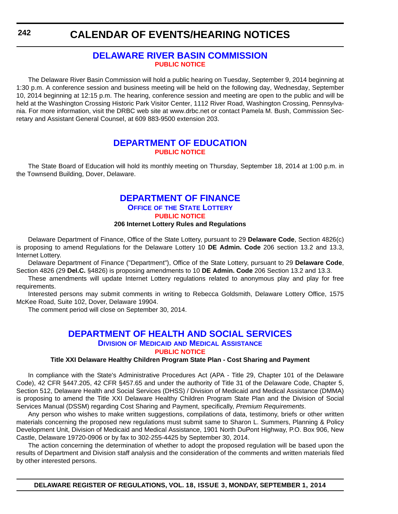### **[DELAWARE RIVER BASIN COMMISSION](http://www.state.nj.us/drbc/) [PUBLIC NOTICE](#page-4-0)**

The Delaware River Basin Commission will hold a public hearing on Tuesday, September 9, 2014 beginning at 1:30 p.m. A conference session and business meeting will be held on the following day, Wednesday, September 10, 2014 beginning at 12:15 p.m. The hearing, conference session and meeting are open to the public and will be held at the Washington Crossing Historic Park Visitor Center, 1112 River Road, Washington Crossing, Pennsylvania. For more information, visit the DRBC web site at www.drbc.net or contact Pamela M. Bush, Commission Secretary and Assistant General Counsel, at 609 883-9500 extension 203.

### **[DEPARTMENT OF EDUCATION](http://www.doe.k12.de.us/) [PUBLIC NOTICE](#page-4-0)**

The State Board of Education will hold its monthly meeting on Thursday, September 18, 2014 at 1:00 p.m. in the Townsend Building, Dover, Delaware.

## **[DEPARTMENT OF FINANCE](http://www.delottery.com/index.asp)**

**OFFICE OF THE STATE LOTTERY**

**[PUBLIC NOTICE](#page-4-0)**

### **206 Internet Lottery Rules and Regulations**

Delaware Department of Finance, Office of the State Lottery, pursuant to 29 **Delaware Code**, Section 4826(c) is proposing to amend Regulations for the Delaware Lottery 10 **DE Admin. Code** 206 section 13.2 and 13.3, Internet Lottery.

Delaware Department of Finance ("Department"), Office of the State Lottery, pursuant to 29 **Delaware Code**, Section 4826 (29 **Del.C.** §4826) is proposing amendments to 10 **DE Admin. Code** 206 Section 13.2 and 13.3.

These amendments will update Internet Lottery regulations related to anonymous play and play for free requirements.

Interested persons may submit comments in writing to Rebecca Goldsmith, Delaware Lottery Office, 1575 McKee Road, Suite 102, Dover, Delaware 19904.

The comment period will close on September 30, 2014.

### **[DEPARTMENT OF HEALTH AND SOCIAL SERVICES](http://www.dhss.delaware.gov/dhss/dmma/) DIVISION OF MEDICAID AND MEDICAL ASSISTANCE [PUBLIC NOTICE](#page-4-0)**

#### **Title XXI Delaware Healthy Children Program State Plan - Cost Sharing and Payment**

In compliance with the State's Administrative Procedures Act (APA - Title 29, Chapter 101 of the Delaware Code), 42 CFR §447.205, 42 CFR §457.65 and under the authority of Title 31 of the Delaware Code, Chapter 5, Section 512, Delaware Health and Social Services (DHSS) / Division of Medicaid and Medical Assistance (DMMA) is proposing to amend the Title XXI Delaware Healthy Children Program State Plan and the Division of Social Services Manual (DSSM) regarding Cost Sharing and Payment, specifically, *Premium Requirements*.

Any person who wishes to make written suggestions, compilations of data, testimony, briefs or other written materials concerning the proposed new regulations must submit same to Sharon L. Summers, Planning & Policy Development Unit, Division of Medicaid and Medical Assistance, 1901 North DuPont Highway, P.O. Box 906, New Castle, Delaware 19720-0906 or by fax to 302-255-4425 by September 30, 2014.

The action concerning the determination of whether to adopt the proposed regulation will be based upon the results of Department and Division staff analysis and the consideration of the comments and written materials filed by other interested persons.

**242**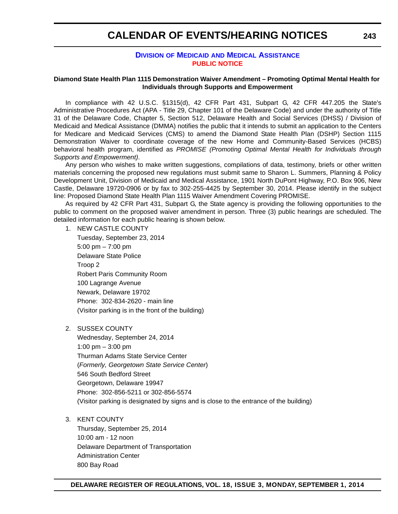### **DIVISION OF MEDICAID [AND MEDICAL ASSISTANCE](http://www.dhss.delaware.gov/dhss/dmma/) [PUBLIC NOTICE](#page-4-0)**

### **Diamond State Health Plan 1115 Demonstration Waiver Amendment – Promoting Optimal Mental Health for Individuals through Supports and Empowerment**

In compliance with 42 U.S.C. §1315(d), 42 CFR Part 431, Subpart G, 42 CFR 447.205 the State's Administrative Procedures Act (APA - Title 29, Chapter 101 of the Delaware Code) and under the authority of Title 31 of the Delaware Code, Chapter 5, Section 512, Delaware Health and Social Services (DHSS) / Division of Medicaid and Medical Assistance (DMMA) notifies the public that it intends to submit an application to the Centers for Medicare and Medicaid Services (CMS) to amend the Diamond State Health Plan (DSHP) Section 1115 Demonstration Waiver to coordinate coverage of the new Home and Community-Based Services (HCBS) behavioral health program, identified as *PROMISE (Promoting Optimal Mental Health for Individuals through Supports and Empowerment)*.

Any person who wishes to make written suggestions, compilations of data, testimony, briefs or other written materials concerning the proposed new regulations must submit same to Sharon L. Summers, Planning & Policy Development Unit, Division of Medicaid and Medical Assistance, 1901 North DuPont Highway, P.O. Box 906, New Castle, Delaware 19720-0906 or by fax to 302-255-4425 by September 30, 2014. Please identify in the subject line: Proposed Diamond State Health Plan 1115 Waiver Amendment Covering PROMISE.

As required by 42 CFR Part 431, Subpart G, the State agency is providing the following opportunities to the public to comment on the proposed waiver amendment in person. Three (3) public hearings are scheduled. The detailed information for each public hearing is shown below.

1. NEW CASTLE COUNTY

Tuesday, September 23, 2014 5:00 pm – 7:00 pm Delaware State Police Troop 2 Robert Paris Community Room 100 Lagrange Avenue Newark, Delaware 19702 Phone: 302-834-2620 - main line (Visitor parking is in the front of the building)

2. SUSSEX COUNTY

Wednesday, September 24, 2014 1:00 pm – 3:00 pm Thurman Adams State Service Center (*Formerly, Georgetown State Service Center*) 546 South Bedford Street Georgetown, Delaware 19947 Phone: 302-856-5211 or 302-856-5574 (Visitor parking is designated by signs and is close to the entrance of the building)

3. KENT COUNTY

Thursday, September 25, 2014 10:00 am - 12 noon Delaware Department of Transportation Administration Center 800 Bay Road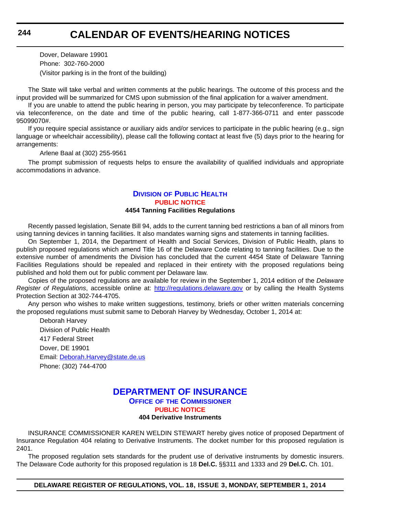Dover, Delaware 19901 Phone: 302-760-2000 (Visitor parking is in the front of the building)

The State will take verbal and written comments at the public hearings. The outcome of this process and the input provided will be summarized for CMS upon submission of the final application for a waiver amendment.

If you are unable to attend the public hearing in person, you may participate by teleconference. To participate via teleconference, on the date and time of the public hearing, call 1-877-366-0711 and enter passcode 95099070#.

If you require special assistance or auxiliary aids and/or services to participate in the public hearing (e.g., sign language or wheelchair accessibility), please call the following contact at least five (5) days prior to the hearing for arrangements:

Arlene Baal at (302) 255-9561

The prompt submission of requests helps to ensure the availability of qualified individuals and appropriate accommodations in advance.

### **DIVISION [OF PUBLIC HEALTH](http://www.dhss.delaware.gov/dhss/dph/index.html) [PUBLIC NOTICE](#page-4-0) 4454 Tanning Facilities Regulations**

Recently passed legislation, Senate Bill 94, adds to the current tanning bed restrictions a ban of all minors from using tanning devices in tanning facilities. It also mandates warning signs and statements in tanning facilities.

On September 1, 2014, the Department of Health and Social Services, Division of Public Health, plans to publish proposed regulations which amend Title 16 of the Delaware Code relating to tanning facilities. Due to the extensive number of amendments the Division has concluded that the current 4454 State of Delaware Tanning Facilities Regulations should be repealed and replaced in their entirety with the proposed regulations being published and hold them out for public comment per Delaware law.

Copies of the proposed regulations are available for review in the September 1, 2014 edition of the *Delaware Register of Regulations*, accessible online at: <http://regulations.delaware.gov>or by calling the Health Systems Protection Section at 302-744-4705.

Any person who wishes to make written suggestions, testimony, briefs or other written materials concerning the proposed regulations must submit same to Deborah Harvey by Wednesday, October 1, 2014 at:

Deborah Harvey Division of Public Health 417 Federal Street Dover, DE 19901 Email: [Deborah.Harvey@state.de.us](mailto:Deborah.Harvey@state.de.us) Phone: (302) 744-4700

# **[DEPARTMENT OF INSURANCE](http://www.delawareinsurance.gov/)**

**OFFICE OF THE COMMISSIONER**

**[PUBLIC NOTICE](#page-4-0)**

### **404 Derivative Instruments**

INSURANCE COMMISSIONER KAREN WELDIN STEWART hereby gives notice of proposed Department of Insurance Regulation 404 relating to Derivative Instruments. The docket number for this proposed regulation is 2401.

The proposed regulation sets standards for the prudent use of derivative instruments by domestic insurers. The Delaware Code authority for this proposed regulation is 18 **Del.C.** §§311 and 1333 and 29 **Del.C.** Ch. 101.

**DELAWARE REGISTER OF REGULATIONS, VOL. 18, ISSUE 3, MONDAY, SEPTEMBER 1, 2014**

**244**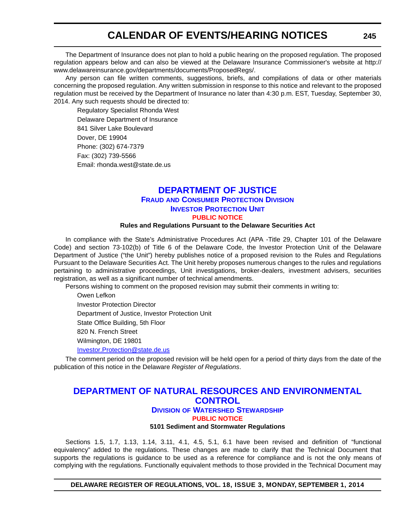The Department of Insurance does not plan to hold a public hearing on the proposed regulation. The proposed regulation appears below and can also be viewed at the Delaware Insurance Commissioner's website at http:// www.delawareinsurance.gov/departments/documents/ProposedRegs/.

Any person can file written comments, suggestions, briefs, and compilations of data or other materials concerning the proposed regulation. Any written submission in response to this notice and relevant to the proposed regulation must be received by the Department of Insurance no later than 4:30 p.m. EST, Tuesday, September 30, 2014. Any such requests should be directed to:

Regulatory Specialist Rhonda West Delaware Department of Insurance 841 Silver Lake Boulevard Dover, DE 19904 Phone: (302) 674-7379 Fax: (302) 739-5566 Email: rhonda.west@state.de.us

### **[DEPARTMENT OF JUSTICE](http://attorneygeneral.delaware.gov/fraud/index.shtml) FRAUD AND CONSUMER PROTECTION DIVISION INVESTOR PROTECTION UNIT [PUBLIC NOTICE](#page-4-0)**

### **Rules and Regulations Pursuant to the Delaware Securities Act**

In compliance with the State's Administrative Procedures Act (APA -Title 29, Chapter 101 of the Delaware Code) and section 73-102(b) of Title 6 of the Delaware Code, the Investor Protection Unit of the Delaware Department of Justice ("the Unit") hereby publishes notice of a proposed revision to the Rules and Regulations Pursuant to the Delaware Securities Act. The Unit hereby proposes numerous changes to the rules and regulations pertaining to administrative proceedings, Unit investigations, broker-dealers, investment advisers, securities registration, as well as a significant number of technical amendments.

Persons wishing to comment on the proposed revision may submit their comments in writing to:

Owen Lefkon Investor Protection Director Department of Justice, Investor Protection Unit State Office Building, 5th Floor 820 N. French Street Wilmington, DE 19801 [Investor.Protection@state.de.us](mailto:Investor.Protection@state.de.us)

The comment period on the proposed revision will be held open for a period of thirty days from the date of the publication of this notice in the Delaware *Register of Regulations*.

### **[DEPARTMENT OF NATURAL RESOURCES AND ENVIRONMENTAL](http://www.dnrec.delaware.gov/swc/Pages/portal.aspx)  CONTROL**

#### **DIVISION OF WATERSHED STEWARDSHIP [PUBLIC NOTICE](#page-4-0)**

**5101 Sediment and Stormwater Regulations**

Sections 1.5, 1.7, 1.13, 1.14, 3.11, 4.1, 4.5, 5.1, 6.1 have been revised and definition of "functional equivalency" added to the regulations. These changes are made to clarify that the Technical Document that supports the regulations is guidance to be used as a reference for compliance and is not the only means of complying with the regulations. Functionally equivalent methods to those provided in the Technical Document may

**DELAWARE REGISTER OF REGULATIONS, VOL. 18, ISSUE 3, MONDAY, SEPTEMBER 1, 2014**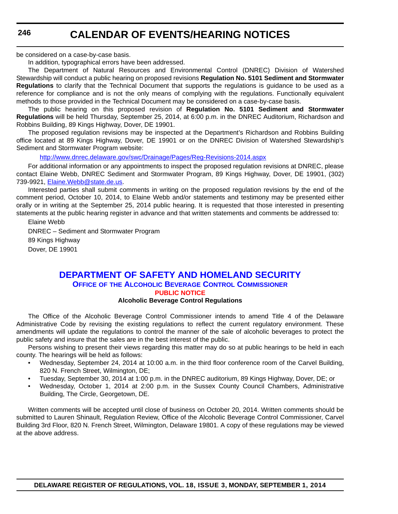**246**

## **CALENDAR OF EVENTS/HEARING NOTICES**

be considered on a case-by-case basis.

In addition, typographical errors have been addressed.

The Department of Natural Resources and Environmental Control (DNREC) Division of Watershed Stewardship will conduct a public hearing on proposed revisions **Regulation No. 5101 Sediment and Stormwater Regulations** to clarify that the Technical Document that supports the regulations is guidance to be used as a reference for compliance and is not the only means of complying with the regulations. Functionally equivalent methods to those provided in the Technical Document may be considered on a case-by-case basis.

The public hearing on this proposed revision of **Regulation No. 5101 Sediment and Stormwater Regulations** will be held Thursday, September 25, 2014, at 6:00 p.m. in the DNREC Auditorium, Richardson and Robbins Building, 89 Kings Highway, Dover, DE 19901.

The proposed regulation revisions may be inspected at the Department's Richardson and Robbins Building office located at 89 Kings Highway, Dover, DE 19901 or on the DNREC Division of Watershed Stewardship's Sediment and Stormwater Program website:

<http://www.dnrec.delaware.gov/swc/Drainage/Pages/Reg-Revisions-2014.aspx>

For additional information or any appointments to inspect the proposed regulation revisions at DNREC, please contact Elaine Webb, DNREC Sediment and Stormwater Program, 89 Kings Highway, Dover, DE 19901, (302) 739-9921, Elaine. Webb@state.de.us.

Interested parties shall submit comments in writing on the proposed regulation revisions by the end of the comment period, October 10, 2014, to Elaine Webb and/or statements and testimony may be presented either orally or in writing at the September 25, 2014 public hearing. It is requested that those interested in presenting statements at the public hearing register in advance and that written statements and comments be addressed to:

Elaine Webb

DNREC – Sediment and Stormwater Program 89 Kings Highway Dover, DE 19901

### **[DEPARTMENT OF SAFETY AND HOMELAND SECURITY](http://date.delaware.gov/OABCC/index.shtml) OFFICE OF THE ALCOHOLIC BEVERAGE CONTROL COMMISSIONER [PUBLIC NOTICE](#page-4-0)**

### **Alcoholic Beverage Control Regulations**

The Office of the Alcoholic Beverage Control Commissioner intends to amend Title 4 of the Delaware Administrative Code by revising the existing regulations to reflect the current regulatory environment. These amendments will update the regulations to control the manner of the sale of alcoholic beverages to protect the public safety and insure that the sales are in the best interest of the public.

Persons wishing to present their views regarding this matter may do so at public hearings to be held in each county. The hearings will be held as follows:

- Wednesday, September 24, 2014 at 10:00 a.m. in the third floor conference room of the Carvel Building, 820 N. French Street, Wilmington, DE;
- Tuesday, September 30, 2014 at 1:00 p.m. in the DNREC auditorium, 89 Kings Highway, Dover, DE; or
- Wednesday, October 1, 2014 at 2:00 p.m. in the Sussex County Council Chambers, Administrative Building, The Circle, Georgetown, DE.

Written comments will be accepted until close of business on October 20, 2014. Written comments should be submitted to Lauren Shinault, Regulation Review, Office of the Alcoholic Beverage Control Commissioner, Carvel Building 3rd Floor, 820 N. French Street, Wilmington, Delaware 19801. A copy of these regulations may be viewed at the above address.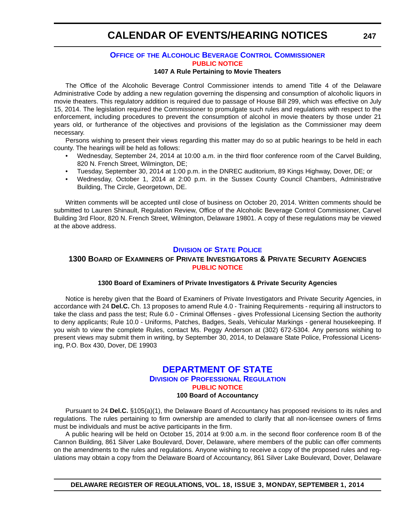### **OFFICE OF [THE ALCOHOLIC BEVERAGE CONTROL COMMISSIONER](http://date.delaware.gov/OABCC/index.shtml) [PUBLIC NOTICE](#page-4-0)**

#### **1407 A Rule Pertaining to Movie Theaters**

The Office of the Alcoholic Beverage Control Commissioner intends to amend Title 4 of the Delaware Administrative Code by adding a new regulation governing the dispensing and consumption of alcoholic liquors in movie theaters. This regulatory addition is required due to passage of House Bill 299, which was effective on July 15, 2014. The legislation required the Commissioner to promulgate such rules and regulations with respect to the enforcement, including procedures to prevent the consumption of alcohol in movie theaters by those under 21 years old, or furtherance of the objectives and provisions of the legislation as the Commissioner may deem necessary.

Persons wishing to present their views regarding this matter may do so at public hearings to be held in each county. The hearings will be held as follows:

- Wednesday, September 24, 2014 at 10:00 a.m. in the third floor conference room of the Carvel Building, 820 N. French Street, Wilmington, DE;
- Tuesday, September 30, 2014 at 1:00 p.m. in the DNREC auditorium, 89 Kings Highway, Dover, DE; or
- Wednesday, October 1, 2014 at 2:00 p.m. in the Sussex County Council Chambers, Administrative Building, The Circle, Georgetown, DE.

Written comments will be accepted until close of business on October 20, 2014. Written comments should be submitted to Lauren Shinault, Regulation Review, Office of the Alcoholic Beverage Control Commissioner, Carvel Building 3rd Floor, 820 N. French Street, Wilmington, Delaware 19801. A copy of these regulations may be viewed at the above address.

### **DIVISION [OF STATE POLICE](http://dsp.delaware.gov/)**

### **1300 BOARD OF EXAMINERS OF PRIVATE INVESTIGATORS & PRIVATE SECURITY AGENCIES [PUBLIC NOTICE](#page-4-0)**

#### **1300 Board of Examiners of Private Investigators & Private Security Agencies**

Notice is hereby given that the Board of Examiners of Private Investigators and Private Security Agencies, in accordance with 24 **Del.C.** Ch. 13 proposes to amend Rule 4.0 - Training Requirements - requiring all instructors to take the class and pass the test; Rule 6.0 - Criminal Offenses - gives Professional Licensing Section the authority to deny applicants; Rule 10.0 - Uniforms, Patches, Badges, Seals, Vehicular Markings - general housekeeping. If you wish to view the complete Rules, contact Ms. Peggy Anderson at (302) 672-5304. Any persons wishing to present views may submit them in writing, by September 30, 2014, to Delaware State Police, Professional Licensing, P.O. Box 430, Dover, DE 19903

### **[DEPARTMENT OF STATE](http://dpr.delaware.gov/) DIVISION OF PROFESSIONAL REGULATION [PUBLIC NOTICE](#page-4-0) 100 Board of Accountancy**

Pursuant to 24 **Del.C.** §105(a)(1), the Delaware Board of Accountancy has proposed revisions to its rules and regulations. The rules pertaining to firm ownership are amended to clarify that all non-licensee owners of firms must be individuals and must be active participants in the firm.

A public hearing will be held on October 15, 2014 at 9:00 a.m. in the second floor conference room B of the Cannon Building, 861 Silver Lake Boulevard, Dover, Delaware, where members of the public can offer comments on the amendments to the rules and regulations. Anyone wishing to receive a copy of the proposed rules and regulations may obtain a copy from the Delaware Board of Accountancy, 861 Silver Lake Boulevard, Dover, Delaware